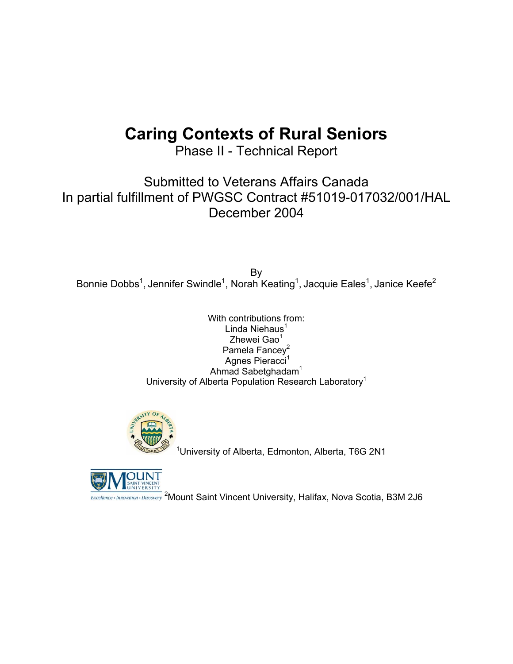# **Caring Contexts of Rural Seniors**

Phase II - Technical Report

Submitted to Veterans Affairs Canada In partial fulfillment of PWGSC Contract #51019-017032/001/HAL December 2004

By Bonnie Dobbs<sup>1</sup>, Jennifer Swindle<sup>1</sup>, Norah Keating<sup>1</sup>, Jacquie Eales<sup>1</sup>, Janice Keefe<sup>2</sup>

> With contributions from: Linda Niehaus<sup>1</sup> Zhewei Gao $1$ Pamela Fancey<sup>2</sup> Agnes Pieracci<sup>1</sup> Ahmad Sabetghadam<sup>1</sup> University of Alberta Population Research Laboratory<sup>1</sup>



<sup>1</sup>University of Alberta, Edmonton, Alberta, T6G 2N1



<sup>2</sup>Mount Saint Vincent University, Halifax, Nova Scotia, B3M 2J6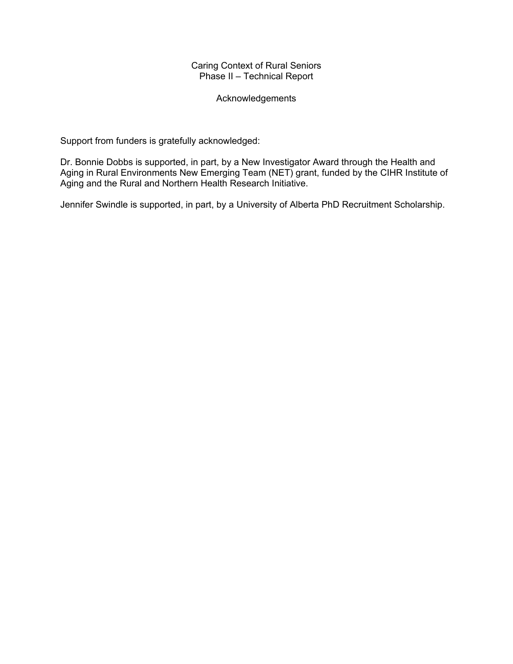# Caring Context of Rural Seniors Phase II – Technical Report

# Acknowledgements

Support from funders is gratefully acknowledged:

Dr. Bonnie Dobbs is supported, in part, by a New Investigator Award through the Health and Aging in Rural Environments New Emerging Team (NET) grant, funded by the CIHR Institute of Aging and the Rural and Northern Health Research Initiative.

Jennifer Swindle is supported, in part, by a University of Alberta PhD Recruitment Scholarship.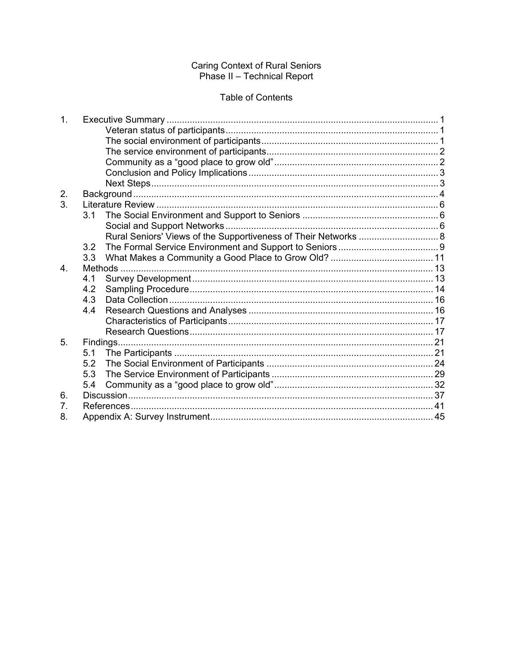# Caring Context of Rural Seniors<br>Phase II - Technical Report

# **Table of Contents**

| 1 <sub>1</sub> |                                                                 |  |
|----------------|-----------------------------------------------------------------|--|
|                |                                                                 |  |
|                |                                                                 |  |
|                |                                                                 |  |
|                |                                                                 |  |
|                |                                                                 |  |
|                |                                                                 |  |
| 2.             |                                                                 |  |
| 3 <sub>l</sub> |                                                                 |  |
|                | 3.1                                                             |  |
|                |                                                                 |  |
|                | Rural Seniors' Views of the Supportiveness of Their Networks  8 |  |
|                | 3.2                                                             |  |
|                | 3.3                                                             |  |
| $\overline{4}$ |                                                                 |  |
|                | 4.1                                                             |  |
|                | 4.2                                                             |  |
|                | 4.3                                                             |  |
|                | 4.4                                                             |  |
|                |                                                                 |  |
|                |                                                                 |  |
| 5.             |                                                                 |  |
|                | 5.1                                                             |  |
|                | 5.2                                                             |  |
|                | 5.3                                                             |  |
|                | 5.4                                                             |  |
| 6.             |                                                                 |  |
| 7.             |                                                                 |  |
| 8.             |                                                                 |  |
|                |                                                                 |  |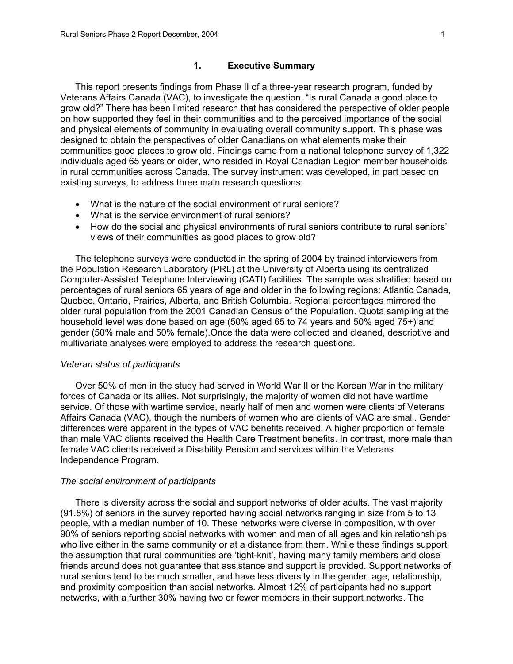This report presents findings from Phase II of a three-year research program, funded by Veterans Affairs Canada (VAC), to investigate the question, "Is rural Canada a good place to grow old?" There has been limited research that has considered the perspective of older people on how supported they feel in their communities and to the perceived importance of the social and physical elements of community in evaluating overall community support. This phase was designed to obtain the perspectives of older Canadians on what elements make their communities good places to grow old. Findings came from a national telephone survey of 1,322 individuals aged 65 years or older, who resided in Royal Canadian Legion member households in rural communities across Canada. The survey instrument was developed, in part based on existing surveys, to address three main research questions:

- What is the nature of the social environment of rural seniors?
- What is the service environment of rural seniors?
- How do the social and physical environments of rural seniors contribute to rural seniors' views of their communities as good places to grow old?

The telephone surveys were conducted in the spring of 2004 by trained interviewers from the Population Research Laboratory (PRL) at the University of Alberta using its centralized Computer-Assisted Telephone Interviewing (CATI) facilities. The sample was stratified based on percentages of rural seniors 65 years of age and older in the following regions: Atlantic Canada, Quebec, Ontario, Prairies, Alberta, and British Columbia. Regional percentages mirrored the older rural population from the 2001 Canadian Census of the Population. Quota sampling at the household level was done based on age (50% aged 65 to 74 years and 50% aged 75+) and gender (50% male and 50% female).Once the data were collected and cleaned, descriptive and multivariate analyses were employed to address the research questions.

#### *Veteran status of participants*

Over 50% of men in the study had served in World War II or the Korean War in the military forces of Canada or its allies. Not surprisingly, the majority of women did not have wartime service. Of those with wartime service, nearly half of men and women were clients of Veterans Affairs Canada (VAC), though the numbers of women who are clients of VAC are small. Gender differences were apparent in the types of VAC benefits received. A higher proportion of female than male VAC clients received the Health Care Treatment benefits. In contrast, more male than female VAC clients received a Disability Pension and services within the Veterans Independence Program.

#### *The social environment of participants*

There is diversity across the social and support networks of older adults. The vast majority (91.8%) of seniors in the survey reported having social networks ranging in size from 5 to 13 people, with a median number of 10. These networks were diverse in composition, with over 90% of seniors reporting social networks with women and men of all ages and kin relationships who live either in the same community or at a distance from them. While these findings support the assumption that rural communities are 'tight-knit', having many family members and close friends around does not guarantee that assistance and support is provided. Support networks of rural seniors tend to be much smaller, and have less diversity in the gender, age, relationship, and proximity composition than social networks. Almost 12% of participants had no support networks, with a further 30% having two or fewer members in their support networks. The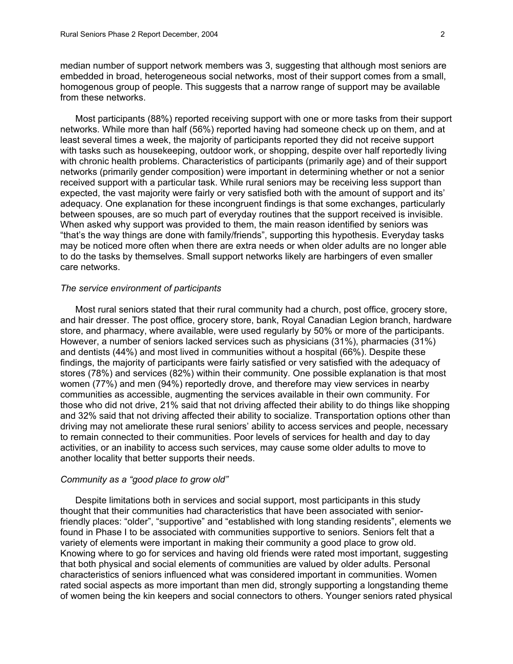median number of support network members was 3, suggesting that although most seniors are embedded in broad, heterogeneous social networks, most of their support comes from a small, homogenous group of people. This suggests that a narrow range of support may be available from these networks.

Most participants (88%) reported receiving support with one or more tasks from their support networks. While more than half (56%) reported having had someone check up on them, and at least several times a week, the majority of participants reported they did not receive support with tasks such as housekeeping, outdoor work, or shopping, despite over half reportedly living with chronic health problems. Characteristics of participants (primarily age) and of their support networks (primarily gender composition) were important in determining whether or not a senior received support with a particular task. While rural seniors may be receiving less support than expected, the vast majority were fairly or very satisfied both with the amount of support and its' adequacy. One explanation for these incongruent findings is that some exchanges, particularly between spouses, are so much part of everyday routines that the support received is invisible. When asked why support was provided to them, the main reason identified by seniors was "that's the way things are done with family/friends", supporting this hypothesis. Everyday tasks may be noticed more often when there are extra needs or when older adults are no longer able to do the tasks by themselves. Small support networks likely are harbingers of even smaller care networks.

# *The service environment of participants*

Most rural seniors stated that their rural community had a church, post office, grocery store, and hair dresser. The post office, grocery store, bank, Royal Canadian Legion branch, hardware store, and pharmacy, where available, were used regularly by 50% or more of the participants. However, a number of seniors lacked services such as physicians (31%), pharmacies (31%) and dentists (44%) and most lived in communities without a hospital (66%). Despite these findings, the majority of participants were fairly satisfied or very satisfied with the adequacy of stores (78%) and services (82%) within their community. One possible explanation is that most women (77%) and men (94%) reportedly drove, and therefore may view services in nearby communities as accessible, augmenting the services available in their own community. For those who did not drive, 21% said that not driving affected their ability to do things like shopping and 32% said that not driving affected their ability to socialize. Transportation options other than driving may not ameliorate these rural seniors' ability to access services and people, necessary to remain connected to their communities. Poor levels of services for health and day to day activities, or an inability to access such services, may cause some older adults to move to another locality that better supports their needs.

# *Community as a "good place to grow old"*

Despite limitations both in services and social support, most participants in this study thought that their communities had characteristics that have been associated with seniorfriendly places: "older", "supportive" and "established with long standing residents", elements we found in Phase I to be associated with communities supportive to seniors. Seniors felt that a variety of elements were important in making their community a good place to grow old. Knowing where to go for services and having old friends were rated most important, suggesting that both physical and social elements of communities are valued by older adults. Personal characteristics of seniors influenced what was considered important in communities. Women rated social aspects as more important than men did, strongly supporting a longstanding theme of women being the kin keepers and social connectors to others. Younger seniors rated physical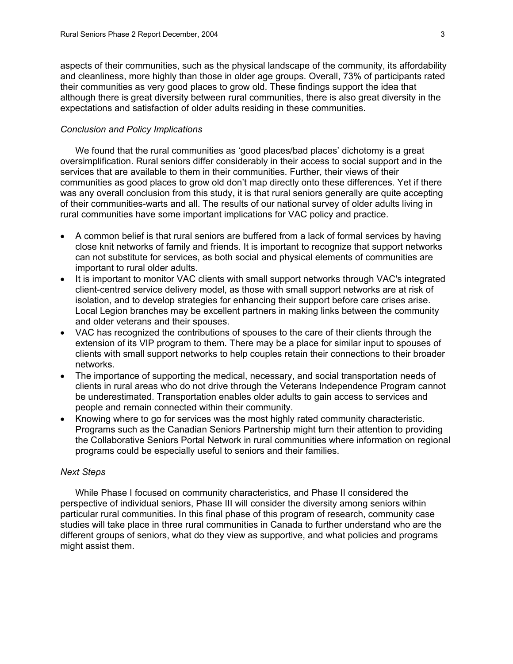aspects of their communities, such as the physical landscape of the community, its affordability and cleanliness, more highly than those in older age groups. Overall, 73% of participants rated their communities as very good places to grow old. These findings support the idea that although there is great diversity between rural communities, there is also great diversity in the expectations and satisfaction of older adults residing in these communities.

# *Conclusion and Policy Implications*

We found that the rural communities as 'good places/bad places' dichotomy is a great oversimplification. Rural seniors differ considerably in their access to social support and in the services that are available to them in their communities. Further, their views of their communities as good places to grow old don't map directly onto these differences. Yet if there was any overall conclusion from this study, it is that rural seniors generally are quite accepting of their communities-warts and all. The results of our national survey of older adults living in rural communities have some important implications for VAC policy and practice.

- A common belief is that rural seniors are buffered from a lack of formal services by having close knit networks of family and friends. It is important to recognize that support networks can not substitute for services, as both social and physical elements of communities are important to rural older adults.
- It is important to monitor VAC clients with small support networks through VAC's integrated client-centred service delivery model, as those with small support networks are at risk of isolation, and to develop strategies for enhancing their support before care crises arise. Local Legion branches may be excellent partners in making links between the community and older veterans and their spouses.
- VAC has recognized the contributions of spouses to the care of their clients through the extension of its VIP program to them. There may be a place for similar input to spouses of clients with small support networks to help couples retain their connections to their broader networks.
- The importance of supporting the medical, necessary, and social transportation needs of clients in rural areas who do not drive through the Veterans Independence Program cannot be underestimated. Transportation enables older adults to gain access to services and people and remain connected within their community.
- Knowing where to go for services was the most highly rated community characteristic. Programs such as the Canadian Seniors Partnership might turn their attention to providing the Collaborative Seniors Portal Network in rural communities where information on regional programs could be especially useful to seniors and their families.

# *Next Steps*

While Phase I focused on community characteristics, and Phase II considered the perspective of individual seniors, Phase III will consider the diversity among seniors within particular rural communities. In this final phase of this program of research, community case studies will take place in three rural communities in Canada to further understand who are the different groups of seniors, what do they view as supportive, and what policies and programs might assist them.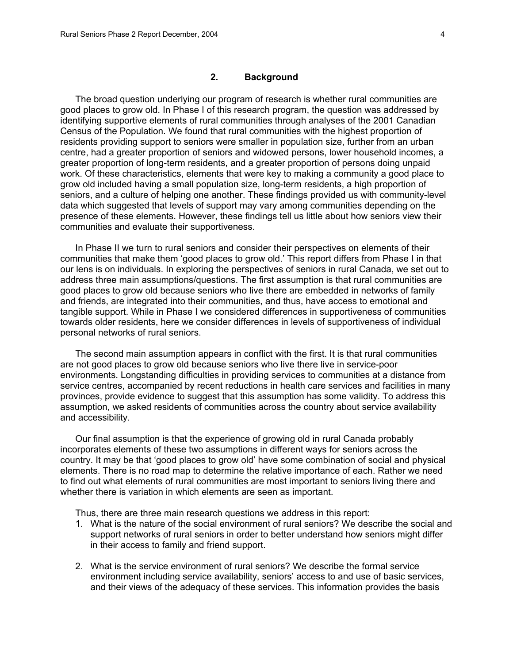# **2. Background**

The broad question underlying our program of research is whether rural communities are good places to grow old. In Phase I of this research program, the question was addressed by identifying supportive elements of rural communities through analyses of the 2001 Canadian Census of the Population. We found that rural communities with the highest proportion of residents providing support to seniors were smaller in population size, further from an urban centre, had a greater proportion of seniors and widowed persons, lower household incomes, a greater proportion of long-term residents, and a greater proportion of persons doing unpaid work. Of these characteristics, elements that were key to making a community a good place to grow old included having a small population size, long-term residents, a high proportion of seniors, and a culture of helping one another. These findings provided us with community-level data which suggested that levels of support may vary among communities depending on the presence of these elements. However, these findings tell us little about how seniors view their communities and evaluate their supportiveness.

In Phase II we turn to rural seniors and consider their perspectives on elements of their communities that make them 'good places to grow old.' This report differs from Phase I in that our lens is on individuals. In exploring the perspectives of seniors in rural Canada, we set out to address three main assumptions/questions. The first assumption is that rural communities are good places to grow old because seniors who live there are embedded in networks of family and friends, are integrated into their communities, and thus, have access to emotional and tangible support. While in Phase I we considered differences in supportiveness of communities towards older residents, here we consider differences in levels of supportiveness of individual personal networks of rural seniors.

The second main assumption appears in conflict with the first. It is that rural communities are not good places to grow old because seniors who live there live in service-poor environments. Longstanding difficulties in providing services to communities at a distance from service centres, accompanied by recent reductions in health care services and facilities in many provinces, provide evidence to suggest that this assumption has some validity. To address this assumption, we asked residents of communities across the country about service availability and accessibility.

Our final assumption is that the experience of growing old in rural Canada probably incorporates elements of these two assumptions in different ways for seniors across the country. It may be that 'good places to grow old' have some combination of social and physical elements. There is no road map to determine the relative importance of each. Rather we need to find out what elements of rural communities are most important to seniors living there and whether there is variation in which elements are seen as important.

Thus, there are three main research questions we address in this report:

- 1. What is the nature of the social environment of rural seniors? We describe the social and support networks of rural seniors in order to better understand how seniors might differ in their access to family and friend support.
- 2. What is the service environment of rural seniors? We describe the formal service environment including service availability, seniors' access to and use of basic services, and their views of the adequacy of these services. This information provides the basis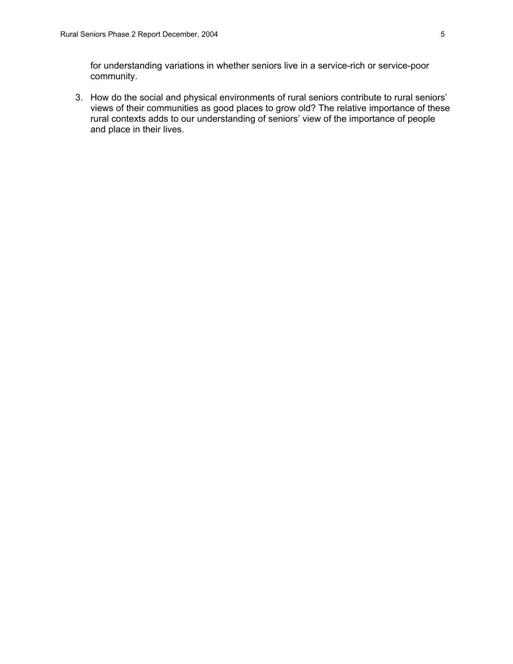for understanding variations in whether seniors live in a service-rich or service-poor community.

3. How do the social and physical environments of rural seniors contribute to rural seniors' views of their communities as good places to grow old? The relative importance of these rural contexts adds to our understanding of seniors' view of the importance of people and place in their lives.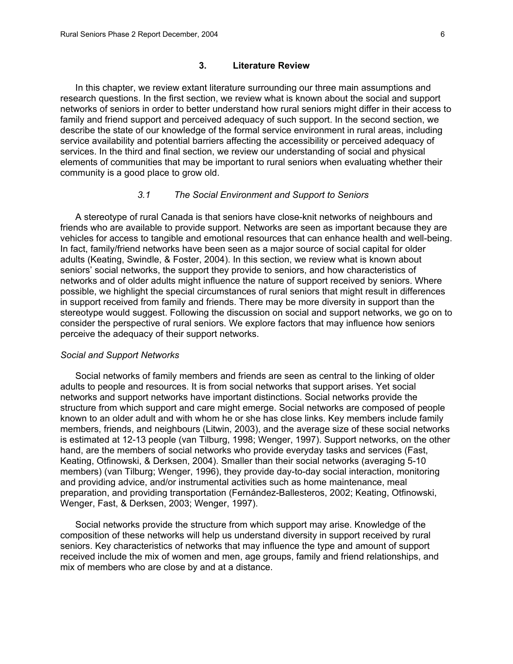#### **3. Literature Review**

In this chapter, we review extant literature surrounding our three main assumptions and research questions. In the first section, we review what is known about the social and support networks of seniors in order to better understand how rural seniors might differ in their access to family and friend support and perceived adequacy of such support. In the second section, we describe the state of our knowledge of the formal service environment in rural areas, including service availability and potential barriers affecting the accessibility or perceived adequacy of services. In the third and final section, we review our understanding of social and physical elements of communities that may be important to rural seniors when evaluating whether their community is a good place to grow old.

# *3.1 The Social Environment and Support to Seniors*

A stereotype of rural Canada is that seniors have close-knit networks of neighbours and friends who are available to provide support. Networks are seen as important because they are vehicles for access to tangible and emotional resources that can enhance health and well-being. In fact, family/friend networks have been seen as a major source of social capital for older adults (Keating, Swindle, & Foster, 2004). In this section, we review what is known about seniors' social networks, the support they provide to seniors, and how characteristics of networks and of older adults might influence the nature of support received by seniors. Where possible, we highlight the special circumstances of rural seniors that might result in differences in support received from family and friends. There may be more diversity in support than the stereotype would suggest. Following the discussion on social and support networks, we go on to consider the perspective of rural seniors. We explore factors that may influence how seniors perceive the adequacy of their support networks.

#### *Social and Support Networks*

Social networks of family members and friends are seen as central to the linking of older adults to people and resources. It is from social networks that support arises. Yet social networks and support networks have important distinctions. Social networks provide the structure from which support and care might emerge. Social networks are composed of people known to an older adult and with whom he or she has close links. Key members include family members, friends, and neighbours (Litwin, 2003), and the average size of these social networks is estimated at 12-13 people (van Tilburg, 1998; Wenger, 1997). Support networks, on the other hand, are the members of social networks who provide everyday tasks and services (Fast, Keating, Otfinowski, & Derksen, 2004). Smaller than their social networks (averaging 5-10 members) (van Tilburg; Wenger, 1996), they provide day-to-day social interaction, monitoring and providing advice, and/or instrumental activities such as home maintenance, meal preparation, and providing transportation (Fernández-Ballesteros, 2002; Keating, Otfinowski, Wenger, Fast, & Derksen, 2003; Wenger, 1997).

Social networks provide the structure from which support may arise. Knowledge of the composition of these networks will help us understand diversity in support received by rural seniors. Key characteristics of networks that may influence the type and amount of support received include the mix of women and men, age groups, family and friend relationships, and mix of members who are close by and at a distance.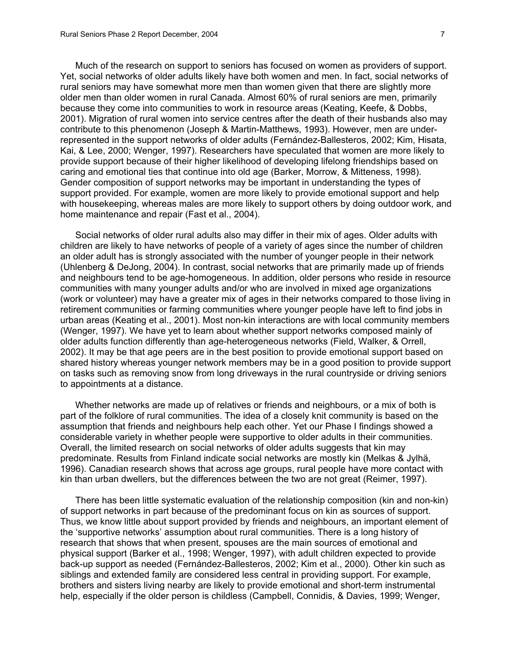Much of the research on support to seniors has focused on women as providers of support. Yet, social networks of older adults likely have both women and men. In fact, social networks of rural seniors may have somewhat more men than women given that there are slightly more older men than older women in rural Canada. Almost 60% of rural seniors are men, primarily because they come into communities to work in resource areas (Keating, Keefe, & Dobbs, 2001). Migration of rural women into service centres after the death of their husbands also may contribute to this phenomenon (Joseph & Martin-Matthews, 1993). However, men are underrepresented in the support networks of older adults (Fernández-Ballesteros, 2002; Kim, Hisata, Kai, & Lee, 2000; Wenger, 1997). Researchers have speculated that women are more likely to provide support because of their higher likelihood of developing lifelong friendships based on caring and emotional ties that continue into old age (Barker, Morrow, & Mitteness, 1998). Gender composition of support networks may be important in understanding the types of support provided. For example, women are more likely to provide emotional support and help with housekeeping, whereas males are more likely to support others by doing outdoor work, and home maintenance and repair (Fast et al., 2004).

Social networks of older rural adults also may differ in their mix of ages. Older adults with children are likely to have networks of people of a variety of ages since the number of children an older adult has is strongly associated with the number of younger people in their network (Uhlenberg & DeJong, 2004). In contrast, social networks that are primarily made up of friends and neighbours tend to be age-homogeneous. In addition, older persons who reside in resource communities with many younger adults and/or who are involved in mixed age organizations (work or volunteer) may have a greater mix of ages in their networks compared to those living in retirement communities or farming communities where younger people have left to find jobs in urban areas (Keating et al., 2001). Most non-kin interactions are with local community members (Wenger, 1997). We have yet to learn about whether support networks composed mainly of older adults function differently than age-heterogeneous networks (Field, Walker, & Orrell, 2002). It may be that age peers are in the best position to provide emotional support based on shared history whereas younger network members may be in a good position to provide support on tasks such as removing snow from long driveways in the rural countryside or driving seniors to appointments at a distance.

Whether networks are made up of relatives or friends and neighbours, or a mix of both is part of the folklore of rural communities. The idea of a closely knit community is based on the assumption that friends and neighbours help each other. Yet our Phase I findings showed a considerable variety in whether people were supportive to older adults in their communities. Overall, the limited research on social networks of older adults suggests that kin may predominate. Results from Finland indicate social networks are mostly kin (Melkas & Jylhä, 1996). Canadian research shows that across age groups, rural people have more contact with kin than urban dwellers, but the differences between the two are not great (Reimer, 1997).

There has been little systematic evaluation of the relationship composition (kin and non-kin) of support networks in part because of the predominant focus on kin as sources of support. Thus, we know little about support provided by friends and neighbours, an important element of the 'supportive networks' assumption about rural communities. There is a long history of research that shows that when present, spouses are the main sources of emotional and physical support (Barker et al., 1998; Wenger, 1997), with adult children expected to provide back-up support as needed (Fernández-Ballesteros, 2002; Kim et al., 2000). Other kin such as siblings and extended family are considered less central in providing support. For example, brothers and sisters living nearby are likely to provide emotional and short-term instrumental help, especially if the older person is childless (Campbell, Connidis, & Davies, 1999; Wenger,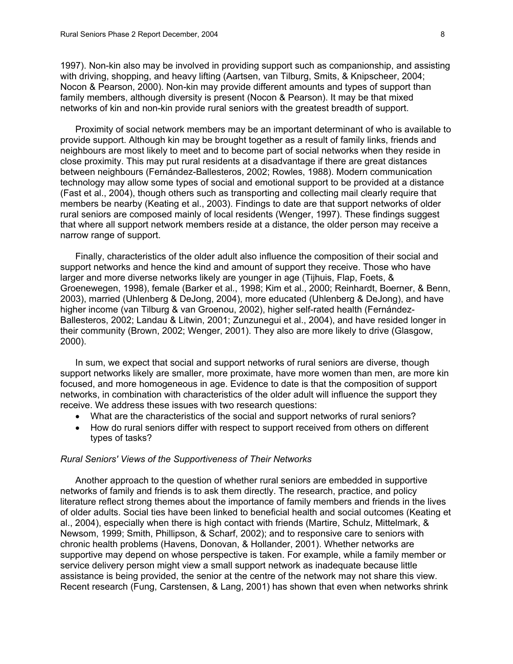1997). Non-kin also may be involved in providing support such as companionship, and assisting with driving, shopping, and heavy lifting (Aartsen, van Tilburg, Smits, & Knipscheer, 2004; Nocon & Pearson, 2000). Non-kin may provide different amounts and types of support than family members, although diversity is present (Nocon & Pearson). It may be that mixed networks of kin and non-kin provide rural seniors with the greatest breadth of support.

Proximity of social network members may be an important determinant of who is available to provide support. Although kin may be brought together as a result of family links, friends and neighbours are most likely to meet and to become part of social networks when they reside in close proximity. This may put rural residents at a disadvantage if there are great distances between neighbours (Fernández-Ballesteros, 2002; Rowles, 1988). Modern communication technology may allow some types of social and emotional support to be provided at a distance (Fast et al., 2004), though others such as transporting and collecting mail clearly require that members be nearby (Keating et al., 2003). Findings to date are that support networks of older rural seniors are composed mainly of local residents (Wenger, 1997). These findings suggest that where all support network members reside at a distance, the older person may receive a narrow range of support.

Finally, characteristics of the older adult also influence the composition of their social and support networks and hence the kind and amount of support they receive. Those who have larger and more diverse networks likely are younger in age (Tijhuis, Flap, Foets, & Groenewegen, 1998), female (Barker et al., 1998; Kim et al., 2000; Reinhardt, Boerner, & Benn, 2003), married (Uhlenberg & DeJong, 2004), more educated (Uhlenberg & DeJong), and have higher income (van Tilburg & van Groenou, 2002), higher self-rated health (Fernández-Ballesteros, 2002; Landau & Litwin, 2001; Zunzunegui et al., 2004), and have resided longer in their community (Brown, 2002; Wenger, 2001). They also are more likely to drive (Glasgow, 2000).

In sum, we expect that social and support networks of rural seniors are diverse, though support networks likely are smaller, more proximate, have more women than men, are more kin focused, and more homogeneous in age. Evidence to date is that the composition of support networks, in combination with characteristics of the older adult will influence the support they receive. We address these issues with two research questions:

- What are the characteristics of the social and support networks of rural seniors?
- How do rural seniors differ with respect to support received from others on different types of tasks?

# *Rural Seniors' Views of the Supportiveness of Their Networks*

Another approach to the question of whether rural seniors are embedded in supportive networks of family and friends is to ask them directly. The research, practice, and policy literature reflect strong themes about the importance of family members and friends in the lives of older adults. Social ties have been linked to beneficial health and social outcomes (Keating et al., 2004), especially when there is high contact with friends (Martire, Schulz, Mittelmark, & Newsom, 1999; Smith, Phillipson, & Scharf, 2002); and to responsive care to seniors with chronic health problems (Havens, Donovan, & Hollander, 2001). Whether networks are supportive may depend on whose perspective is taken. For example, while a family member or service delivery person might view a small support network as inadequate because little assistance is being provided, the senior at the centre of the network may not share this view. Recent research (Fung, Carstensen, & Lang, 2001) has shown that even when networks shrink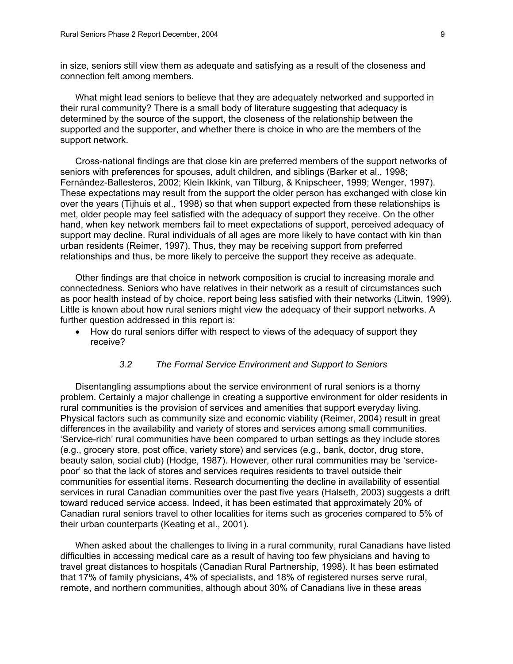in size, seniors still view them as adequate and satisfying as a result of the closeness and connection felt among members.

What might lead seniors to believe that they are adequately networked and supported in their rural community? There is a small body of literature suggesting that adequacy is determined by the source of the support, the closeness of the relationship between the supported and the supporter, and whether there is choice in who are the members of the support network.

Cross-national findings are that close kin are preferred members of the support networks of seniors with preferences for spouses, adult children, and siblings (Barker et al., 1998; Fernández-Ballesteros, 2002; Klein Ikkink, van Tilburg, & Knipscheer, 1999; Wenger, 1997). These expectations may result from the support the older person has exchanged with close kin over the years (Tijhuis et al., 1998) so that when support expected from these relationships is met, older people may feel satisfied with the adequacy of support they receive. On the other hand, when key network members fail to meet expectations of support, perceived adequacy of support may decline. Rural individuals of all ages are more likely to have contact with kin than urban residents (Reimer, 1997). Thus, they may be receiving support from preferred relationships and thus, be more likely to perceive the support they receive as adequate.

Other findings are that choice in network composition is crucial to increasing morale and connectedness. Seniors who have relatives in their network as a result of circumstances such as poor health instead of by choice, report being less satisfied with their networks (Litwin, 1999). Little is known about how rural seniors might view the adequacy of their support networks. A further question addressed in this report is:

• How do rural seniors differ with respect to views of the adequacy of support they receive?

# *3.2 The Formal Service Environment and Support to Seniors*

Disentangling assumptions about the service environment of rural seniors is a thorny problem. Certainly a major challenge in creating a supportive environment for older residents in rural communities is the provision of services and amenities that support everyday living. Physical factors such as community size and economic viability (Reimer, 2004) result in great differences in the availability and variety of stores and services among small communities. 'Service-rich' rural communities have been compared to urban settings as they include stores (e.g., grocery store, post office, variety store) and services (e.g., bank, doctor, drug store, beauty salon, social club) (Hodge, 1987). However, other rural communities may be 'servicepoor' so that the lack of stores and services requires residents to travel outside their communities for essential items. Research documenting the decline in availability of essential services in rural Canadian communities over the past five years (Halseth, 2003) suggests a drift toward reduced service access. Indeed, it has been estimated that approximately 20% of Canadian rural seniors travel to other localities for items such as groceries compared to 5% of their urban counterparts (Keating et al., 2001).

When asked about the challenges to living in a rural community, rural Canadians have listed difficulties in accessing medical care as a result of having too few physicians and having to travel great distances to hospitals (Canadian Rural Partnership, 1998). It has been estimated that 17% of family physicians, 4% of specialists, and 18% of registered nurses serve rural, remote, and northern communities, although about 30% of Canadians live in these areas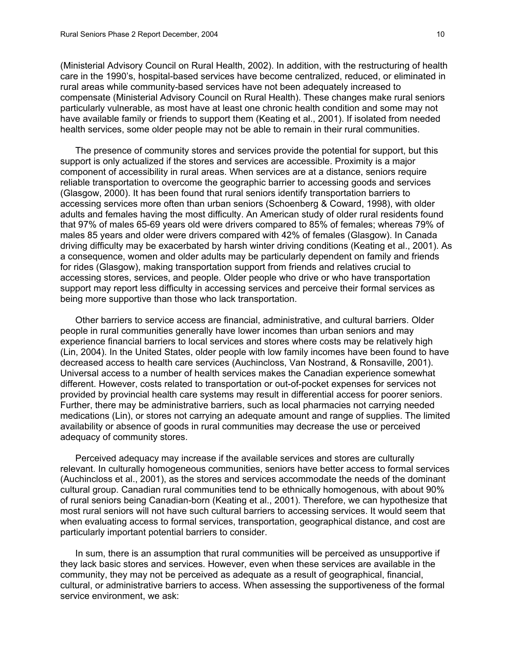(Ministerial Advisory Council on Rural Health, 2002). In addition, with the restructuring of health care in the 1990's, hospital-based services have become centralized, reduced, or eliminated in rural areas while community-based services have not been adequately increased to compensate (Ministerial Advisory Council on Rural Health). These changes make rural seniors particularly vulnerable, as most have at least one chronic health condition and some may not have available family or friends to support them (Keating et al., 2001). If isolated from needed health services, some older people may not be able to remain in their rural communities.

The presence of community stores and services provide the potential for support, but this support is only actualized if the stores and services are accessible. Proximity is a major component of accessibility in rural areas. When services are at a distance, seniors require reliable transportation to overcome the geographic barrier to accessing goods and services (Glasgow, 2000). It has been found that rural seniors identify transportation barriers to accessing services more often than urban seniors (Schoenberg & Coward, 1998), with older adults and females having the most difficulty. An American study of older rural residents found that 97% of males 65-69 years old were drivers compared to 85% of females; whereas 79% of males 85 years and older were drivers compared with 42% of females (Glasgow). In Canada driving difficulty may be exacerbated by harsh winter driving conditions (Keating et al., 2001). As a consequence, women and older adults may be particularly dependent on family and friends for rides (Glasgow), making transportation support from friends and relatives crucial to accessing stores, services, and people. Older people who drive or who have transportation support may report less difficulty in accessing services and perceive their formal services as being more supportive than those who lack transportation.

Other barriers to service access are financial, administrative, and cultural barriers. Older people in rural communities generally have lower incomes than urban seniors and may experience financial barriers to local services and stores where costs may be relatively high (Lin, 2004). In the United States, older people with low family incomes have been found to have decreased access to health care services (Auchincloss, Van Nostrand, & Ronsaville, 2001). Universal access to a number of health services makes the Canadian experience somewhat different. However, costs related to transportation or out-of-pocket expenses for services not provided by provincial health care systems may result in differential access for poorer seniors. Further, there may be administrative barriers, such as local pharmacies not carrying needed medications (Lin), or stores not carrying an adequate amount and range of supplies. The limited availability or absence of goods in rural communities may decrease the use or perceived adequacy of community stores.

Perceived adequacy may increase if the available services and stores are culturally relevant. In culturally homogeneous communities, seniors have better access to formal services (Auchincloss et al., 2001), as the stores and services accommodate the needs of the dominant cultural group. Canadian rural communities tend to be ethnically homogenous, with about 90% of rural seniors being Canadian-born (Keating et al., 2001). Therefore, we can hypothesize that most rural seniors will not have such cultural barriers to accessing services. It would seem that when evaluating access to formal services, transportation, geographical distance, and cost are particularly important potential barriers to consider.

In sum, there is an assumption that rural communities will be perceived as unsupportive if they lack basic stores and services. However, even when these services are available in the community, they may not be perceived as adequate as a result of geographical, financial, cultural, or administrative barriers to access. When assessing the supportiveness of the formal service environment, we ask: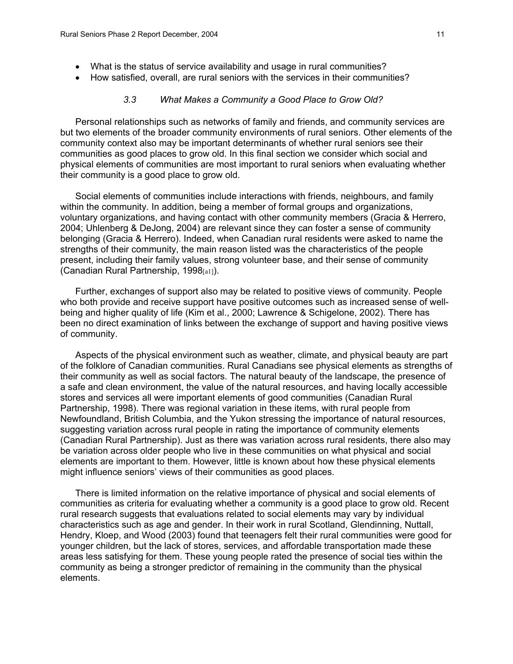- What is the status of service availability and usage in rural communities?
- How satisfied, overall, are rural seniors with the services in their communities?

#### *3.3 What Makes a Community a Good Place to Grow Old?*

Personal relationships such as networks of family and friends, and community services are but two elements of the broader community environments of rural seniors. Other elements of the community context also may be important determinants of whether rural seniors see their communities as good places to grow old. In this final section we consider which social and physical elements of communities are most important to rural seniors when evaluating whether their community is a good place to grow old.

Social elements of communities include interactions with friends, neighbours, and family within the community. In addition, being a member of formal groups and organizations, voluntary organizations, and having contact with other community members (Gracia & Herrero, 2004; Uhlenberg & DeJong, 2004) are relevant since they can foster a sense of community belonging (Gracia & Herrero). Indeed, when Canadian rural residents were asked to name the strengths of their community, the main reason listed was the characteristics of the people present, including their family values, strong volunteer base, and their sense of community (Canadian Rural Partnership, 1998[a1]).

Further, exchanges of support also may be related to positive views of community. People who both provide and receive support have positive outcomes such as increased sense of wellbeing and higher quality of life (Kim et al., 2000; Lawrence & Schigelone, 2002). There has been no direct examination of links between the exchange of support and having positive views of community.

Aspects of the physical environment such as weather, climate, and physical beauty are part of the folklore of Canadian communities. Rural Canadians see physical elements as strengths of their community as well as social factors. The natural beauty of the landscape, the presence of a safe and clean environment, the value of the natural resources, and having locally accessible stores and services all were important elements of good communities (Canadian Rural Partnership, 1998). There was regional variation in these items, with rural people from Newfoundland, British Columbia, and the Yukon stressing the importance of natural resources, suggesting variation across rural people in rating the importance of community elements (Canadian Rural Partnership). Just as there was variation across rural residents, there also may be variation across older people who live in these communities on what physical and social elements are important to them. However, little is known about how these physical elements might influence seniors' views of their communities as good places.

There is limited information on the relative importance of physical and social elements of communities as criteria for evaluating whether a community is a good place to grow old. Recent rural research suggests that evaluations related to social elements may vary by individual characteristics such as age and gender. In their work in rural Scotland, Glendinning, Nuttall, Hendry, Kloep, and Wood (2003) found that teenagers felt their rural communities were good for younger children, but the lack of stores, services, and affordable transportation made these areas less satisfying for them. These young people rated the presence of social ties within the community as being a stronger predictor of remaining in the community than the physical elements.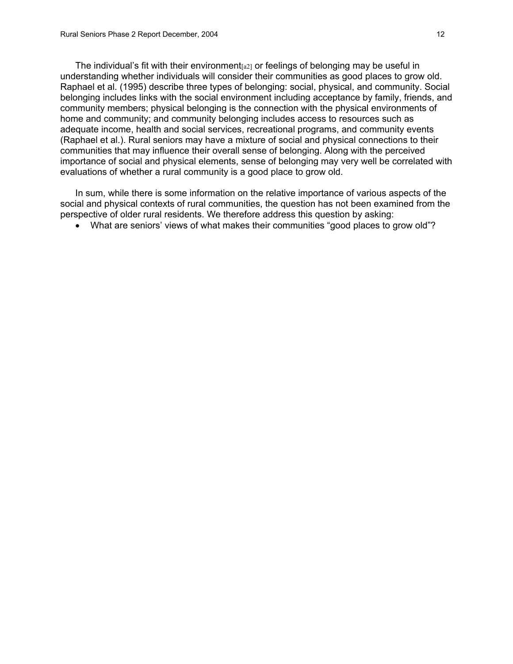The individual's fit with their environment  $a_{21}$  or feelings of belonging may be useful in understanding whether individuals will consider their communities as good places to grow old. Raphael et al. (1995) describe three types of belonging: social, physical, and community. Social belonging includes links with the social environment including acceptance by family, friends, and community members; physical belonging is the connection with the physical environments of home and community; and community belonging includes access to resources such as adequate income, health and social services, recreational programs, and community events (Raphael et al.). Rural seniors may have a mixture of social and physical connections to their communities that may influence their overall sense of belonging. Along with the perceived importance of social and physical elements, sense of belonging may very well be correlated with evaluations of whether a rural community is a good place to grow old.

In sum, while there is some information on the relative importance of various aspects of the social and physical contexts of rural communities, the question has not been examined from the perspective of older rural residents. We therefore address this question by asking:

• What are seniors' views of what makes their communities "good places to grow old"?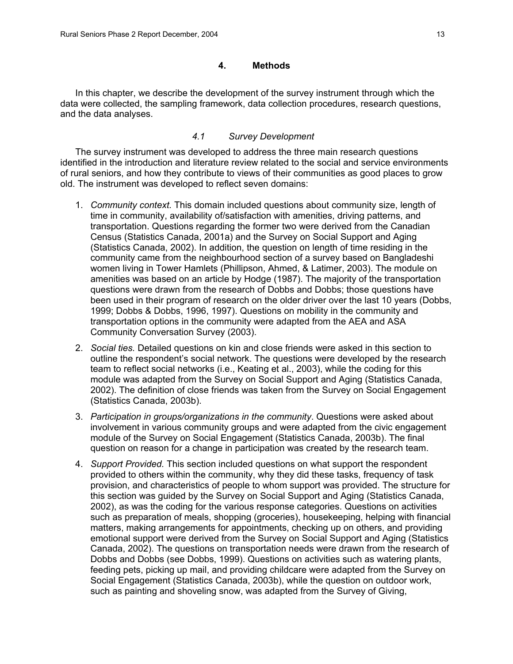# **4. Methods**

In this chapter, we describe the development of the survey instrument through which the data were collected, the sampling framework, data collection procedures, research questions, and the data analyses.

# *4.1 Survey Development*

The survey instrument was developed to address the three main research questions identified in the introduction and literature review related to the social and service environments of rural seniors, and how they contribute to views of their communities as good places to grow old. The instrument was developed to reflect seven domains:

- 1. *Community context.* This domain included questions about community size, length of time in community, availability of/satisfaction with amenities, driving patterns, and transportation. Questions regarding the former two were derived from the Canadian Census (Statistics Canada, 2001a) and the Survey on Social Support and Aging (Statistics Canada, 2002). In addition, the question on length of time residing in the community came from the neighbourhood section of a survey based on Bangladeshi women living in Tower Hamlets (Phillipson, Ahmed, & Latimer, 2003). The module on amenities was based on an article by Hodge (1987). The majority of the transportation questions were drawn from the research of Dobbs and Dobbs; those questions have been used in their program of research on the older driver over the last 10 years (Dobbs, 1999; Dobbs & Dobbs, 1996, 1997). Questions on mobility in the community and transportation options in the community were adapted from the AEA and ASA Community Conversation Survey (2003).
- 2. *Social ties.* Detailed questions on kin and close friends were asked in this section to outline the respondent's social network. The questions were developed by the research team to reflect social networks (i.e., Keating et al., 2003), while the coding for this module was adapted from the Survey on Social Support and Aging (Statistics Canada, 2002). The definition of close friends was taken from the Survey on Social Engagement (Statistics Canada, 2003b).
- 3. *Participation in groups/organizations in the community*. Questions were asked about involvement in various community groups and were adapted from the civic engagement module of the Survey on Social Engagement (Statistics Canada, 2003b). The final question on reason for a change in participation was created by the research team.
- 4. *Support Provided.* This section included questions on what support the respondent provided to others within the community, why they did these tasks, frequency of task provision, and characteristics of people to whom support was provided. The structure for this section was guided by the Survey on Social Support and Aging (Statistics Canada, 2002), as was the coding for the various response categories. Questions on activities such as preparation of meals, shopping (groceries), housekeeping, helping with financial matters, making arrangements for appointments, checking up on others, and providing emotional support were derived from the Survey on Social Support and Aging (Statistics Canada, 2002). The questions on transportation needs were drawn from the research of Dobbs and Dobbs (see Dobbs, 1999). Questions on activities such as watering plants, feeding pets, picking up mail, and providing childcare were adapted from the Survey on Social Engagement (Statistics Canada, 2003b), while the question on outdoor work, such as painting and shoveling snow, was adapted from the Survey of Giving,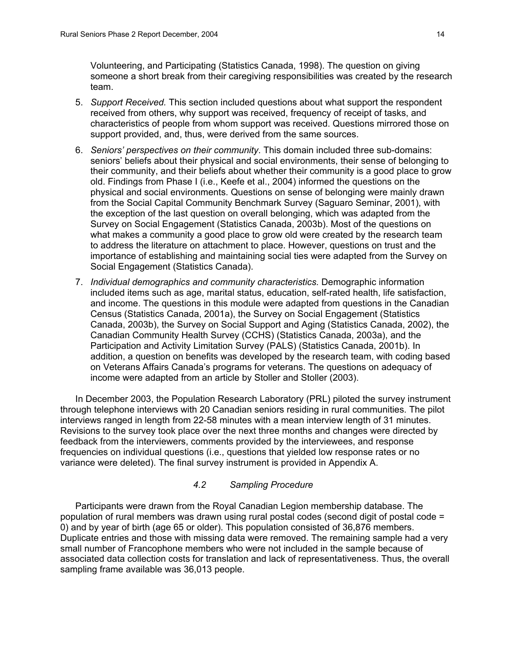Volunteering, and Participating (Statistics Canada, 1998). The question on giving someone a short break from their caregiving responsibilities was created by the research team.

- 5. *Support Received.* This section included questions about what support the respondent received from others, why support was received, frequency of receipt of tasks, and characteristics of people from whom support was received. Questions mirrored those on support provided, and, thus, were derived from the same sources.
- 6. *Seniors' perspectives on their community*. This domain included three sub-domains: seniors' beliefs about their physical and social environments, their sense of belonging to their community, and their beliefs about whether their community is a good place to grow old. Findings from Phase I (i.e., Keefe et al., 2004) informed the questions on the physical and social environments. Questions on sense of belonging were mainly drawn from the Social Capital Community Benchmark Survey (Saguaro Seminar, 2001), with the exception of the last question on overall belonging, which was adapted from the Survey on Social Engagement (Statistics Canada, 2003b). Most of the questions on what makes a community a good place to grow old were created by the research team to address the literature on attachment to place. However, questions on trust and the importance of establishing and maintaining social ties were adapted from the Survey on Social Engagement (Statistics Canada).
- 7. *Individual demographics and community characteristics.* Demographic information included items such as age, marital status, education, self-rated health, life satisfaction, and income. The questions in this module were adapted from questions in the Canadian Census (Statistics Canada, 2001a), the Survey on Social Engagement (Statistics Canada, 2003b), the Survey on Social Support and Aging (Statistics Canada, 2002), the Canadian Community Health Survey (CCHS) (Statistics Canada, 2003a), and the Participation and Activity Limitation Survey (PALS) (Statistics Canada, 2001b). In addition, a question on benefits was developed by the research team, with coding based on Veterans Affairs Canada's programs for veterans. The questions on adequacy of income were adapted from an article by Stoller and Stoller (2003).

In December 2003, the Population Research Laboratory (PRL) piloted the survey instrument through telephone interviews with 20 Canadian seniors residing in rural communities. The pilot interviews ranged in length from 22-58 minutes with a mean interview length of 31 minutes. Revisions to the survey took place over the next three months and changes were directed by feedback from the interviewers, comments provided by the interviewees, and response frequencies on individual questions (i.e., questions that yielded low response rates or no variance were deleted). The final survey instrument is provided in Appendix A.

# *4.2 Sampling Procedure*

Participants were drawn from the Royal Canadian Legion membership database. The population of rural members was drawn using rural postal codes (second digit of postal code = 0) and by year of birth (age 65 or older). This population consisted of 36,876 members. Duplicate entries and those with missing data were removed. The remaining sample had a very small number of Francophone members who were not included in the sample because of associated data collection costs for translation and lack of representativeness. Thus, the overall sampling frame available was 36,013 people.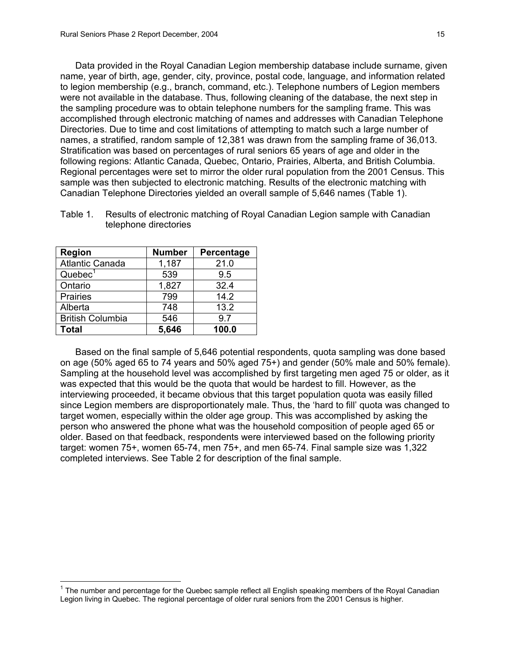Data provided in the Royal Canadian Legion membership database include surname, given name, year of birth, age, gender, city, province, postal code, language, and information related to legion membership (e.g., branch, command, etc.). Telephone numbers of Legion members were not available in the database. Thus, following cleaning of the database, the next step in the sampling procedure was to obtain telephone numbers for the sampling frame. This was accomplished through electronic matching of names and addresses with Canadian Telephone Directories. Due to time and cost limitations of attempting to match such a large number of names, a stratified, random sample of 12,381 was drawn from the sampling frame of 36,013. Stratification was based on percentages of rural seniors 65 years of age and older in the following regions: Atlantic Canada, Quebec, Ontario, Prairies, Alberta, and British Columbia. Regional percentages were set to mirror the older rural population from the 2001 Census. This sample was then subjected to electronic matching. Results of the electronic matching with Canadian Telephone Directories yielded an overall sample of 5,646 names (Table 1).

| <b>Region</b>           | <b>Number</b> | Percentage |
|-------------------------|---------------|------------|
| <b>Atlantic Canada</b>  | 1,187         | 21.0       |
| Quebec <sup>1</sup>     | 539           | 9.5        |
| Ontario                 | 1,827         | 32.4       |
| <b>Prairies</b>         | 799           | 14.2       |
| Alberta                 | 748           | 13.2       |
| <b>British Columbia</b> | 546           | 9.7        |
| Total                   | 5,646         | 100.0      |

 $\overline{a}$ 

Table 1. Results of electronic matching of Royal Canadian Legion sample with Canadian telephone directories

Based on the final sample of 5,646 potential respondents, quota sampling was done based on age (50% aged 65 to 74 years and 50% aged 75+) and gender (50% male and 50% female). Sampling at the household level was accomplished by first targeting men aged 75 or older, as it was expected that this would be the quota that would be hardest to fill. However, as the interviewing proceeded, it became obvious that this target population quota was easily filled since Legion members are disproportionately male. Thus, the 'hard to fill' quota was changed to target women, especially within the older age group. This was accomplished by asking the person who answered the phone what was the household composition of people aged 65 or older. Based on that feedback, respondents were interviewed based on the following priority target: women 75+, women 65-74, men 75+, and men 65-74. Final sample size was 1,322 completed interviews. See Table 2 for description of the final sample.

<sup>&</sup>lt;sup>1</sup> The number and percentage for the Quebec sample reflect all English speaking members of the Royal Canadian Legion living in Quebec. The regional percentage of older rural seniors from the 2001 Census is higher.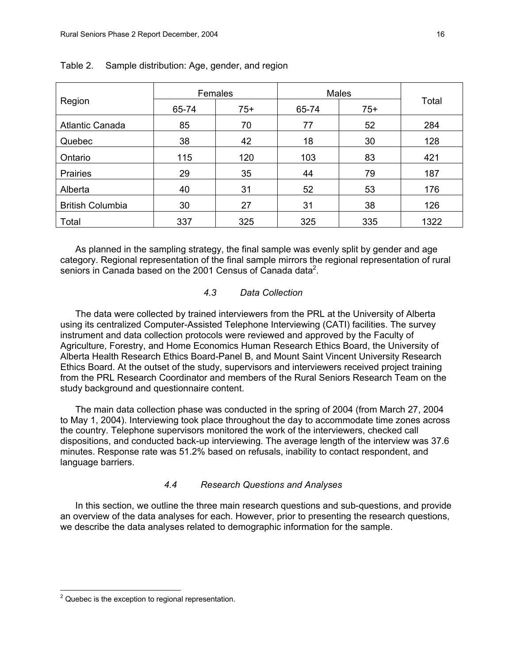|                         | Females |       | Males |       |       |
|-------------------------|---------|-------|-------|-------|-------|
| Region                  | 65-74   | $75+$ | 65-74 | $75+$ | Total |
| <b>Atlantic Canada</b>  | 85      | 70    | 77    | 52    | 284   |
| Quebec                  | 38      | 42    | 18    | 30    | 128   |
| Ontario                 | 115     | 120   | 103   | 83    | 421   |
| <b>Prairies</b>         | 29      | 35    | 44    | 79    | 187   |
| Alberta                 | 40      | 31    | 52    | 53    | 176   |
| <b>British Columbia</b> | 30      | 27    | 31    | 38    | 126   |
| Total                   | 337     | 325   | 325   | 335   | 1322  |

# Table 2. Sample distribution: Age, gender, and region

As planned in the sampling strategy, the final sample was evenly split by gender and age category. Regional representation of the final sample mirrors the regional representation of rural seniors in Canada based on the 2001 Census of Canada data<sup>2</sup>.

# *4.3 Data Collection*

The data were collected by trained interviewers from the PRL at the University of Alberta using its centralized Computer-Assisted Telephone Interviewing (CATI) facilities. The survey instrument and data collection protocols were reviewed and approved by the Faculty of Agriculture, Forestry, and Home Economics Human Research Ethics Board, the University of Alberta Health Research Ethics Board-Panel B, and Mount Saint Vincent University Research Ethics Board. At the outset of the study, supervisors and interviewers received project training from the PRL Research Coordinator and members of the Rural Seniors Research Team on the study background and questionnaire content.

The main data collection phase was conducted in the spring of 2004 (from March 27, 2004 to May 1, 2004). Interviewing took place throughout the day to accommodate time zones across the country. Telephone supervisors monitored the work of the interviewers, checked call dispositions, and conducted back-up interviewing. The average length of the interview was 37.6 minutes. Response rate was 51.2% based on refusals, inability to contact respondent, and language barriers.

# *4.4 Research Questions and Analyses*

In this section, we outline the three main research questions and sub-questions, and provide an overview of the data analyses for each. However, prior to presenting the research questions, we describe the data analyses related to demographic information for the sample.

**EXECUTE:**<br><sup>2</sup> Quebec is the exception to regional representation.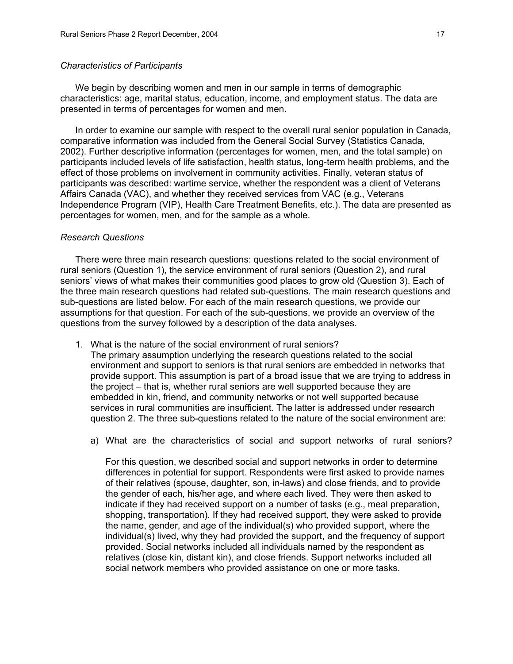#### *Characteristics of Participants*

We begin by describing women and men in our sample in terms of demographic characteristics: age, marital status, education, income, and employment status. The data are presented in terms of percentages for women and men.

In order to examine our sample with respect to the overall rural senior population in Canada, comparative information was included from the General Social Survey (Statistics Canada, 2002). Further descriptive information (percentages for women, men, and the total sample) on participants included levels of life satisfaction, health status, long-term health problems, and the effect of those problems on involvement in community activities. Finally, veteran status of participants was described: wartime service, whether the respondent was a client of Veterans Affairs Canada (VAC), and whether they received services from VAC (e.g., Veterans Independence Program (VIP), Health Care Treatment Benefits, etc.). The data are presented as percentages for women, men, and for the sample as a whole.

### *Research Questions*

There were three main research questions: questions related to the social environment of rural seniors (Question 1), the service environment of rural seniors (Question 2), and rural seniors' views of what makes their communities good places to grow old (Question 3). Each of the three main research questions had related sub-questions. The main research questions and sub-questions are listed below. For each of the main research questions, we provide our assumptions for that question. For each of the sub-questions, we provide an overview of the questions from the survey followed by a description of the data analyses.

1. What is the nature of the social environment of rural seniors?

The primary assumption underlying the research questions related to the social environment and support to seniors is that rural seniors are embedded in networks that provide support. This assumption is part of a broad issue that we are trying to address in the project – that is, whether rural seniors are well supported because they are embedded in kin, friend, and community networks or not well supported because services in rural communities are insufficient. The latter is addressed under research question 2. The three sub-questions related to the nature of the social environment are:

a) What are the characteristics of social and support networks of rural seniors?

For this question, we described social and support networks in order to determine differences in potential for support. Respondents were first asked to provide names of their relatives (spouse, daughter, son, in-laws) and close friends, and to provide the gender of each, his/her age, and where each lived. They were then asked to indicate if they had received support on a number of tasks (e.g., meal preparation, shopping, transportation). If they had received support, they were asked to provide the name, gender, and age of the individual(s) who provided support, where the individual(s) lived, why they had provided the support, and the frequency of support provided. Social networks included all individuals named by the respondent as relatives (close kin, distant kin), and close friends. Support networks included all social network members who provided assistance on one or more tasks.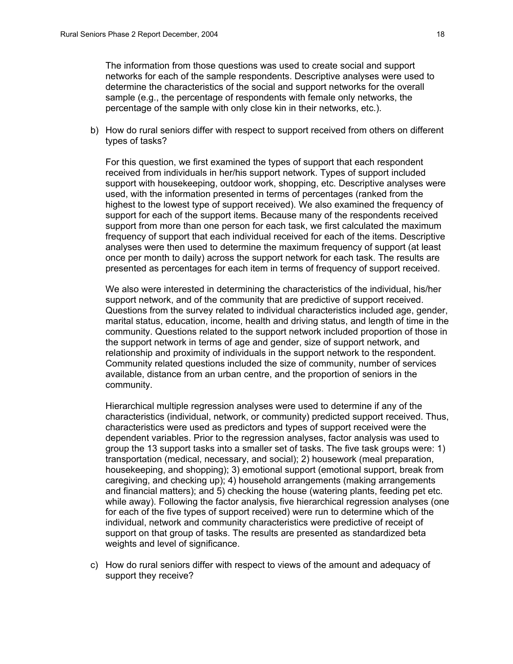The information from those questions was used to create social and support networks for each of the sample respondents. Descriptive analyses were used to determine the characteristics of the social and support networks for the overall sample (e.g., the percentage of respondents with female only networks, the percentage of the sample with only close kin in their networks, etc.).

b) How do rural seniors differ with respect to support received from others on different types of tasks?

For this question, we first examined the types of support that each respondent received from individuals in her/his support network. Types of support included support with housekeeping, outdoor work, shopping, etc. Descriptive analyses were used, with the information presented in terms of percentages (ranked from the highest to the lowest type of support received). We also examined the frequency of support for each of the support items. Because many of the respondents received support from more than one person for each task, we first calculated the maximum frequency of support that each individual received for each of the items. Descriptive analyses were then used to determine the maximum frequency of support (at least once per month to daily) across the support network for each task. The results are presented as percentages for each item in terms of frequency of support received.

We also were interested in determining the characteristics of the individual, his/her support network, and of the community that are predictive of support received. Questions from the survey related to individual characteristics included age, gender, marital status, education, income, health and driving status, and length of time in the community. Questions related to the support network included proportion of those in the support network in terms of age and gender, size of support network, and relationship and proximity of individuals in the support network to the respondent. Community related questions included the size of community, number of services available, distance from an urban centre, and the proportion of seniors in the community.

Hierarchical multiple regression analyses were used to determine if any of the characteristics (individual, network, or community) predicted support received. Thus, characteristics were used as predictors and types of support received were the dependent variables. Prior to the regression analyses, factor analysis was used to group the 13 support tasks into a smaller set of tasks. The five task groups were: 1) transportation (medical, necessary, and social); 2) housework (meal preparation, housekeeping, and shopping); 3) emotional support (emotional support, break from caregiving, and checking up); 4) household arrangements (making arrangements and financial matters); and 5) checking the house (watering plants, feeding pet etc. while away). Following the factor analysis, five hierarchical regression analyses (one for each of the five types of support received) were run to determine which of the individual, network and community characteristics were predictive of receipt of support on that group of tasks. The results are presented as standardized beta weights and level of significance.

c) How do rural seniors differ with respect to views of the amount and adequacy of support they receive?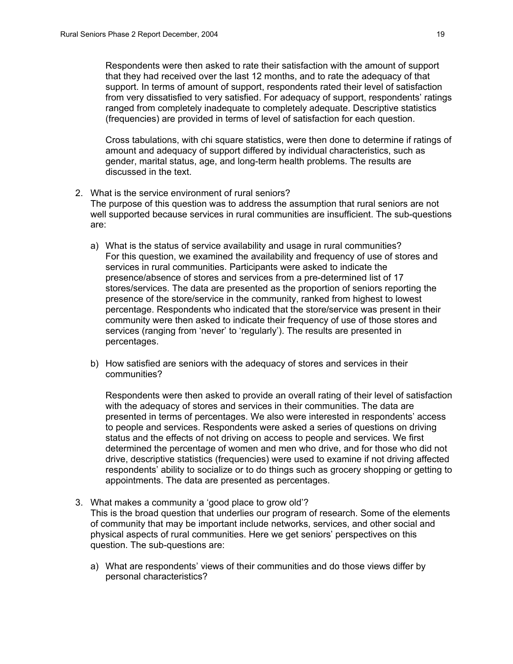Respondents were then asked to rate their satisfaction with the amount of support that they had received over the last 12 months, and to rate the adequacy of that support. In terms of amount of support, respondents rated their level of satisfaction from very dissatisfied to very satisfied. For adequacy of support, respondents' ratings ranged from completely inadequate to completely adequate. Descriptive statistics (frequencies) are provided in terms of level of satisfaction for each question.

Cross tabulations, with chi square statistics, were then done to determine if ratings of amount and adequacy of support differed by individual characteristics, such as gender, marital status, age, and long-term health problems. The results are discussed in the text.

- 2. What is the service environment of rural seniors? The purpose of this question was to address the assumption that rural seniors are not well supported because services in rural communities are insufficient. The sub-questions are:
	- a) What is the status of service availability and usage in rural communities? For this question, we examined the availability and frequency of use of stores and services in rural communities. Participants were asked to indicate the presence/absence of stores and services from a pre-determined list of 17 stores/services. The data are presented as the proportion of seniors reporting the presence of the store/service in the community, ranked from highest to lowest percentage. Respondents who indicated that the store/service was present in their community were then asked to indicate their frequency of use of those stores and services (ranging from 'never' to 'regularly'). The results are presented in percentages.
	- b) How satisfied are seniors with the adequacy of stores and services in their communities?

Respondents were then asked to provide an overall rating of their level of satisfaction with the adequacy of stores and services in their communities. The data are presented in terms of percentages. We also were interested in respondents' access to people and services. Respondents were asked a series of questions on driving status and the effects of not driving on access to people and services. We first determined the percentage of women and men who drive, and for those who did not drive, descriptive statistics (frequencies) were used to examine if not driving affected respondents' ability to socialize or to do things such as grocery shopping or getting to appointments. The data are presented as percentages.

- 3. What makes a community a 'good place to grow old'? This is the broad question that underlies our program of research. Some of the elements of community that may be important include networks, services, and other social and physical aspects of rural communities. Here we get seniors' perspectives on this question. The sub-questions are:
	- a) What are respondents' views of their communities and do those views differ by personal characteristics?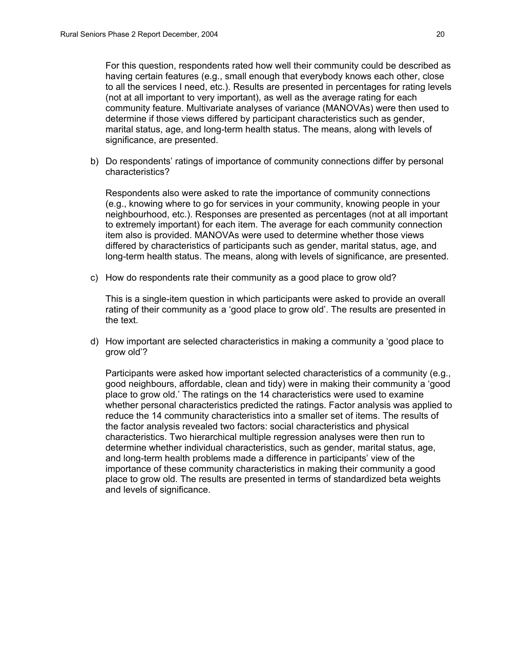For this question, respondents rated how well their community could be described as having certain features (e.g., small enough that everybody knows each other, close to all the services I need, etc.). Results are presented in percentages for rating levels (not at all important to very important), as well as the average rating for each community feature. Multivariate analyses of variance (MANOVAs) were then used to determine if those views differed by participant characteristics such as gender, marital status, age, and long-term health status. The means, along with levels of significance, are presented.

b) Do respondents' ratings of importance of community connections differ by personal characteristics?

Respondents also were asked to rate the importance of community connections (e.g., knowing where to go for services in your community, knowing people in your neighbourhood, etc.). Responses are presented as percentages (not at all important to extremely important) for each item. The average for each community connection item also is provided. MANOVAs were used to determine whether those views differed by characteristics of participants such as gender, marital status, age, and long-term health status. The means, along with levels of significance, are presented.

c) How do respondents rate their community as a good place to grow old?

This is a single-item question in which participants were asked to provide an overall rating of their community as a 'good place to grow old'. The results are presented in the text.

d) How important are selected characteristics in making a community a 'good place to grow old'?

Participants were asked how important selected characteristics of a community (e.g., good neighbours, affordable, clean and tidy) were in making their community a 'good place to grow old.' The ratings on the 14 characteristics were used to examine whether personal characteristics predicted the ratings. Factor analysis was applied to reduce the 14 community characteristics into a smaller set of items. The results of the factor analysis revealed two factors: social characteristics and physical characteristics. Two hierarchical multiple regression analyses were then run to determine whether individual characteristics, such as gender, marital status, age, and long-term health problems made a difference in participants' view of the importance of these community characteristics in making their community a good place to grow old. The results are presented in terms of standardized beta weights and levels of significance.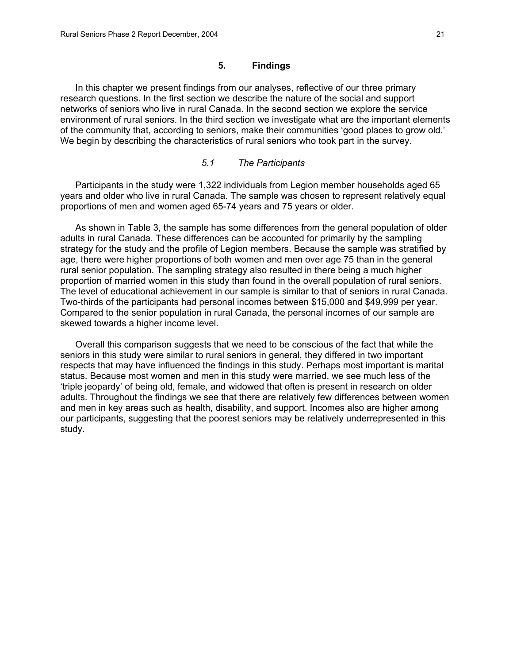# **5. Findings**

In this chapter we present findings from our analyses, reflective of our three primary research questions. In the first section we describe the nature of the social and support networks of seniors who live in rural Canada. In the second section we explore the service environment of rural seniors. In the third section we investigate what are the important elements of the community that, according to seniors, make their communities 'good places to grow old.' We begin by describing the characteristics of rural seniors who took part in the survey.

# *5.1 The Participants*

Participants in the study were 1,322 individuals from Legion member households aged 65 years and older who live in rural Canada. The sample was chosen to represent relatively equal proportions of men and women aged 65-74 years and 75 years or older.

As shown in Table 3, the sample has some differences from the general population of older adults in rural Canada. These differences can be accounted for primarily by the sampling strategy for the study and the profile of Legion members. Because the sample was stratified by age, there were higher proportions of both women and men over age 75 than in the general rural senior population. The sampling strategy also resulted in there being a much higher proportion of married women in this study than found in the overall population of rural seniors. The level of educational achievement in our sample is similar to that of seniors in rural Canada. Two-thirds of the participants had personal incomes between \$15,000 and \$49,999 per year. Compared to the senior population in rural Canada, the personal incomes of our sample are skewed towards a higher income level.

Overall this comparison suggests that we need to be conscious of the fact that while the seniors in this study were similar to rural seniors in general, they differed in two important respects that may have influenced the findings in this study. Perhaps most important is marital status. Because most women and men in this study were married, we see much less of the 'triple jeopardy' of being old, female, and widowed that often is present in research on older adults. Throughout the findings we see that there are relatively few differences between women and men in key areas such as health, disability, and support. Incomes also are higher among our participants, suggesting that the poorest seniors may be relatively underrepresented in this study.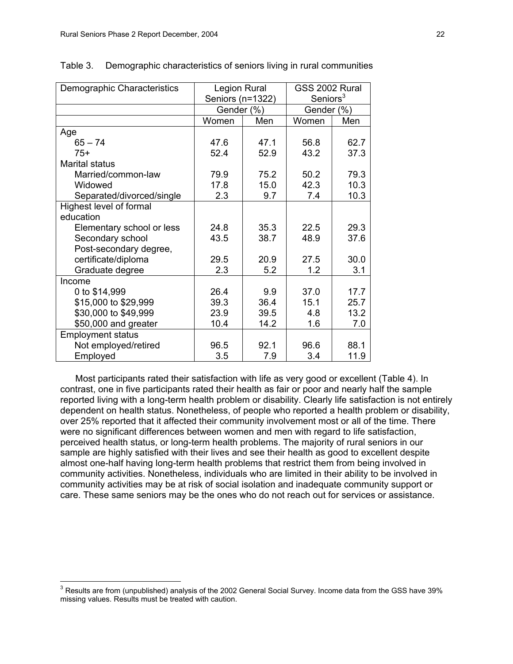| Demographic Characteristics | Legion Rural |                  | GSS 2002 Rural |                      |
|-----------------------------|--------------|------------------|----------------|----------------------|
|                             |              | Seniors (n=1322) |                | Seniors <sup>3</sup> |
|                             | Gender (%)   |                  | Gender (%)     |                      |
|                             | Women        | Men              | Women          | Men                  |
| Age                         |              |                  |                |                      |
| $65 - 74$                   | 47.6         | 47.1             | 56.8           | 62.7                 |
| $75+$                       | 52.4         | 52.9             | 43.2           | 37.3                 |
| <b>Marital status</b>       |              |                  |                |                      |
| Married/common-law          | 79.9         | 75.2             | 50.2           | 79.3                 |
| Widowed                     | 17.8         | 15.0             | 42.3           | 10.3                 |
| Separated/divorced/single   | 2.3          | 9.7              | 7.4            | 10.3                 |
| Highest level of formal     |              |                  |                |                      |
| education                   |              |                  |                |                      |
| Elementary school or less   | 24.8         | 35.3             | 22.5           | 29.3                 |
| Secondary school            | 43.5         | 38.7             | 48.9           | 37.6                 |
| Post-secondary degree,      |              |                  |                |                      |
| certificate/diploma         | 29.5         | 20.9             | 27.5           | 30.0                 |
| Graduate degree             | 2.3          | 5.2              | 1.2            | 3.1                  |
| Income                      |              |                  |                |                      |
| 0 to \$14,999               | 26.4         | 9.9              | 37.0           | 17.7                 |
| \$15,000 to \$29,999        | 39.3         | 36.4             | 15.1           | 25.7                 |
| \$30,000 to \$49,999        | 23.9         | 39.5             | 4.8            | 13.2                 |
| \$50,000 and greater        | 10.4         | 14.2             | 1.6            | 7.0                  |
| <b>Employment status</b>    |              |                  |                |                      |
| Not employed/retired        | 96.5         | 92.1             | 96.6           | 88.1                 |
| Employed                    | 3.5          | 7.9              | 3.4            | 11.9                 |

Table 3. Demographic characteristics of seniors living in rural communities

Most participants rated their satisfaction with life as very good or excellent (Table 4). In contrast, one in five participants rated their health as fair or poor and nearly half the sample reported living with a long-term health problem or disability. Clearly life satisfaction is not entirely dependent on health status. Nonetheless, of people who reported a health problem or disability, over 25% reported that it affected their community involvement most or all of the time. There were no significant differences between women and men with regard to life satisfaction, perceived health status, or long-term health problems. The majority of rural seniors in our sample are highly satisfied with their lives and see their health as good to excellent despite almost one-half having long-term health problems that restrict them from being involved in community activities. Nonetheless, individuals who are limited in their ability to be involved in community activities may be at risk of social isolation and inadequate community support or care. These same seniors may be the ones who do not reach out for services or assistance.

 3 Results are from (unpublished) analysis of the 2002 General Social Survey. Income data from the GSS have 39% missing values. Results must be treated with caution.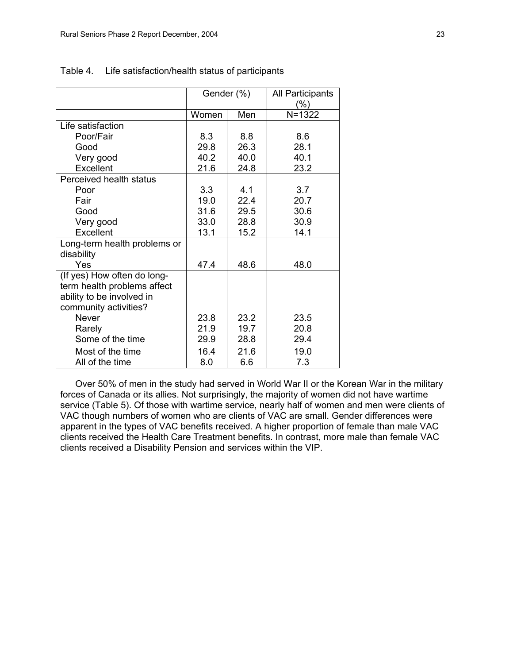|                              | Gender (%) |      | All Participants |
|------------------------------|------------|------|------------------|
|                              |            |      | (%)              |
|                              | Women      | Men  | $N = 1322$       |
| Life satisfaction            |            |      |                  |
| Poor/Fair                    | 8.3        | 8.8  | 8.6              |
| Good                         | 29.8       | 26.3 | 28.1             |
| Very good                    | 40.2       | 40.0 | 40.1             |
| Excellent                    | 21.6       | 24.8 | 23.2             |
| Perceived health status      |            |      |                  |
| Poor                         | 3.3        | 4.1  | 3.7              |
| Fair                         | 19.0       | 22.4 | 20.7             |
| Good                         | 31.6       | 29.5 | 30.6             |
| Very good                    | 33.0       | 28.8 | 30.9             |
| Excellent                    | 13.1       | 15.2 | 14.1             |
| Long-term health problems or |            |      |                  |
| disability                   |            |      |                  |
| Yes                          | 47.4       | 48.6 | 48.0             |
| (If yes) How often do long-  |            |      |                  |
| term health problems affect  |            |      |                  |
| ability to be involved in    |            |      |                  |
| community activities?        |            |      |                  |
| <b>Never</b>                 | 23.8       | 23.2 | 23.5             |
| Rarely                       | 21.9       | 19.7 | 20.8             |
| Some of the time             | 29.9       | 28.8 | 29.4             |
| Most of the time             | 16.4       | 216  | 19.0             |
| All of the time              | 8.0        | 6.6  | 7.3              |

#### Table 4. Life satisfaction/health status of participants

Over 50% of men in the study had served in World War II or the Korean War in the military forces of Canada or its allies. Not surprisingly, the majority of women did not have wartime service (Table 5). Of those with wartime service, nearly half of women and men were clients of VAC though numbers of women who are clients of VAC are small. Gender differences were apparent in the types of VAC benefits received. A higher proportion of female than male VAC clients received the Health Care Treatment benefits. In contrast, more male than female VAC clients received a Disability Pension and services within the VIP.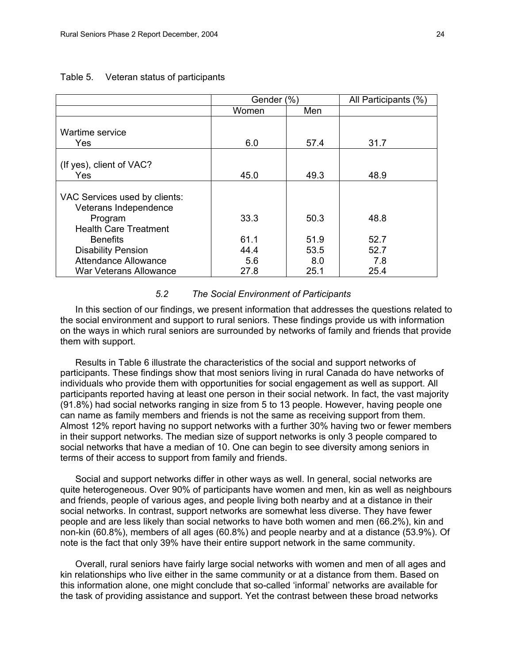|                                                                                                              | Gender (%)                  |                             | All Participants (%)        |
|--------------------------------------------------------------------------------------------------------------|-----------------------------|-----------------------------|-----------------------------|
|                                                                                                              | Women                       | Men                         |                             |
| Wartime service<br>Yes                                                                                       | 6.0                         | 57.4                        | 31.7                        |
| (If yes), client of VAC?<br><b>Yes</b>                                                                       | 45.0                        | 49.3                        | 48.9                        |
| VAC Services used by clients:<br>Veterans Independence<br>Program<br><b>Health Care Treatment</b>            | 33.3                        | 50.3                        | 48.8                        |
| <b>Benefits</b><br><b>Disability Pension</b><br><b>Attendance Allowance</b><br><b>War Veterans Allowance</b> | 61.1<br>44.4<br>5.6<br>27.8 | 51.9<br>53.5<br>8.0<br>25.1 | 52.7<br>52.7<br>7.8<br>25.4 |

#### Table 5. Veteran status of participants

#### *5.2 The Social Environment of Participants*

In this section of our findings, we present information that addresses the questions related to the social environment and support to rural seniors. These findings provide us with information on the ways in which rural seniors are surrounded by networks of family and friends that provide them with support.

Results in Table 6 illustrate the characteristics of the social and support networks of participants. These findings show that most seniors living in rural Canada do have networks of individuals who provide them with opportunities for social engagement as well as support. All participants reported having at least one person in their social network. In fact, the vast majority (91.8%) had social networks ranging in size from 5 to 13 people. However, having people one can name as family members and friends is not the same as receiving support from them. Almost 12% report having no support networks with a further 30% having two or fewer members in their support networks. The median size of support networks is only 3 people compared to social networks that have a median of 10. One can begin to see diversity among seniors in terms of their access to support from family and friends.

Social and support networks differ in other ways as well. In general, social networks are quite heterogeneous. Over 90% of participants have women and men, kin as well as neighbours and friends, people of various ages, and people living both nearby and at a distance in their social networks. In contrast, support networks are somewhat less diverse. They have fewer people and are less likely than social networks to have both women and men (66.2%), kin and non-kin (60.8%), members of all ages (60.8%) and people nearby and at a distance (53.9%). Of note is the fact that only 39% have their entire support network in the same community.

Overall, rural seniors have fairly large social networks with women and men of all ages and kin relationships who live either in the same community or at a distance from them. Based on this information alone, one might conclude that so-called 'informal' networks are available for the task of providing assistance and support. Yet the contrast between these broad networks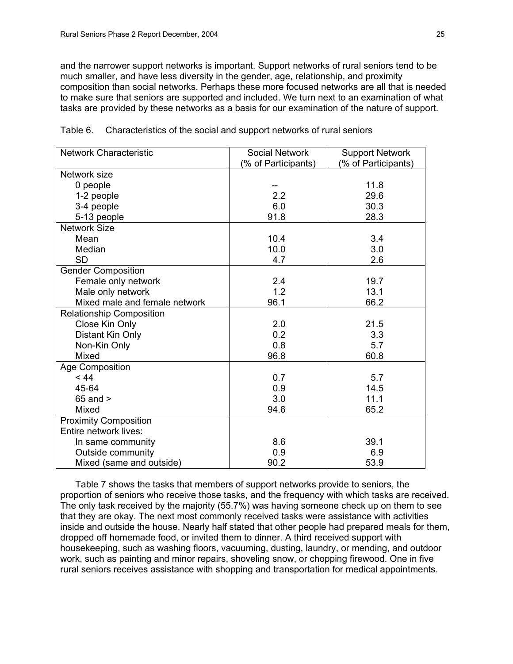and the narrower support networks is important. Support networks of rural seniors tend to be much smaller, and have less diversity in the gender, age, relationship, and proximity composition than social networks. Perhaps these more focused networks are all that is needed to make sure that seniors are supported and included. We turn next to an examination of what tasks are provided by these networks as a basis for our examination of the nature of support.

| <b>Network Characteristic</b>   | <b>Social Network</b> | <b>Support Network</b> |
|---------------------------------|-----------------------|------------------------|
|                                 | (% of Participants)   | (% of Participants)    |
| Network size                    |                       |                        |
| 0 people                        |                       | 11.8                   |
| 1-2 people                      | 2.2                   | 29.6                   |
| 3-4 people                      | 6.0                   | 30.3                   |
| 5-13 people                     | 91.8                  | 28.3                   |
| <b>Network Size</b>             |                       |                        |
| Mean                            | 10.4                  | 3.4                    |
| Median                          | 10.0                  | 3.0                    |
| <b>SD</b>                       | 4.7                   | 2.6                    |
| <b>Gender Composition</b>       |                       |                        |
| Female only network             | 2.4                   | 19.7                   |
| Male only network               | 1.2                   | 13.1                   |
| Mixed male and female network   | 96.1                  | 66.2                   |
| <b>Relationship Composition</b> |                       |                        |
| Close Kin Only                  | 2.0                   | 21.5                   |
| Distant Kin Only                | 0.2                   | 3.3                    |
| Non-Kin Only                    | 0.8                   | 5.7                    |
| Mixed                           | 96.8                  | 60.8                   |
| Age Composition                 |                       |                        |
| < 44                            | 0.7                   | 5.7                    |
| 45-64                           | 0.9                   | 14.5                   |
| $65$ and $>$                    | 3.0                   | 11.1                   |
| <b>Mixed</b>                    | 94.6                  | 65.2                   |
| <b>Proximity Composition</b>    |                       |                        |
| Entire network lives:           |                       |                        |
| In same community               | 8.6                   | 39.1                   |
| Outside community               | 0.9                   | 6.9                    |
| Mixed (same and outside)        | 90.2                  | 53.9                   |

Table 6. Characteristics of the social and support networks of rural seniors

Table 7 shows the tasks that members of support networks provide to seniors, the proportion of seniors who receive those tasks, and the frequency with which tasks are received. The only task received by the majority (55.7%) was having someone check up on them to see that they are okay. The next most commonly received tasks were assistance with activities inside and outside the house. Nearly half stated that other people had prepared meals for them, dropped off homemade food, or invited them to dinner. A third received support with housekeeping, such as washing floors, vacuuming, dusting, laundry, or mending, and outdoor work, such as painting and minor repairs, shoveling snow, or chopping firewood. One in five rural seniors receives assistance with shopping and transportation for medical appointments.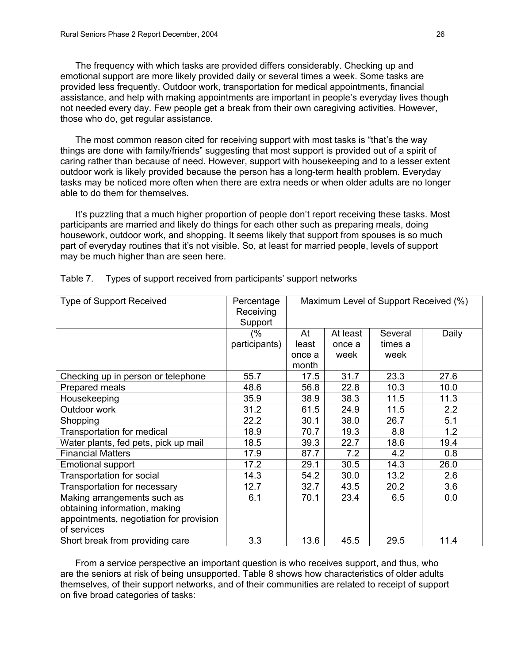The frequency with which tasks are provided differs considerably. Checking up and emotional support are more likely provided daily or several times a week. Some tasks are provided less frequently. Outdoor work, transportation for medical appointments, financial assistance, and help with making appointments are important in people's everyday lives though not needed every day. Few people get a break from their own caregiving activities. However, those who do, get regular assistance.

The most common reason cited for receiving support with most tasks is "that's the way things are done with family/friends" suggesting that most support is provided out of a spirit of caring rather than because of need. However, support with housekeeping and to a lesser extent outdoor work is likely provided because the person has a long-term health problem. Everyday tasks may be noticed more often when there are extra needs or when older adults are no longer able to do them for themselves.

It's puzzling that a much higher proportion of people don't report receiving these tasks. Most participants are married and likely do things for each other such as preparing meals, doing housework, outdoor work, and shopping. It seems likely that support from spouses is so much part of everyday routines that it's not visible. So, at least for married people, levels of support may be much higher than are seen here.

| <b>Type of Support Received</b>         | Percentage    | Maximum Level of Support Received (%) |          |         |       |
|-----------------------------------------|---------------|---------------------------------------|----------|---------|-------|
|                                         | Receiving     |                                       |          |         |       |
|                                         | Support       |                                       |          |         |       |
|                                         | (%            | At                                    | At least | Several | Daily |
|                                         | participants) | least                                 | once a   | times a |       |
|                                         |               | once a                                | week     | week    |       |
|                                         |               | month                                 |          |         |       |
| Checking up in person or telephone      | 55.7          | 17.5                                  | 31.7     | 23.3    | 27.6  |
| Prepared meals                          | 48.6          | 56.8                                  | 22.8     | 10.3    | 10.0  |
| Housekeeping                            | 35.9          | 38.9                                  | 38.3     | 11.5    | 11.3  |
| Outdoor work                            | 31.2          | 61.5                                  | 24.9     | 11.5    | 2.2   |
| Shopping                                | 22.2          | 30.1                                  | 38.0     | 26.7    | 5.1   |
| Transportation for medical              | 18.9          | 70.7                                  | 19.3     | 8.8     | 1.2   |
| Water plants, fed pets, pick up mail    | 18.5          | 39.3                                  | 22.7     | 18.6    | 19.4  |
| <b>Financial Matters</b>                | 17.9          | 87.7                                  | 7.2      | 4.2     | 0.8   |
| <b>Emotional support</b>                | 17.2          | 29.1                                  | 30.5     | 14.3    | 26.0  |
| Transportation for social               | 14.3          | 54.2                                  | 30.0     | 13.2    | 2.6   |
| Transportation for necessary            | 12.7          | 32.7                                  | 43.5     | 20.2    | 3.6   |
| Making arrangements such as             | 6.1           | 70.1                                  | 23.4     | 6.5     | 0.0   |
| obtaining information, making           |               |                                       |          |         |       |
| appointments, negotiation for provision |               |                                       |          |         |       |
| of services                             |               |                                       |          |         |       |
| Short break from providing care         | 3.3           | 13.6                                  | 45.5     | 29.5    | 11.4  |

Table 7. Types of support received from participants' support networks

From a service perspective an important question is who receives support, and thus, who are the seniors at risk of being unsupported. Table 8 shows how characteristics of older adults themselves, of their support networks, and of their communities are related to receipt of support on five broad categories of tasks: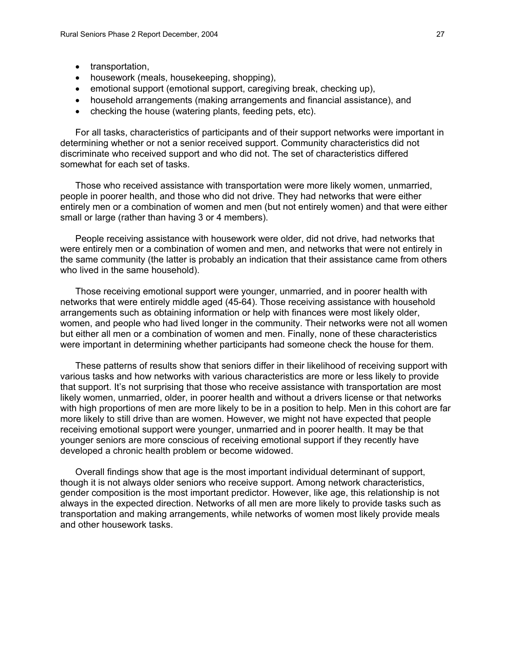- transportation,
- housework (meals, housekeeping, shopping),
- emotional support (emotional support, caregiving break, checking up),
- household arrangements (making arrangements and financial assistance), and
- checking the house (watering plants, feeding pets, etc).

For all tasks, characteristics of participants and of their support networks were important in determining whether or not a senior received support. Community characteristics did not discriminate who received support and who did not. The set of characteristics differed somewhat for each set of tasks.

Those who received assistance with transportation were more likely women, unmarried, people in poorer health, and those who did not drive. They had networks that were either entirely men or a combination of women and men (but not entirely women) and that were either small or large (rather than having 3 or 4 members).

People receiving assistance with housework were older, did not drive, had networks that were entirely men or a combination of women and men, and networks that were not entirely in the same community (the latter is probably an indication that their assistance came from others who lived in the same household).

Those receiving emotional support were younger, unmarried, and in poorer health with networks that were entirely middle aged (45-64). Those receiving assistance with household arrangements such as obtaining information or help with finances were most likely older, women, and people who had lived longer in the community. Their networks were not all women but either all men or a combination of women and men. Finally, none of these characteristics were important in determining whether participants had someone check the house for them.

These patterns of results show that seniors differ in their likelihood of receiving support with various tasks and how networks with various characteristics are more or less likely to provide that support. It's not surprising that those who receive assistance with transportation are most likely women, unmarried, older, in poorer health and without a drivers license or that networks with high proportions of men are more likely to be in a position to help. Men in this cohort are far more likely to still drive than are women. However, we might not have expected that people receiving emotional support were younger, unmarried and in poorer health. It may be that younger seniors are more conscious of receiving emotional support if they recently have developed a chronic health problem or become widowed.

Overall findings show that age is the most important individual determinant of support, though it is not always older seniors who receive support. Among network characteristics, gender composition is the most important predictor. However, like age, this relationship is not always in the expected direction. Networks of all men are more likely to provide tasks such as transportation and making arrangements, while networks of women most likely provide meals and other housework tasks.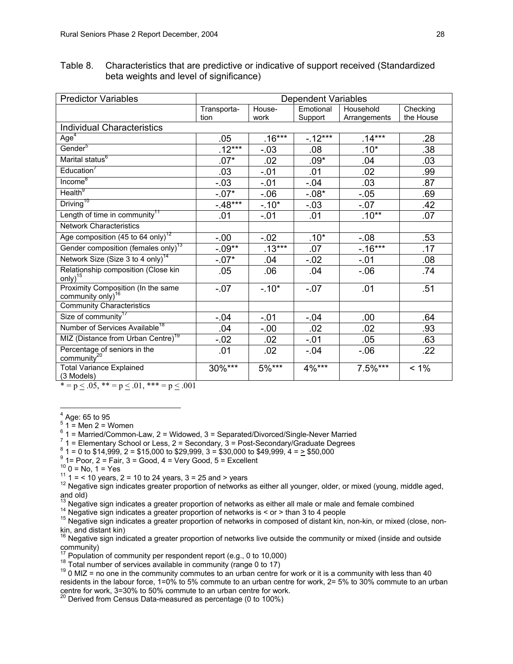Table 8. Characteristics that are predictive or indicative of support received (Standardized beta weights and level of significance)

| <b>Predictor Variables</b>                                                                                                                                                                                                                                                             | <b>Dependent Variables</b> |          |           |              |           |
|----------------------------------------------------------------------------------------------------------------------------------------------------------------------------------------------------------------------------------------------------------------------------------------|----------------------------|----------|-----------|--------------|-----------|
|                                                                                                                                                                                                                                                                                        | Transporta-                | House-   | Emotional | Household    | Checking  |
|                                                                                                                                                                                                                                                                                        | tion                       | work     | Support   | Arrangements | the House |
| <b>Individual Characteristics</b>                                                                                                                                                                                                                                                      |                            |          |           |              |           |
| Age <sup>4</sup>                                                                                                                                                                                                                                                                       | .05                        | $.16***$ | $-12***$  | $.14***$     | .28       |
| Gender <sup>5</sup>                                                                                                                                                                                                                                                                    | $.12***$                   | $-.03$   | .08       | $.10*$       | .38       |
| Marital status <sup>6</sup>                                                                                                                                                                                                                                                            | $.07*$                     | .02      | $.09*$    | .04          | .03       |
| Education <sup>7</sup>                                                                                                                                                                                                                                                                 | .03                        | $-.01$   | .01       | .02          | .99       |
| Income <sup>8</sup>                                                                                                                                                                                                                                                                    | $-.03$                     | $-.01$   | $-.04$    | .03          | .87       |
| Health <sup>9</sup>                                                                                                                                                                                                                                                                    | $-.07*$                    | $-0.06$  | $-.08*$   | $-.05$       | .69       |
| Driving <sup>10</sup>                                                                                                                                                                                                                                                                  | $-48***$                   | $-.10*$  | $-.03$    | $-.07$       | .42       |
| Length of time in community <sup>11</sup>                                                                                                                                                                                                                                              | .01                        | $-.01$   | .01       | $.10^{**}$   | .07       |
| <b>Network Characteristics</b>                                                                                                                                                                                                                                                         |                            |          |           |              |           |
| Age composition (45 to 64 only) <sup>12</sup>                                                                                                                                                                                                                                          | $-0.00$                    | $-0.02$  | $.10*$    | $-0.08$      | .53       |
| Gender composition (females only) <sup>13</sup>                                                                                                                                                                                                                                        | $-.09**$                   | $.13***$ | .07       | $-16***$     | .17       |
| Network Size (Size 3 to 4 only) <sup>14</sup>                                                                                                                                                                                                                                          | $-07*$                     | .04      | $-.02$    | $-.01$       | .08       |
| Relationship composition (Close kin<br>$\text{only}$ <sup>15</sup>                                                                                                                                                                                                                     | .05                        | .06      | .04       | $-0.06$      | .74       |
| Proximity Composition (In the same<br>community only) <sup>16</sup>                                                                                                                                                                                                                    | $-0.07$                    | $-.10*$  | $-.07$    | .01          | .51       |
| <b>Community Characteristics</b>                                                                                                                                                                                                                                                       |                            |          |           |              |           |
| Size of community <sup>17</sup>                                                                                                                                                                                                                                                        | $-0.04$                    | $-.01$   | $-.04$    | .00.         | .64       |
| Number of Services Available <sup>18</sup>                                                                                                                                                                                                                                             | .04                        | $-.00$   | .02       | .02          | .93       |
| MIZ (Distance from Urban Centre) <sup>19</sup>                                                                                                                                                                                                                                         | $-.02$                     | .02      | $-.01$    | .05          | .63       |
| Percentage of seniors in the community <sup>20</sup>                                                                                                                                                                                                                                   | .01                        | .02      | $-.04$    | $-0.06$      | .22       |
| <b>Total Variance Explained</b><br>(3 Models)<br>and the state of the state of the state of the state of the state of the state of the state of the state of the state of the state of the state of the state of the state of the state of the state of the state of the state<br>0.01 | $30\%***$                  | $5\%***$ | 4%***     | $7.5\%***$   | $< 1\%$   |

 $* = p \le 0.05$ ,  $* = p \le 0.01$ ,  $* = p \le 0.001$ 

 $\overline{a}$  $<sup>4</sup>$  Age: 65 to 95</sup>

5  $1 =$  Men 2 = Women

 $^{6}$  1 = Married/Common-Law, 2 = Widowed, 3 = Separated/Divorced/Single-Never Married  $^{7}$  1 = Elementary School of Lage 2 = Secondary 2 = Pest Secondary/Craduate Degrees

 $<sup>7</sup>$  1 = Elementary School or Less, 2 = Secondary, 3 = Post-Secondary/Graduate Degrees</sup>

 $8$  1 = 0 to \$14,999, 2 = \$15,000 to \$29,999, 3 = \$30,000 to \$49,999, 4 =  $\ge$  \$50,000

- $^9$  1= Poor, 2 = Fair, 3 = Good, 4 = Very Good, 5 = Excellent  $^{10}$  0 = No. 1 = Yes
- 

<sup>11</sup> 1 = < 10 years, 2 = 10 to 24 years, 3 = 25 and > years<br><sup>12</sup> Negative sign indicates greater proportion of networks as either all younger, older, or mixed (young, middle aged, and old)<br><sup>13</sup> Negative sign indicates a greater proportion of networks as either all male or male and female combined

<sup>14</sup> Negative sign indicates a greater proportion of networks is < or > than 3 to 4 people<br><sup>15</sup> Negative sign indicates a greater proportion of networks in composed of distant kin, non-kin, or mixed (close, nonkin, and distant kin)

<sup>16</sup> Negative sign indicated a greater proportion of networks live outside the community or mixed (inside and outside community)<br><sup>17</sup> Population of community per respondent report (e.g., 0 to 10,000)

<sup>18</sup> Total number of services available in community (range 0 to 17)<br><sup>18</sup> 0 MIZ = no one in the community commutes to an urban centre for work or it is a community with less than 40 residents in the labour force, 1=0% to 5% commute to an urban centre for work, 2= 5% to 30% commute to an urban centre for work, 3=30% to 50% commute to an urban centre for work. 20 Derived from Census Data-measured as percentage (0 to 100%)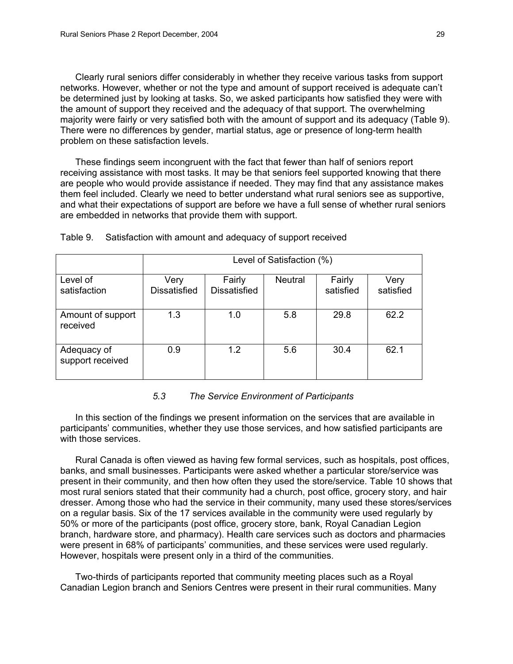Clearly rural seniors differ considerably in whether they receive various tasks from support networks. However, whether or not the type and amount of support received is adequate can't be determined just by looking at tasks. So, we asked participants how satisfied they were with the amount of support they received and the adequacy of that support. The overwhelming majority were fairly or very satisfied both with the amount of support and its adequacy (Table 9). There were no differences by gender, martial status, age or presence of long-term health problem on these satisfaction levels.

These findings seem incongruent with the fact that fewer than half of seniors report receiving assistance with most tasks. It may be that seniors feel supported knowing that there are people who would provide assistance if needed. They may find that any assistance makes them feel included. Clearly we need to better understand what rural seniors see as supportive, and what their expectations of support are before we have a full sense of whether rural seniors are embedded in networks that provide them with support.

|                                 | Level of Satisfaction (%)   |                               |                |                     |                   |
|---------------------------------|-----------------------------|-------------------------------|----------------|---------------------|-------------------|
| Level of<br>satisfaction        | Very<br><b>Dissatisfied</b> | Fairly<br><b>Dissatisfied</b> | <b>Neutral</b> | Fairly<br>satisfied | Very<br>satisfied |
| Amount of support<br>received   | 1.3                         | 1.0                           | 5.8            | 29.8                | 62.2              |
| Adequacy of<br>support received | 0.9                         | 1.2                           | 5.6            | 30.4                | 62.1              |

Table 9. Satisfaction with amount and adequacy of support received

# *5.3 The Service Environment of Participants*

In this section of the findings we present information on the services that are available in participants' communities, whether they use those services, and how satisfied participants are with those services.

Rural Canada is often viewed as having few formal services, such as hospitals, post offices, banks, and small businesses. Participants were asked whether a particular store/service was present in their community, and then how often they used the store/service. Table 10 shows that most rural seniors stated that their community had a church, post office, grocery story, and hair dresser. Among those who had the service in their community, many used these stores/services on a regular basis. Six of the 17 services available in the community were used regularly by 50% or more of the participants (post office, grocery store, bank, Royal Canadian Legion branch, hardware store, and pharmacy). Health care services such as doctors and pharmacies were present in 68% of participants' communities, and these services were used regularly. However, hospitals were present only in a third of the communities.

Two-thirds of participants reported that community meeting places such as a Royal Canadian Legion branch and Seniors Centres were present in their rural communities. Many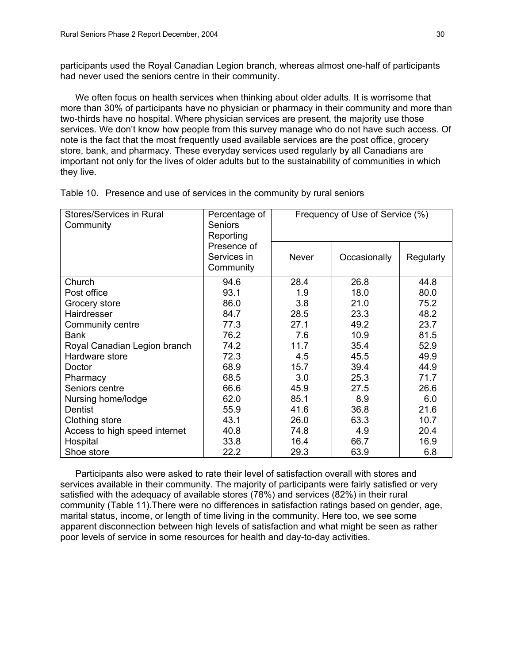participants used the Royal Canadian Legion branch, whereas almost one-half of participants had never used the seniors centre in their community.

We often focus on health services when thinking about older adults. It is worrisome that more than 30% of participants have no physician or pharmacy in their community and more than two-thirds have no hospital. Where physician services are present, the majority use those services. We don't know how people from this survey manage who do not have such access. Of note is the fact that the most frequently used available services are the post office, grocery store, bank, and pharmacy. These everyday services used regularly by all Canadians are important not only for the lives of older adults but to the sustainability of communities in which they live.

| Stores/Services in Rural<br>Community | Percentage of<br><b>Seniors</b><br>Reporting | Frequency of Use of Service (%) |              |           |
|---------------------------------------|----------------------------------------------|---------------------------------|--------------|-----------|
|                                       | Presence of<br>Services in<br>Community      | <b>Never</b>                    | Occasionally | Regularly |
| Church                                | 94.6                                         | 28.4                            | 26.8         | 44.8      |
| Post office                           | 93.1                                         | 1.9                             | 18.0         | 80.0      |
| Grocery store                         | 86.0                                         | 3.8                             | 21.0         | 75.2      |
| Hairdresser                           | 84.7                                         | 28.5                            | 23.3         | 48.2      |
| Community centre                      | 77.3                                         | 27.1                            | 49.2         | 23.7      |
| <b>Bank</b>                           | 76.2                                         | 7.6                             | 10.9         | 81.5      |
| Royal Canadian Legion branch          | 74.2                                         | 11.7                            | 35.4         | 52.9      |
| Hardware store                        | 72.3                                         | 4.5                             | 45.5         | 49.9      |
| Doctor                                | 68.9                                         | 15.7                            | 39.4         | 44.9      |
| Pharmacy                              | 68.5                                         | 3.0                             | 25.3         | 71.7      |
| Seniors centre                        | 66.6                                         | 45.9                            | 27.5         | 26.6      |
| Nursing home/lodge                    | 62.0                                         | 85.1                            | 8.9          | 6.0       |
| Dentist                               | 55.9                                         | 41.6                            | 36.8         | 21.6      |
| Clothing store                        | 43.1                                         | 26.0                            | 63.3         | 10.7      |
| Access to high speed internet         | 40.8                                         | 74.8                            | 4.9          | 20.4      |
| Hospital                              | 33.8                                         | 16.4                            | 66.7         | 16.9      |
| Shoe store                            | 22.2                                         | 29.3                            | 63.9         | 6.8       |

Table 10. Presence and use of services in the community by rural seniors

Participants also were asked to rate their level of satisfaction overall with stores and services available in their community. The majority of participants were fairly satisfied or very satisfied with the adequacy of available stores (78%) and services (82%) in their rural community (Table 11).There were no differences in satisfaction ratings based on gender, age, marital status, income, or length of time living in the community. Here too, we see some apparent disconnection between high levels of satisfaction and what might be seen as rather poor levels of service in some resources for health and day-to-day activities.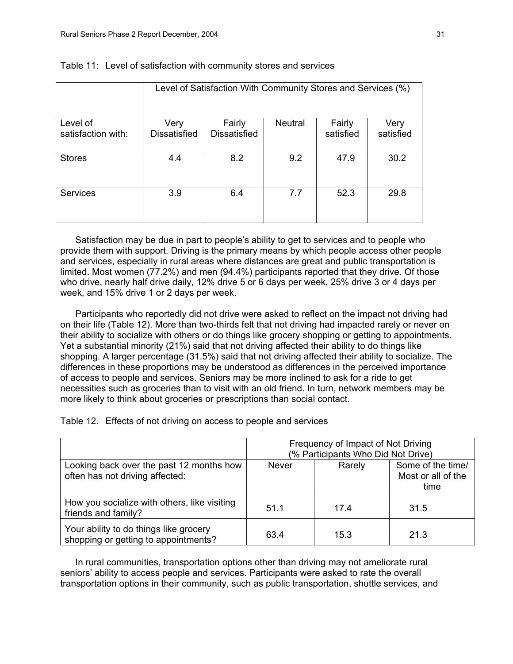|                                | Level of Satisfaction With Community Stores and Services (%) |                               |                |                     |                   |
|--------------------------------|--------------------------------------------------------------|-------------------------------|----------------|---------------------|-------------------|
| Level of<br>satisfaction with: | Very<br><b>Dissatisfied</b>                                  | Fairly<br><b>Dissatisfied</b> | <b>Neutral</b> | Fairly<br>satisfied | Very<br>satisfied |
| <b>Stores</b>                  | 4.4                                                          | 8.2                           | 9.2            | 47.9                | 30.2              |
| <b>Services</b>                | 3.9                                                          | 6.4                           | 7.7            | 52.3                | 29.8              |

#### Table 11: Level of satisfaction with community stores and services

Satisfaction may be due in part to people's ability to get to services and to people who provide them with support. Driving is the primary means by which people access other people and services, especially in rural areas where distances are great and public transportation is limited. Most women (77.2%) and men (94.4%) participants reported that they drive. Of those who drive, nearly half drive daily, 12% drive 5 or 6 days per week, 25% drive 3 or 4 days per week, and 15% drive 1 or 2 days per week.

Participants who reportedly did not drive were asked to reflect on the impact not driving had on their life (Table 12). More than two-thirds felt that not driving had impacted rarely or never on their ability to socialize with others or do things like grocery shopping or getting to appointments. Yet a substantial minority (21%) said that not driving affected their ability to do things like shopping. A larger percentage (31.5%) said that not driving affected their ability to socialize. The differences in these proportions may be understood as differences in the perceived importance of access to people and services. Seniors may be more inclined to ask for a ride to get necessities such as groceries than to visit with an old friend. In turn, network members may be more likely to think about groceries or prescriptions than social contact.

Table 12. Effects of not driving on access to people and services

|                                                                                | Frequency of Impact of Not Driving<br>(% Participants Who Did Not Drive) |        |                                                 |  |
|--------------------------------------------------------------------------------|--------------------------------------------------------------------------|--------|-------------------------------------------------|--|
| Looking back over the past 12 months how<br>often has not driving affected:    | <b>Never</b>                                                             | Rarely | Some of the time/<br>Most or all of the<br>time |  |
| How you socialize with others, like visiting<br>friends and family?            | 51.1                                                                     | 17.4   | 31.5                                            |  |
| Your ability to do things like grocery<br>shopping or getting to appointments? | 63.4                                                                     | 15.3   | 21.3                                            |  |

In rural communities, transportation options other than driving may not ameliorate rural seniors' ability to access people and services. Participants were asked to rate the overall transportation options in their community, such as public transportation, shuttle services, and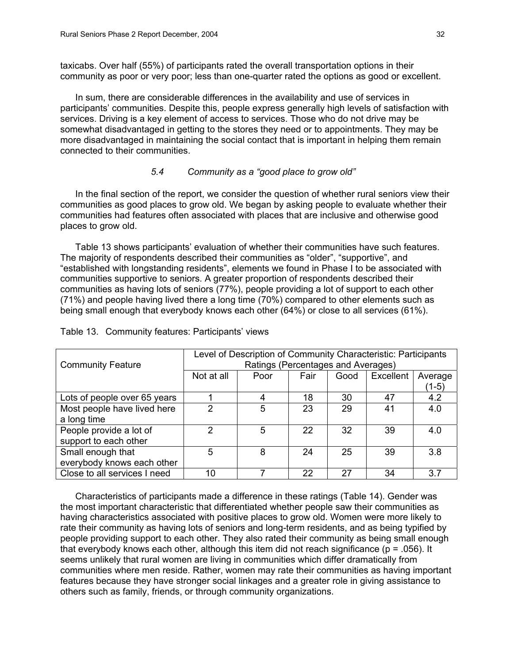taxicabs. Over half (55%) of participants rated the overall transportation options in their community as poor or very poor; less than one-quarter rated the options as good or excellent.

In sum, there are considerable differences in the availability and use of services in participants' communities. Despite this, people express generally high levels of satisfaction with services. Driving is a key element of access to services. Those who do not drive may be somewhat disadvantaged in getting to the stores they need or to appointments. They may be more disadvantaged in maintaining the social contact that is important in helping them remain connected to their communities.

# *5.4 Community as a "good place to grow old"*

In the final section of the report, we consider the question of whether rural seniors view their communities as good places to grow old. We began by asking people to evaluate whether their communities had features often associated with places that are inclusive and otherwise good places to grow old.

Table 13 shows participants' evaluation of whether their communities have such features. The majority of respondents described their communities as "older", "supportive", and "established with longstanding residents", elements we found in Phase I to be associated with communities supportive to seniors. A greater proportion of respondents described their communities as having lots of seniors (77%), people providing a lot of support to each other (71%) and people having lived there a long time (70%) compared to other elements such as being small enough that everybody knows each other (64%) or close to all services (61%).

|                              | Level of Description of Community Characteristic: Participants<br>Ratings (Percentages and Averages) |      |      |      |           |         |
|------------------------------|------------------------------------------------------------------------------------------------------|------|------|------|-----------|---------|
| <b>Community Feature</b>     |                                                                                                      |      |      |      |           |         |
|                              | Not at all                                                                                           | Poor | Fair | Good | Excellent | Average |
|                              |                                                                                                      |      |      |      |           | (1-5)   |
| Lots of people over 65 years |                                                                                                      | 4    | 18   | 30   | 47        | 4.2     |
| Most people have lived here  | 2                                                                                                    | 5    | 23   | 29   | 41        | 4.0     |
| a long time                  |                                                                                                      |      |      |      |           |         |
| People provide a lot of      | 2                                                                                                    | 5    | 22   | 32   | 39        | 4.0     |
| support to each other        |                                                                                                      |      |      |      |           |         |
| Small enough that            | 5                                                                                                    | 8    | 24   | 25   | 39        | 3.8     |
| everybody knows each other   |                                                                                                      |      |      |      |           |         |
| Close to all services I need | 10                                                                                                   |      | 22   | 27   | 34        | 3.7     |

Table 13. Community features: Participants' views

Characteristics of participants made a difference in these ratings (Table 14). Gender was the most important characteristic that differentiated whether people saw their communities as having characteristics associated with positive places to grow old. Women were more likely to rate their community as having lots of seniors and long-term residents, and as being typified by people providing support to each other. They also rated their community as being small enough that everybody knows each other, although this item did not reach significance ( $p = .056$ ). It seems unlikely that rural women are living in communities which differ dramatically from communities where men reside. Rather, women may rate their communities as having important features because they have stronger social linkages and a greater role in giving assistance to others such as family, friends, or through community organizations.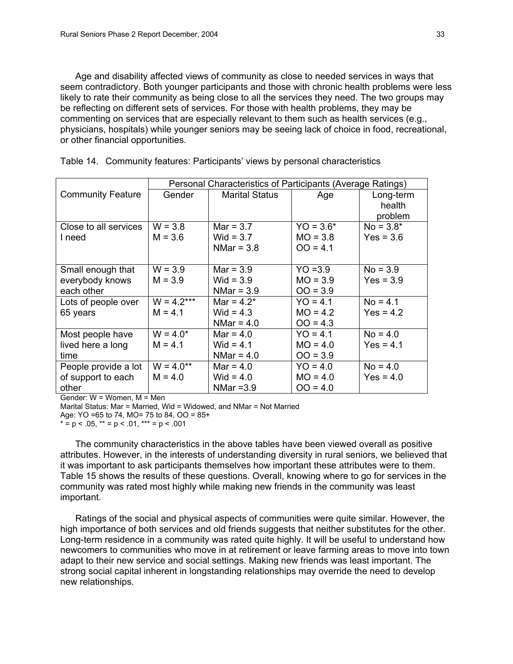Age and disability affected views of community as close to needed services in ways that seem contradictory. Both younger participants and those with chronic health problems were less likely to rate their community as being close to all the services they need. The two groups may be reflecting on different sets of services. For those with health problems, they may be commenting on services that are especially relevant to them such as health services (e.g., physicians, hospitals) while younger seniors may be seeing lack of choice in food, recreational, or other financial opportunities.

|                          | Personal Characteristics of Participants (Average Ratings) |                |             |             |  |
|--------------------------|------------------------------------------------------------|----------------|-------------|-------------|--|
| <b>Community Feature</b> | Gender                                                     | Marital Status | Age         | Long-term   |  |
|                          |                                                            |                |             | health      |  |
|                          |                                                            |                |             | problem     |  |
| Close to all services    | $W = 3.8$                                                  | $Mar = 3.7$    | $YO = 3.6*$ | $No = 3.8*$ |  |
| I need                   | $M = 3.6$                                                  | Wid = $3.7$    | $MO = 3.8$  | $Yes = 3.6$ |  |
|                          |                                                            | NMar = $3.8$   | $OO = 4.1$  |             |  |
|                          |                                                            |                |             |             |  |
| Small enough that        | $W = 3.9$                                                  | $Mar = 3.9$    | $YO = 3.9$  | $No = 3.9$  |  |
| everybody knows          | $M = 3.9$                                                  | Wid = $3.9$    | $MO = 3.9$  | $Yes = 3.9$ |  |
| each other               |                                                            | NMar = $3.9$   | $OO = 3.9$  |             |  |
| Lots of people over      | $W = 4.2***$                                               | Mar = $4.2^*$  | $YO = 4.1$  | $No = 4.1$  |  |
| 65 years                 | $M = 4.1$                                                  | Wid = $4.3$    | $MO = 4.2$  | $Yes = 4.2$ |  |
|                          |                                                            | NMar = $4.0$   | $OO = 4.3$  |             |  |
| Most people have         | $W = 4.0*$                                                 | $Mar = 4.0$    | $YO = 4.1$  | $No = 4.0$  |  |
| lived here a long        | $M = 4.1$                                                  | Wid = $4.1$    | $MO = 4.0$  | $Yes = 4.1$ |  |
| time                     |                                                            | NMar = $4.0$   | $OO = 3.9$  |             |  |
| People provide a lot     | $W = 4.0**$                                                | $Mar = 4.0$    | $YO = 4.0$  | $No = 4.0$  |  |
| of support to each       | $M = 4.0$                                                  | Wid = $4.0$    | $MO = 4.0$  | $Yes = 4.0$ |  |
| other                    |                                                            | NMar $=3.9$    | $OO = 4.0$  |             |  |

Table 14. Community features: Participants' views by personal characteristics

Gender: W = Women, M = Men

Marital Status: Mar = Married, Wid = Widowed, and NMar = Not Married

Age: YO =65 to 74, MO= 75 to 84, OO = 85+

\*  $= p < .05$ , \*\*  $= p < .01$ , \*\*\*  $= p < .001$ 

The community characteristics in the above tables have been viewed overall as positive attributes. However, in the interests of understanding diversity in rural seniors, we believed that it was important to ask participants themselves how important these attributes were to them. Table 15 shows the results of these questions. Overall, knowing where to go for services in the community was rated most highly while making new friends in the community was least important.

Ratings of the social and physical aspects of communities were quite similar. However, the high importance of both services and old friends suggests that neither substitutes for the other. Long-term residence in a community was rated quite highly. It will be useful to understand how newcomers to communities who move in at retirement or leave farming areas to move into town adapt to their new service and social settings. Making new friends was least important. The strong social capital inherent in longstanding relationships may override the need to develop new relationships.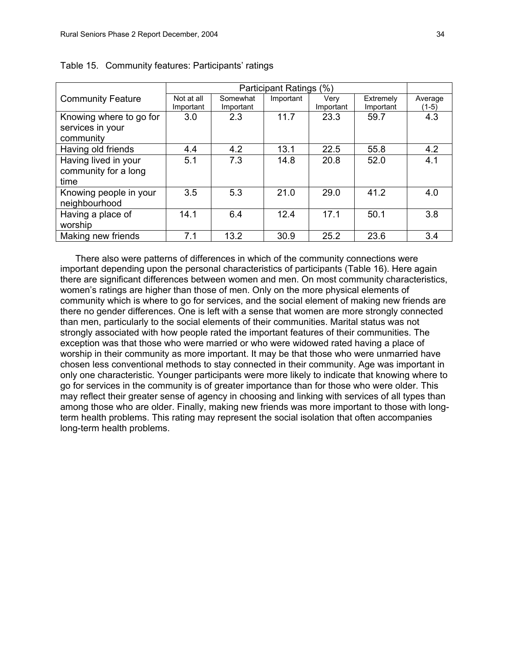|                          | Participant Ratings (%) |                       |           |                   |                        |                    |
|--------------------------|-------------------------|-----------------------|-----------|-------------------|------------------------|--------------------|
| <b>Community Feature</b> | Not at all<br>Important | Somewhat<br>Important | Important | Verv<br>Important | Extremely<br>Important | Average<br>$(1-5)$ |
| Knowing where to go for  | 3.0                     | 2.3                   | 11.7      | 23.3              | 59.7                   | 4.3                |
| services in your         |                         |                       |           |                   |                        |                    |
| community                |                         |                       |           |                   |                        |                    |
| Having old friends       | 4.4                     | 4.2                   | 13.1      | 22.5              | 55.8                   | 4.2                |
| Having lived in your     | 5.1                     | 7.3                   | 14.8      | 20.8              | 52.0                   | 4.1                |
| community for a long     |                         |                       |           |                   |                        |                    |
| time                     |                         |                       |           |                   |                        |                    |
| Knowing people in your   | 3.5                     | 5.3                   | 21.0      | 29.0              | 41.2                   | 4.0                |
| neighbourhood            |                         |                       |           |                   |                        |                    |
| Having a place of        | 14.1                    | 6.4                   | 12.4      | 17.1              | 50.1                   | 3.8                |
| worship                  |                         |                       |           |                   |                        |                    |
| Making new friends       | 7.1                     | 13.2                  | 30.9      | 25.2              | 23.6                   | 3.4                |

Table 15. Community features: Participants' ratings

There also were patterns of differences in which of the community connections were important depending upon the personal characteristics of participants (Table 16). Here again there are significant differences between women and men. On most community characteristics, women's ratings are higher than those of men. Only on the more physical elements of community which is where to go for services, and the social element of making new friends are there no gender differences. One is left with a sense that women are more strongly connected than men, particularly to the social elements of their communities. Marital status was not strongly associated with how people rated the important features of their communities. The exception was that those who were married or who were widowed rated having a place of worship in their community as more important. It may be that those who were unmarried have chosen less conventional methods to stay connected in their community. Age was important in only one characteristic. Younger participants were more likely to indicate that knowing where to go for services in the community is of greater importance than for those who were older. This may reflect their greater sense of agency in choosing and linking with services of all types than among those who are older. Finally, making new friends was more important to those with longterm health problems. This rating may represent the social isolation that often accompanies long-term health problems.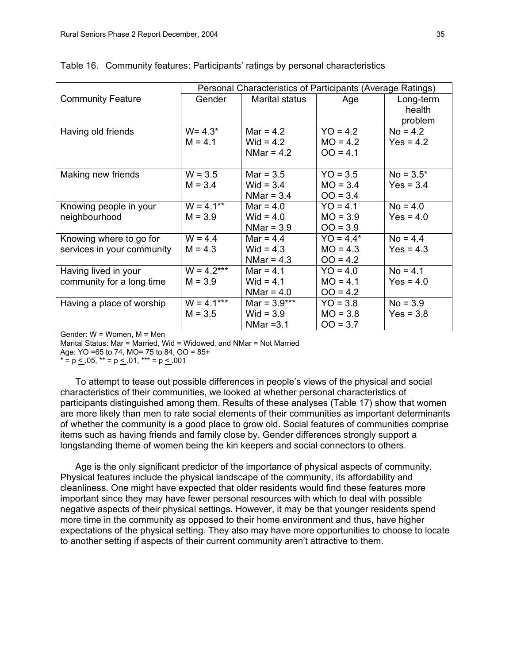|                            |              | Personal Characteristics of Participants (Average Ratings) |             |             |  |
|----------------------------|--------------|------------------------------------------------------------|-------------|-------------|--|
| <b>Community Feature</b>   | Gender       | Marital status                                             | Age         | Long-term   |  |
|                            |              |                                                            |             | health      |  |
|                            |              |                                                            |             | problem     |  |
| Having old friends         | $W = 4.3*$   | Mar = $4.2$                                                | $YO = 4.2$  | $No = 4.2$  |  |
|                            | $M = 4.1$    | Wid = $4.2$                                                | $MO = 4.2$  | $Yes = 4.2$ |  |
|                            |              | NMar = $4.2$                                               | $OO = 4.1$  |             |  |
|                            |              |                                                            |             |             |  |
| Making new friends         | $W = 3.5$    | $Mar = 3.5$                                                | $YO = 3.5$  | $No = 3.5*$ |  |
|                            | $M = 3.4$    | Wid = $3.4$                                                | $MO = 3.4$  | $Yes = 3.4$ |  |
|                            |              | NMar = $3.4$                                               | $OO = 3.4$  |             |  |
| Knowing people in your     | $W = 4.1**$  | $Mar = 4.0$                                                | $YO = 4.1$  | $No = 4.0$  |  |
| neighbourhood              | $M = 3.9$    | Wid = $4.0$                                                | $MO = 3.9$  | $Yes = 4.0$ |  |
|                            |              | NMar = $3.9$                                               | $OO = 3.9$  |             |  |
| Knowing where to go for    | $W = 4.4$    | Mar = $4.4$                                                | $YO = 4.4*$ | $No = 4.4$  |  |
| services in your community | $M = 4.3$    | Wid = $4.3$                                                | $MO = 4.3$  | $Yes = 4.3$ |  |
|                            |              | NMar = $4.3$                                               | $OO = 4.2$  |             |  |
| Having lived in your       | $W = 4.2***$ | Mar = $4.1$                                                | $YO = 4.0$  | $No = 4.1$  |  |
| community for a long time  | $M = 3.9$    | Wid = $4.1$                                                | $MO = 4.1$  | $Yes = 4.0$ |  |
|                            |              | NMar = $4.0$                                               | $OO = 4.2$  |             |  |
| Having a place of worship  | $W = 4.1***$ | Mar = $3.9***$                                             | $YO = 3.8$  | $No = 3.9$  |  |
|                            | $M = 3.5$    | Wid = $3.9$                                                | $MO = 3.8$  | $Yes = 3.8$ |  |
|                            |              | NMar $=3.1$                                                | $OO = 3.7$  |             |  |

Table 16. Community features: Participants' ratings by personal characteristics

Gender: W = Women, M = Men

Marital Status: Mar = Married, Wid = Widowed, and NMar = Not Married

Age: YO =65 to 74, MO= 75 to 84, OO = 85+

 $* = p < .05$ ,  $** = p < .01$ ,  $** = p < .001$ 

To attempt to tease out possible differences in people's views of the physical and social characteristics of their communities, we looked at whether personal characteristics of participants distinguished among them. Results of these analyses (Table 17) show that women are more likely than men to rate social elements of their communities as important determinants of whether the community is a good place to grow old. Social features of communities comprise items such as having friends and family close by. Gender differences strongly support a longstanding theme of women being the kin keepers and social connectors to others.

Age is the only significant predictor of the importance of physical aspects of community. Physical features include the physical landscape of the community, its affordability and cleanliness. One might have expected that older residents would find these features more important since they may have fewer personal resources with which to deal with possible negative aspects of their physical settings. However, it may be that younger residents spend more time in the community as opposed to their home environment and thus, have higher expectations of the physical setting. They also may have more opportunities to choose to locate to another setting if aspects of their current community aren't attractive to them.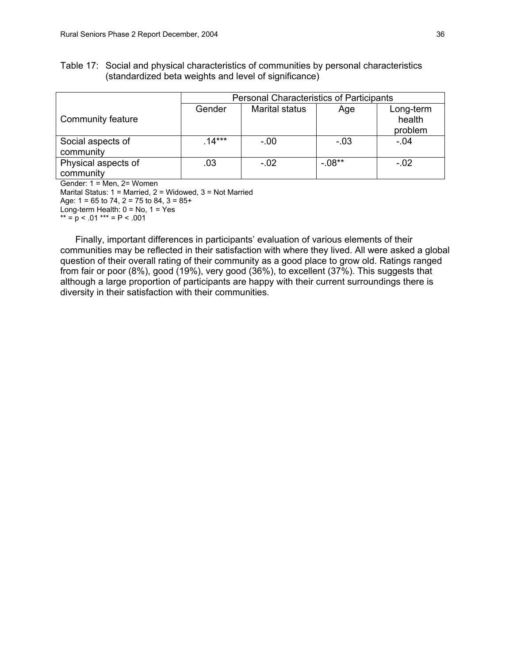Table 17: Social and physical characteristics of communities by personal characteristics (standardized beta weights and level of significance)

|                                  |          | <b>Personal Characteristics of Participants</b> |          |                                |  |
|----------------------------------|----------|-------------------------------------------------|----------|--------------------------------|--|
| Community feature                | Gender   | <b>Marital status</b>                           | Age      | Long-term<br>health<br>problem |  |
| Social aspects of<br>community   | $.14***$ | $-.00$                                          | $-.03$   | $-.04$                         |  |
| Physical aspects of<br>community | .03      | $-.02$                                          | $-.08**$ | $-.02$                         |  |

Gender: 1 = Men, 2= Women Marital Status: 1 = Married, 2 = Widowed, 3 = Not Married Age:  $1 = 65$  to  $74$ ,  $2 = 75$  to  $84$ ,  $3 = 85+$ Long-term Health:  $0 = No$ ,  $1 = Yes$ \*\* =  $p$  < .01 \*\*\* = P < .001

Finally, important differences in participants' evaluation of various elements of their communities may be reflected in their satisfaction with where they lived. All were asked a global question of their overall rating of their community as a good place to grow old. Ratings ranged from fair or poor (8%), good (19%), very good (36%), to excellent (37%). This suggests that although a large proportion of participants are happy with their current surroundings there is diversity in their satisfaction with their communities.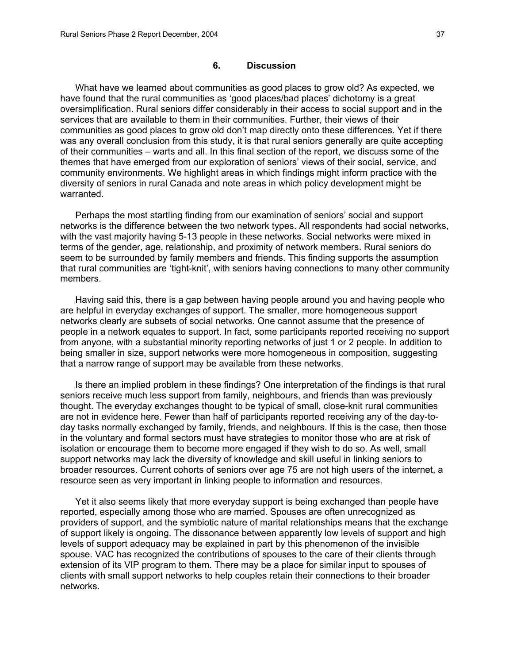### **6. Discussion**

What have we learned about communities as good places to grow old? As expected, we have found that the rural communities as 'good places/bad places' dichotomy is a great oversimplification. Rural seniors differ considerably in their access to social support and in the services that are available to them in their communities. Further, their views of their communities as good places to grow old don't map directly onto these differences. Yet if there was any overall conclusion from this study, it is that rural seniors generally are quite accepting of their communities – warts and all. In this final section of the report, we discuss some of the themes that have emerged from our exploration of seniors' views of their social, service, and community environments. We highlight areas in which findings might inform practice with the diversity of seniors in rural Canada and note areas in which policy development might be warranted.

Perhaps the most startling finding from our examination of seniors' social and support networks is the difference between the two network types. All respondents had social networks, with the vast majority having 5-13 people in these networks. Social networks were mixed in terms of the gender, age, relationship, and proximity of network members. Rural seniors do seem to be surrounded by family members and friends. This finding supports the assumption that rural communities are 'tight-knit', with seniors having connections to many other community members.

Having said this, there is a gap between having people around you and having people who are helpful in everyday exchanges of support. The smaller, more homogeneous support networks clearly are subsets of social networks. One cannot assume that the presence of people in a network equates to support. In fact, some participants reported receiving no support from anyone, with a substantial minority reporting networks of just 1 or 2 people. In addition to being smaller in size, support networks were more homogeneous in composition, suggesting that a narrow range of support may be available from these networks.

Is there an implied problem in these findings? One interpretation of the findings is that rural seniors receive much less support from family, neighbours, and friends than was previously thought. The everyday exchanges thought to be typical of small, close-knit rural communities are not in evidence here. Fewer than half of participants reported receiving any of the day-today tasks normally exchanged by family, friends, and neighbours. If this is the case, then those in the voluntary and formal sectors must have strategies to monitor those who are at risk of isolation or encourage them to become more engaged if they wish to do so. As well, small support networks may lack the diversity of knowledge and skill useful in linking seniors to broader resources. Current cohorts of seniors over age 75 are not high users of the internet, a resource seen as very important in linking people to information and resources.

Yet it also seems likely that more everyday support is being exchanged than people have reported, especially among those who are married. Spouses are often unrecognized as providers of support, and the symbiotic nature of marital relationships means that the exchange of support likely is ongoing. The dissonance between apparently low levels of support and high levels of support adequacy may be explained in part by this phenomenon of the invisible spouse. VAC has recognized the contributions of spouses to the care of their clients through extension of its VIP program to them. There may be a place for similar input to spouses of clients with small support networks to help couples retain their connections to their broader networks.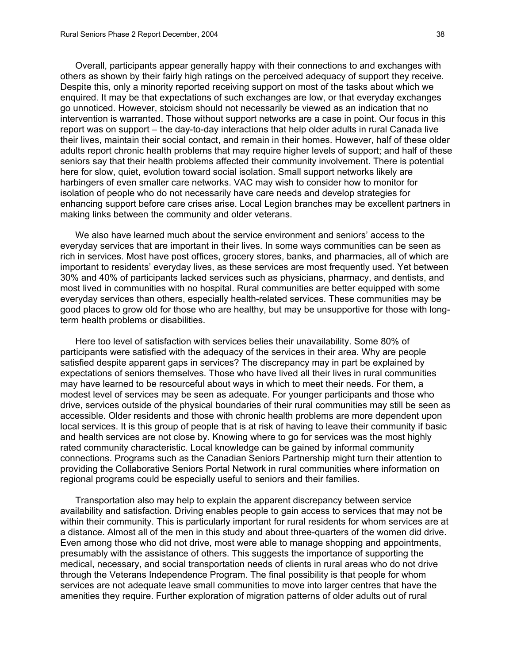Overall, participants appear generally happy with their connections to and exchanges with others as shown by their fairly high ratings on the perceived adequacy of support they receive. Despite this, only a minority reported receiving support on most of the tasks about which we enquired. It may be that expectations of such exchanges are low, or that everyday exchanges go unnoticed. However, stoicism should not necessarily be viewed as an indication that no intervention is warranted. Those without support networks are a case in point. Our focus in this report was on support – the day-to-day interactions that help older adults in rural Canada live their lives, maintain their social contact, and remain in their homes. However, half of these older adults report chronic health problems that may require higher levels of support; and half of these seniors say that their health problems affected their community involvement. There is potential here for slow, quiet, evolution toward social isolation. Small support networks likely are harbingers of even smaller care networks. VAC may wish to consider how to monitor for isolation of people who do not necessarily have care needs and develop strategies for enhancing support before care crises arise. Local Legion branches may be excellent partners in making links between the community and older veterans.

We also have learned much about the service environment and seniors' access to the everyday services that are important in their lives. In some ways communities can be seen as rich in services. Most have post offices, grocery stores, banks, and pharmacies, all of which are important to residents' everyday lives, as these services are most frequently used. Yet between 30% and 40% of participants lacked services such as physicians, pharmacy, and dentists, and most lived in communities with no hospital. Rural communities are better equipped with some everyday services than others, especially health-related services. These communities may be good places to grow old for those who are healthy, but may be unsupportive for those with longterm health problems or disabilities.

Here too level of satisfaction with services belies their unavailability. Some 80% of participants were satisfied with the adequacy of the services in their area. Why are people satisfied despite apparent gaps in services? The discrepancy may in part be explained by expectations of seniors themselves. Those who have lived all their lives in rural communities may have learned to be resourceful about ways in which to meet their needs. For them, a modest level of services may be seen as adequate. For younger participants and those who drive, services outside of the physical boundaries of their rural communities may still be seen as accessible. Older residents and those with chronic health problems are more dependent upon local services. It is this group of people that is at risk of having to leave their community if basic and health services are not close by. Knowing where to go for services was the most highly rated community characteristic. Local knowledge can be gained by informal community connections. Programs such as the Canadian Seniors Partnership might turn their attention to providing the Collaborative Seniors Portal Network in rural communities where information on regional programs could be especially useful to seniors and their families.

Transportation also may help to explain the apparent discrepancy between service availability and satisfaction. Driving enables people to gain access to services that may not be within their community. This is particularly important for rural residents for whom services are at a distance. Almost all of the men in this study and about three-quarters of the women did drive. Even among those who did not drive, most were able to manage shopping and appointments, presumably with the assistance of others. This suggests the importance of supporting the medical, necessary, and social transportation needs of clients in rural areas who do not drive through the Veterans Independence Program. The final possibility is that people for whom services are not adequate leave small communities to move into larger centres that have the amenities they require. Further exploration of migration patterns of older adults out of rural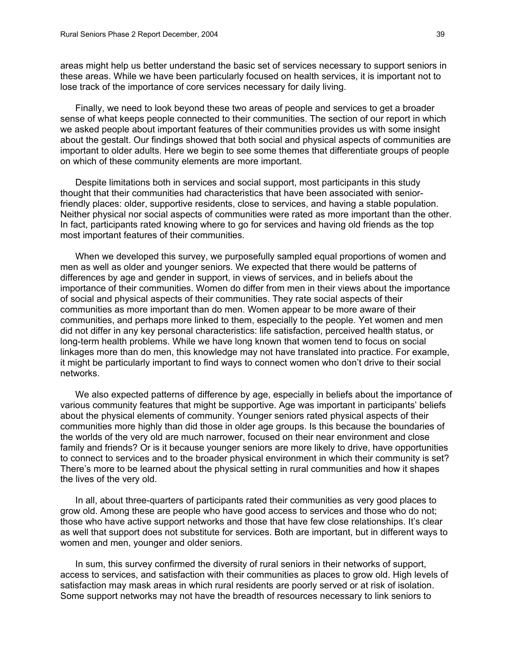areas might help us better understand the basic set of services necessary to support seniors in these areas. While we have been particularly focused on health services, it is important not to lose track of the importance of core services necessary for daily living.

Finally, we need to look beyond these two areas of people and services to get a broader sense of what keeps people connected to their communities. The section of our report in which we asked people about important features of their communities provides us with some insight about the gestalt. Our findings showed that both social and physical aspects of communities are important to older adults. Here we begin to see some themes that differentiate groups of people on which of these community elements are more important.

Despite limitations both in services and social support, most participants in this study thought that their communities had characteristics that have been associated with seniorfriendly places: older, supportive residents, close to services, and having a stable population. Neither physical nor social aspects of communities were rated as more important than the other. In fact, participants rated knowing where to go for services and having old friends as the top most important features of their communities.

When we developed this survey, we purposefully sampled equal proportions of women and men as well as older and younger seniors. We expected that there would be patterns of differences by age and gender in support, in views of services, and in beliefs about the importance of their communities. Women do differ from men in their views about the importance of social and physical aspects of their communities. They rate social aspects of their communities as more important than do men. Women appear to be more aware of their communities, and perhaps more linked to them, especially to the people. Yet women and men did not differ in any key personal characteristics: life satisfaction, perceived health status, or long-term health problems. While we have long known that women tend to focus on social linkages more than do men, this knowledge may not have translated into practice. For example, it might be particularly important to find ways to connect women who don't drive to their social networks.

We also expected patterns of difference by age, especially in beliefs about the importance of various community features that might be supportive. Age was important in participants' beliefs about the physical elements of community. Younger seniors rated physical aspects of their communities more highly than did those in older age groups. Is this because the boundaries of the worlds of the very old are much narrower, focused on their near environment and close family and friends? Or is it because younger seniors are more likely to drive, have opportunities to connect to services and to the broader physical environment in which their community is set? There's more to be learned about the physical setting in rural communities and how it shapes the lives of the very old.

In all, about three-quarters of participants rated their communities as very good places to grow old. Among these are people who have good access to services and those who do not; those who have active support networks and those that have few close relationships. It's clear as well that support does not substitute for services. Both are important, but in different ways to women and men, younger and older seniors.

In sum, this survey confirmed the diversity of rural seniors in their networks of support, access to services, and satisfaction with their communities as places to grow old. High levels of satisfaction may mask areas in which rural residents are poorly served or at risk of isolation. Some support networks may not have the breadth of resources necessary to link seniors to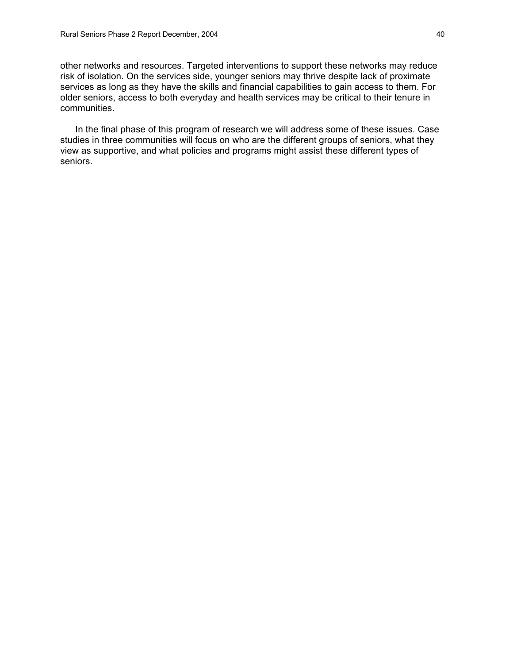other networks and resources. Targeted interventions to support these networks may reduce risk of isolation. On the services side, younger seniors may thrive despite lack of proximate services as long as they have the skills and financial capabilities to gain access to them. For older seniors, access to both everyday and health services may be critical to their tenure in communities.

In the final phase of this program of research we will address some of these issues. Case studies in three communities will focus on who are the different groups of seniors, what they view as supportive, and what policies and programs might assist these different types of seniors.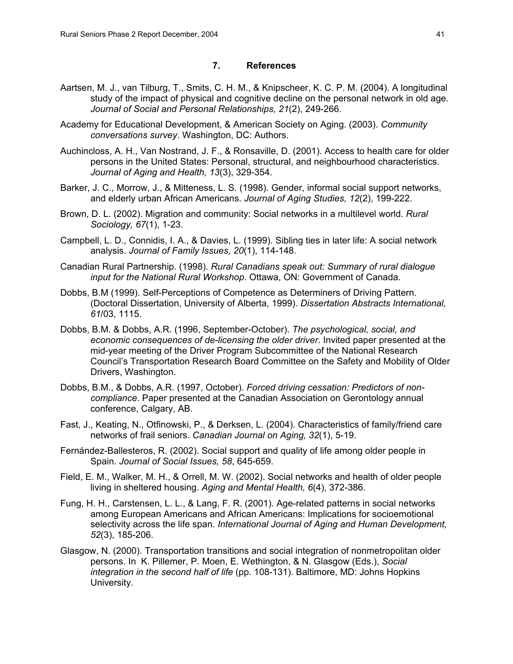### **7. References**

- Aartsen, M. J., van Tilburg, T., Smits, C. H. M., & Knipscheer, K. C. P. M. (2004). A longitudinal study of the impact of physical and cognitive decline on the personal network in old age. *Journal of Social and Personal Relationships, 21*(2), 249-266.
- Academy for Educational Development, & American Society on Aging. (2003). *Community conversations survey*. Washington, DC: Authors.
- Auchincloss, A. H., Van Nostrand, J. F., & Ronsaville, D. (2001). Access to health care for older persons in the United States: Personal, structural, and neighbourhood characteristics. *Journal of Aging and Health, 13*(3), 329-354.
- Barker, J. C., Morrow, J., & Mitteness, L. S. (1998). Gender, informal social support networks, and elderly urban African Americans. *Journal of Aging Studies, 12*(2), 199-222.
- Brown, D. L. (2002). Migration and community: Social networks in a multilevel world. *Rural Sociology, 67*(1), 1-23.
- Campbell, L. D., Connidis, I. A., & Davies, L. (1999). Sibling ties in later life: A social network analysis. *Journal of Family Issues, 20*(1), 114-148.
- Canadian Rural Partnership. (1998). *Rural Canadians speak out: Summary of rural dialogue input for the National Rural Workshop*. Ottawa, ON: Government of Canada.
- Dobbs, B.M (1999). Self-Perceptions of Competence as Determiners of Driving Pattern. (Doctoral Dissertation, University of Alberta, 1999). *Dissertation Abstracts International, 61*/03, 1115.
- Dobbs, B.M. & Dobbs, A.R. (1996, September-October). *The psychological, social, and economic consequences of de-licensing the older driver*. Invited paper presented at the mid-year meeting of the Driver Program Subcommittee of the National Research Council's Transportation Research Board Committee on the Safety and Mobility of Older Drivers, Washington.
- Dobbs, B.M., & Dobbs, A.R. (1997, October). *Forced driving cessation: Predictors of noncompliance*. Paper presented at the Canadian Association on Gerontology annual conference, Calgary, AB.
- Fast, J., Keating, N., Otfinowski, P., & Derksen, L. (2004). Characteristics of family/friend care networks of frail seniors. *Canadian Journal on Aging, 32*(1), 5-19.
- Fernández-Ballesteros, R. (2002). Social support and quality of life among older people in Spain. *Journal of Social Issues, 58*, 645-659.
- Field, E. M., Walker, M. H., & Orrell, M. W. (2002). Social networks and health of older people living in sheltered housing. *Aging and Mental Health, 6*(4), 372-386.
- Fung, H. H., Carstensen, L. L., & Lang, F. R. (2001). Age-related patterns in social networks among European Americans and African Americans: Implications for socioemotional selectivity across the life span. *International Journal of Aging and Human Development, 52*(3), 185-206.
- Glasgow, N. (2000). Transportation transitions and social integration of nonmetropolitan older persons. In K. Pillemer, P. Moen, E. Wethington, & N. Glasgow (Eds.), *Social integration in the second half of life* (pp. 108-131). Baltimore, MD: Johns Hopkins University.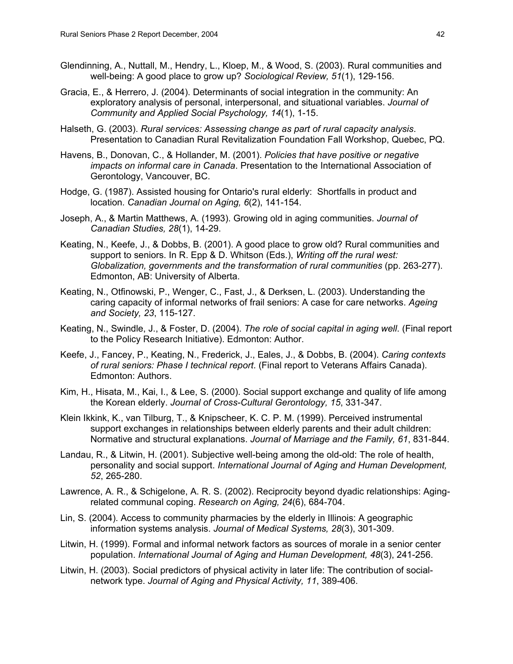- Glendinning, A., Nuttall, M., Hendry, L., Kloep, M., & Wood, S. (2003). Rural communities and well-being: A good place to grow up? *Sociological Review, 51*(1), 129-156.
- Gracia, E., & Herrero, J. (2004). Determinants of social integration in the community: An exploratory analysis of personal, interpersonal, and situational variables. *Journal of Community and Applied Social Psychology, 14*(1), 1-15.
- Halseth, G. (2003). *Rural services: Assessing change as part of rural capacity analysis*. Presentation to Canadian Rural Revitalization Foundation Fall Workshop, Quebec, PQ.
- Havens, B., Donovan, C., & Hollander, M. (2001). *Policies that have positive or negative impacts on informal care in Canada*. Presentation to the International Association of Gerontology, Vancouver, BC.
- Hodge, G. (1987). Assisted housing for Ontario's rural elderly: Shortfalls in product and location. *Canadian Journal on Aging, 6*(2), 141-154.
- Joseph, A., & Martin Matthews, A. (1993). Growing old in aging communities. *Journal of Canadian Studies, 28*(1), 14-29.
- Keating, N., Keefe, J., & Dobbs, B. (2001). A good place to grow old? Rural communities and support to seniors. In R. Epp & D. Whitson (Eds.), *Writing off the rural west: Globalization, governments and the transformation of rural communities* (pp. 263-277). Edmonton, AB: University of Alberta.
- Keating, N., Otfinowski, P., Wenger, C., Fast, J., & Derksen, L. (2003). Understanding the caring capacity of informal networks of frail seniors: A case for care networks. *Ageing and Society, 23*, 115-127.
- Keating, N., Swindle, J., & Foster, D. (2004). *The role of social capital in aging well*. (Final report to the Policy Research Initiative). Edmonton: Author.
- Keefe, J., Fancey, P., Keating, N., Frederick, J., Eales, J., & Dobbs, B. (2004). *Caring contexts of rural seniors: Phase I technical report*. (Final report to Veterans Affairs Canada). Edmonton: Authors.
- Kim, H., Hisata, M., Kai, I., & Lee, S. (2000). Social support exchange and quality of life among the Korean elderly. *Journal of Cross-Cultural Gerontology, 15*, 331-347.
- Klein Ikkink, K., van Tilburg, T., & Knipscheer, K. C. P. M. (1999). Perceived instrumental support exchanges in relationships between elderly parents and their adult children: Normative and structural explanations. *Journal of Marriage and the Family, 61*, 831-844.
- Landau, R., & Litwin, H. (2001). Subjective well-being among the old-old: The role of health, personality and social support. *International Journal of Aging and Human Development, 52*, 265-280.
- Lawrence, A. R., & Schigelone, A. R. S. (2002). Reciprocity beyond dyadic relationships: Agingrelated communal coping. *Research on Aging, 24*(6), 684-704.
- Lin, S. (2004). Access to community pharmacies by the elderly in Illinois: A geographic information systems analysis. *Journal of Medical Systems, 28*(3), 301-309.
- Litwin, H. (1999). Formal and informal network factors as sources of morale in a senior center population. *International Journal of Aging and Human Development, 48*(3), 241-256.
- Litwin, H. (2003). Social predictors of physical activity in later life: The contribution of socialnetwork type. *Journal of Aging and Physical Activity, 11*, 389-406.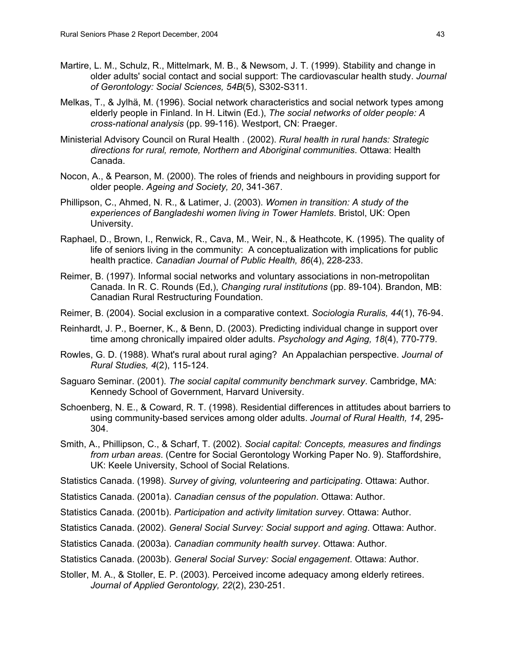- Martire, L. M., Schulz, R., Mittelmark, M. B., & Newsom, J. T. (1999). Stability and change in older adults' social contact and social support: The cardiovascular health study. *Journal of Gerontology: Social Sciences, 54B*(5), S302-S311.
- Melkas, T., & Jylhä, M. (1996). Social network characteristics and social network types among elderly people in Finland. In H. Litwin (Ed.), *The social networks of older people: A cross-national analysis* (pp. 99-116). Westport, CN: Praeger.
- Ministerial Advisory Council on Rural Health . (2002). *Rural health in rural hands: Strategic directions for rural, remote, Northern and Aboriginal communities*. Ottawa: Health Canada.
- Nocon, A., & Pearson, M. (2000). The roles of friends and neighbours in providing support for older people. *Ageing and Society, 20*, 341-367.
- Phillipson, C., Ahmed, N. R., & Latimer, J. (2003). *Women in transition: A study of the experiences of Bangladeshi women living in Tower Hamlets*. Bristol, UK: Open University.
- Raphael, D., Brown, I., Renwick, R., Cava, M., Weir, N., & Heathcote, K. (1995). The quality of life of seniors living in the community: A conceptualization with implications for public health practice. *Canadian Journal of Public Health, 86*(4), 228-233.
- Reimer, B. (1997). Informal social networks and voluntary associations in non-metropolitan Canada. In R. C. Rounds (Ed,), *Changing rural institutions* (pp. 89-104). Brandon, MB: Canadian Rural Restructuring Foundation.
- Reimer, B. (2004). Social exclusion in a comparative context. *Sociologia Ruralis, 44*(1), 76-94.
- Reinhardt, J. P., Boerner, K., & Benn, D. (2003). Predicting individual change in support over time among chronically impaired older adults. *Psychology and Aging, 18*(4), 770-779.
- Rowles, G. D. (1988). What's rural about rural aging? An Appalachian perspective. *Journal of Rural Studies, 4*(2), 115-124.
- Saguaro Seminar. (2001). *The social capital community benchmark survey*. Cambridge, MA: Kennedy School of Government, Harvard University.
- Schoenberg, N. E., & Coward, R. T. (1998). Residential differences in attitudes about barriers to using community-based services among older adults. *Journal of Rural Health, 14*, 295- 304.
- Smith, A., Phillipson, C., & Scharf, T. (2002). *Social capital: Concepts, measures and findings from urban areas*. (Centre for Social Gerontology Working Paper No. 9). Staffordshire, UK: Keele University, School of Social Relations.
- Statistics Canada. (1998). *Survey of giving, volunteering and participating*. Ottawa: Author.
- Statistics Canada. (2001a). *Canadian census of the population*. Ottawa: Author.
- Statistics Canada. (2001b). *Participation and activity limitation survey*. Ottawa: Author.
- Statistics Canada. (2002). *General Social Survey: Social support and aging*. Ottawa: Author.
- Statistics Canada. (2003a). *Canadian community health survey*. Ottawa: Author.
- Statistics Canada. (2003b). *General Social Survey: Social engagement*. Ottawa: Author.
- Stoller, M. A., & Stoller, E. P. (2003). Perceived income adequacy among elderly retirees. *Journal of Applied Gerontology, 22*(2), 230-251.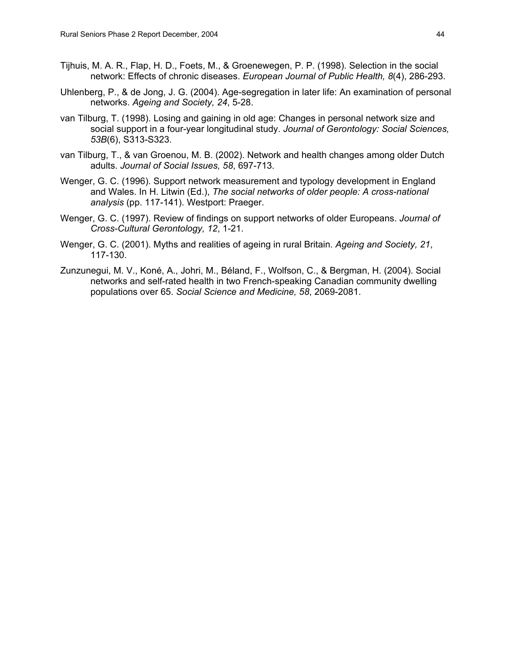- Tijhuis, M. A. R., Flap, H. D., Foets, M., & Groenewegen, P. P. (1998). Selection in the social network: Effects of chronic diseases. *European Journal of Public Health, 8*(4), 286-293.
- Uhlenberg, P., & de Jong, J. G. (2004). Age-segregation in later life: An examination of personal networks. *Ageing and Society, 24*, 5-28.
- van Tilburg, T. (1998). Losing and gaining in old age: Changes in personal network size and social support in a four-year longitudinal study. *Journal of Gerontology: Social Sciences, 53B*(6), S313-S323.
- van Tilburg, T., & van Groenou, M. B. (2002). Network and health changes among older Dutch adults. *Journal of Social Issues, 58*, 697-713.
- Wenger, G. C. (1996). Support network measurement and typology development in England and Wales. In H. Litwin (Ed.), *The social networks of older people: A cross-national analysis* (pp. 117-141). Westport: Praeger.
- Wenger, G. C. (1997). Review of findings on support networks of older Europeans. *Journal of Cross-Cultural Gerontology, 12*, 1-21.
- Wenger, G. C. (2001). Myths and realities of ageing in rural Britain. *Ageing and Society, 21*, 117-130.
- Zunzunegui, M. V., Koné, A., Johri, M., Béland, F., Wolfson, C., & Bergman, H. (2004). Social networks and self-rated health in two French-speaking Canadian community dwelling populations over 65. *Social Science and Medicine, 58*, 2069-2081.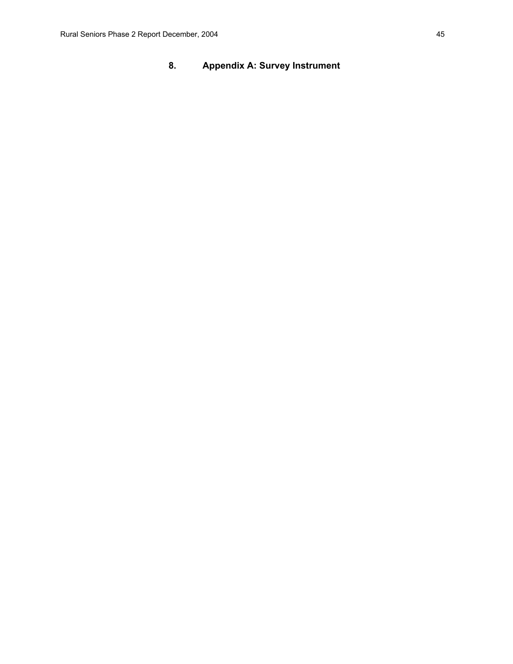# **8. Appendix A: Survey Instrument**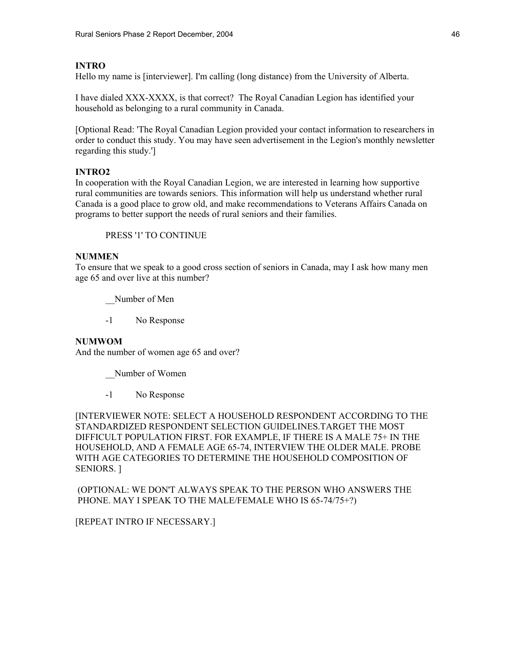### **INTRO**

Hello my name is [interviewer]. I'm calling (long distance) from the University of Alberta.

I have dialed XXX-XXXX, is that correct? The Royal Canadian Legion has identified your household as belonging to a rural community in Canada.

[Optional Read: 'The Royal Canadian Legion provided your contact information to researchers in order to conduct this study. You may have seen advertisement in the Legion's monthly newsletter regarding this study.']

### **INTRO2**

In cooperation with the Royal Canadian Legion, we are interested in learning how supportive rural communities are towards seniors. This information will help us understand whether rural Canada is a good place to grow old, and make recommendations to Veterans Affairs Canada on programs to better support the needs of rural seniors and their families.

PRESS '1' TO CONTINUE

### **NUMMEN**

To ensure that we speak to a good cross section of seniors in Canada, may I ask how many men age 65 and over live at this number?

Number of Men

-1 No Response

#### **NUMWOM**

And the number of women age 65 and over?

Number of Women

-1 No Response

[INTERVIEWER NOTE: SELECT A HOUSEHOLD RESPONDENT ACCORDING TO THE STANDARDIZED RESPONDENT SELECTION GUIDELINES.TARGET THE MOST DIFFICULT POPULATION FIRST. FOR EXAMPLE, IF THERE IS A MALE 75+ IN THE HOUSEHOLD, AND A FEMALE AGE 65-74, INTERVIEW THE OLDER MALE. PROBE WITH AGE CATEGORIES TO DETERMINE THE HOUSEHOLD COMPOSITION OF SENIORS. ]

 (OPTIONAL: WE DON'T ALWAYS SPEAK TO THE PERSON WHO ANSWERS THE PHONE. MAY I SPEAK TO THE MALE/FEMALE WHO IS 65-74/75+?)

[REPEAT INTRO IF NECESSARY.]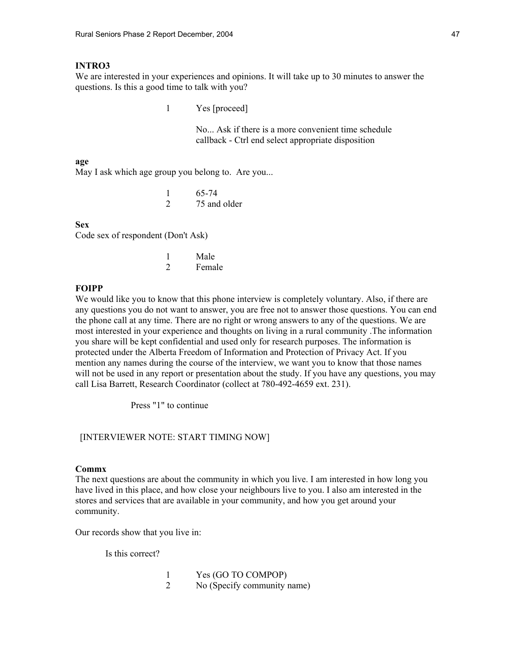#### **INTRO3**

We are interested in your experiences and opinions. It will take up to 30 minutes to answer the questions. Is this a good time to talk with you?

1 Yes [proceed]

 No... Ask if there is a more convenient time schedule callback - Ctrl end select appropriate disposition

#### **age**

May I ask which age group you belong to. Are you...

 1 65-74 2 75 and older

#### **Sex**

Code sex of respondent (Don't Ask)

|  | Male   |
|--|--------|
|  | Female |

#### **FOIPP**

We would like you to know that this phone interview is completely voluntary. Also, if there are any questions you do not want to answer, you are free not to answer those questions. You can end the phone call at any time. There are no right or wrong answers to any of the questions. We are most interested in your experience and thoughts on living in a rural community .The information you share will be kept confidential and used only for research purposes. The information is protected under the Alberta Freedom of Information and Protection of Privacy Act. If you mention any names during the course of the interview, we want you to know that those names will not be used in any report or presentation about the study. If you have any questions, you may call Lisa Barrett, Research Coordinator (collect at 780-492-4659 ext. 231).

Press "1" to continue

#### [INTERVIEWER NOTE: START TIMING NOW]

#### **Commx**

The next questions are about the community in which you live. I am interested in how long you have lived in this place, and how close your neighbours live to you. I also am interested in the stores and services that are available in your community, and how you get around your community.

Our records show that you live in:

Is this correct?

| Yes (GO TO COMPOP)          |
|-----------------------------|
| No (Specify community name) |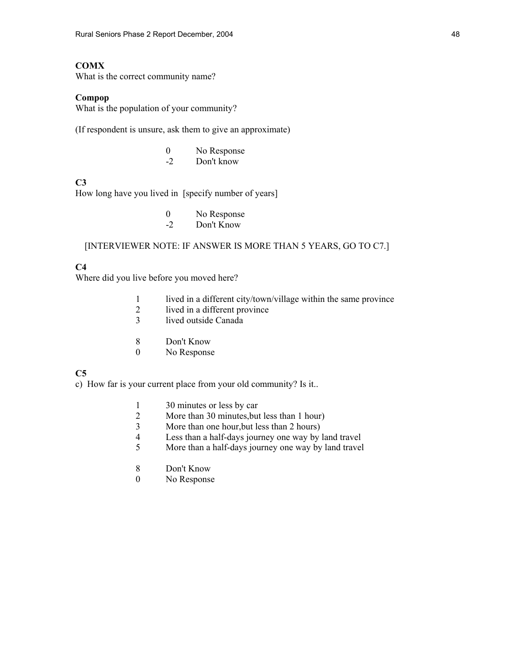### **COMX**

What is the correct community name?

#### **Compop**

What is the population of your community?

(If respondent is unsure, ask them to give an approximate)

 0 No Response -2 Don't know

### **C3**

How long have you lived in [specify number of years]

- 0 No Response
- -2 Don't Know

### [INTERVIEWER NOTE: IF ANSWER IS MORE THAN 5 YEARS, GO TO C7.]

### **C4**

Where did you live before you moved here?

- 1 lived in a different city/town/village within the same province<br>2 lived in a different province
- 2 lived in a different province<br>3 lived outside Canada
- lived outside Canada
- 8 Don't Know
- 0 No Response

### **C5**

c) How far is your current place from your old community? Is it..

- 1 30 minutes or less by car<br>2 More than 30 minutes, but
- More than 30 minutes, but less than 1 hour)
- 3 More than one hour,but less than 2 hours)
- 4 Less than a half-days journey one way by land travel
- 5 More than a half-days journey one way by land travel
- 8 Don't Know
- 0 No Response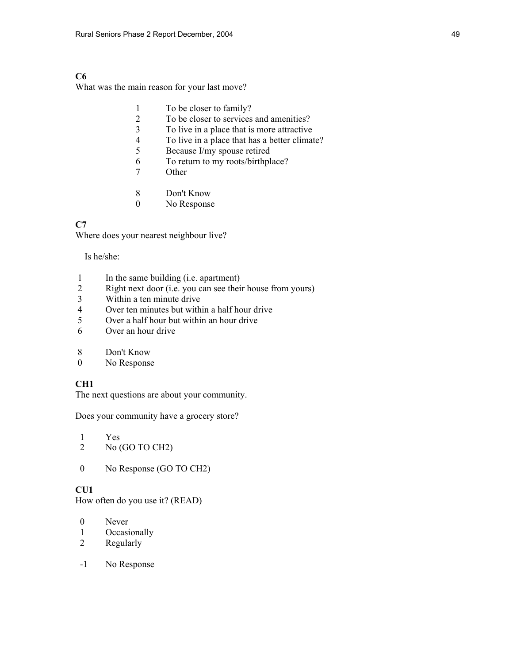### **C6**

What was the main reason for your last move?

|   | To be closer to family?                       |
|---|-----------------------------------------------|
| 2 | To be closer to services and amenities?       |
| 3 | To live in a place that is more attractive.   |
| 4 | To live in a place that has a better climate? |
| 5 | Because I/my spouse retired                   |
| 6 | To return to my roots/birthplace?             |
| 7 | Other                                         |
|   |                                               |
| 8 | Don't Know                                    |
|   |                                               |

#### 0 No Response

### **C7**

Where does your nearest neighbour live?

Is he/she:

- 1 In the same building (i.e. apartment)
- 2 Right next door (i.e. you can see their house from yours)
- 3 Within a ten minute drive<br>4 Over ten minutes but with
- 4 Over ten minutes but within a half hour drive<br>5 Over a half hour but within an hour drive
- Over a half hour but within an hour drive
- 6 Over an hour drive
- 8 Don't Know
- 0 No Response

#### **CH1**

The next questions are about your community.

Does your community have a grocery store?

- 1 Yes 2 No (GO TO CH2)
- 0 No Response (GO TO CH2)

#### **CU1**

How often do you use it? (READ)

- 0 Never
- 1 Occasionally
- 2 Regularly
- -1 No Response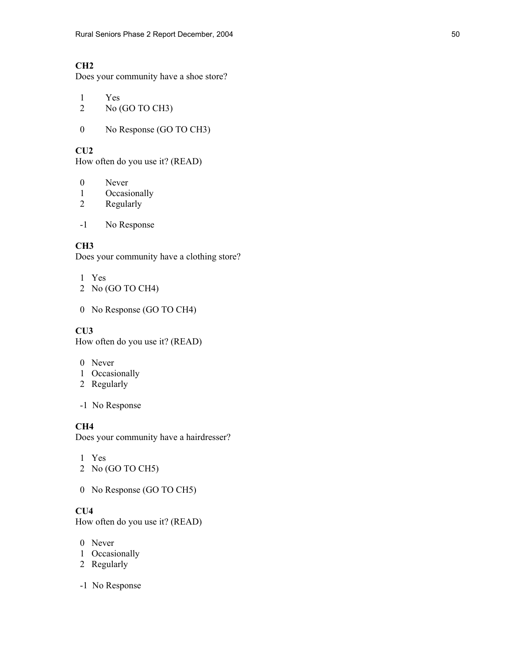Does your community have a shoe store?

- 1 Yes
- 2 No (GO TO CH3)
- 0 No Response (GO TO CH3)

**CU2** 

How often do you use it? (READ)

- 0 Never
- 1 Occasionally
- 2 Regularly
- -1 No Response

### **CH3**

Does your community have a clothing store?

- 1 Yes
- 2 No (GO TO CH4)
- 0 No Response (GO TO CH4)

### **CU3**

How often do you use it? (READ)

- 0 Never
- 1 Occasionally
- 2 Regularly
- -1 No Response

### **CH4**

Does your community have a hairdresser?

- 1 Yes
- 2 No (GO TO CH5)
- 0 No Response (GO TO CH5)

# **CU4**

How often do you use it? (READ)

- 0 Never
- 1 Occasionally
- 2 Regularly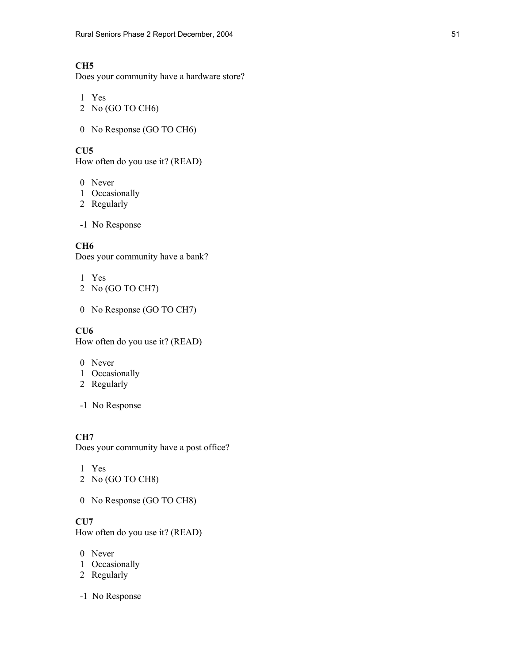Does your community have a hardware store?

- 1 Yes 2 No (GO TO CH6)
- 
- 0 No Response (GO TO CH6)

# **CU5**

How often do you use it? (READ)

- 0 Never
- 1 Occasionally
- 2 Regularly
- -1 No Response

# **CH6**

Does your community have a bank?

- 1 Yes
- 2 No (GO TO CH7)
- 0 No Response (GO TO CH7)

### **CU6**

How often do you use it? (READ)

- 0 Never
- 1 Occasionally
- 2 Regularly
- -1 No Response

**CH7**  Does your community have a post office?

- 1 Yes
- 2 No (GO TO CH8)
- 0 No Response (GO TO CH8)

# **CU7**

How often do you use it? (READ)

- 0 Never
- 1 Occasionally
- 2 Regularly
- -1 No Response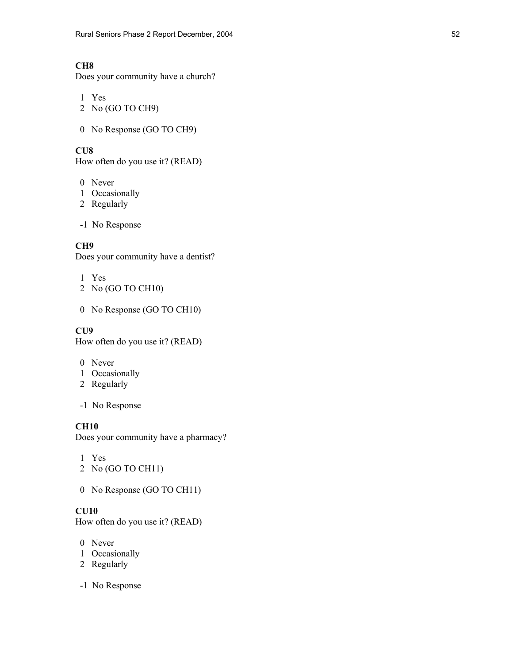Does your community have a church?

- 1 Yes 2 No (GO TO CH9)
- 0 No Response (GO TO CH9)

**CU8** 

How often do you use it? (READ)

- 0 Never
- 1 Occasionally
- 2 Regularly
- -1 No Response

### **CH9**

Does your community have a dentist?

- 1 Yes
- 2 No (GO TO CH10)
- 0 No Response (GO TO CH10)

#### **CU9**

How often do you use it? (READ)

- 0 Never
- 1 Occasionally
- 2 Regularly
- -1 No Response

### **CH10**

Does your community have a pharmacy?

- 1 Yes
- 2 No (GO TO CH11)
- 0 No Response (GO TO CH11)

# **CU10**

How often do you use it? (READ)

- 0 Never
- 1 Occasionally
- 2 Regularly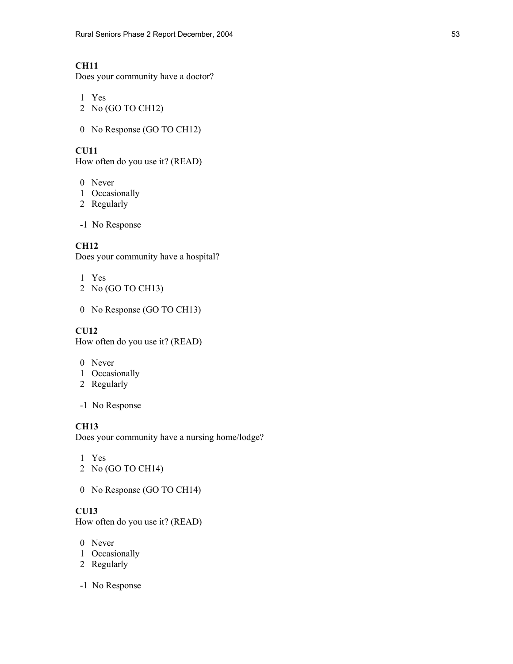Does your community have a doctor?

- 1 Yes 2 No (GO TO CH12)
- 0 No Response (GO TO CH12)

## **CU11**

How often do you use it? (READ)

- 0 Never
- 1 Occasionally
- 2 Regularly
- -1 No Response

### **CH12**

Does your community have a hospital?

- 1 Yes
- 2 No (GO TO CH13)
- 0 No Response (GO TO CH13)

### **CU12**

How often do you use it? (READ)

- 0 Never
- 1 Occasionally
- 2 Regularly
- -1 No Response

### **CH13**

Does your community have a nursing home/lodge?

- 1 Yes
- 2 No (GO TO CH14)
- 0 No Response (GO TO CH14)

# **CU13**

How often do you use it? (READ)

- 0 Never
- 1 Occasionally
- 2 Regularly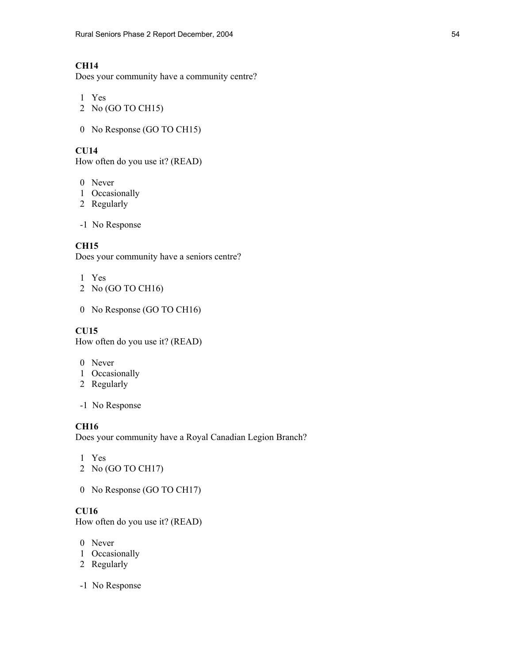Does your community have a community centre?

- 1 Yes 2 No (GO TO CH15)
- 

## **CU14**

How often do you use it? (READ)

0 No Response (GO TO CH15)

- 0 Never
- 1 Occasionally
- 2 Regularly
- -1 No Response

## **CH15**

Does your community have a seniors centre?

- 1 Yes
- 2 No (GO TO CH16)
- 0 No Response (GO TO CH16)

## **CU15**

How often do you use it? (READ)

- 0 Never
- 1 Occasionally
- 2 Regularly
- -1 No Response

# **CH16**

Does your community have a Royal Canadian Legion Branch?

- 1 Yes
- 2 No (GO TO CH17)
- 0 No Response (GO TO CH17)

# **CU16**

How often do you use it? (READ)

- 0 Never
- 1 Occasionally
- 2 Regularly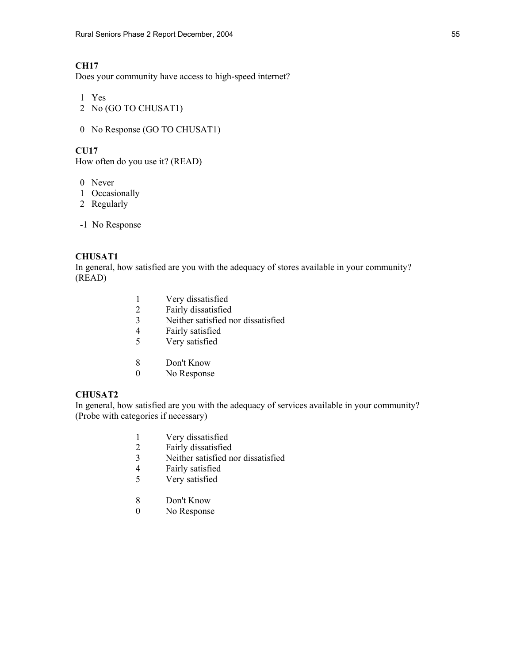Does your community have access to high-speed internet?

- 1 Yes
- 2 No (GO TO CHUSAT1)
- 0 No Response (GO TO CHUSAT1)

#### **CU17**

How often do you use it? (READ)

- 0 Never
- 1 Occasionally
- 2 Regularly
- -1 No Response

### **CHUSAT1**

In general, how satisfied are you with the adequacy of stores available in your community? (READ)

- 1 Very dissatisfied<br>2 Fairly dissatisfied
- 2 Fairly dissatisfied<br>3 Neither satisfied no
- Neither satisfied nor dissatisfied
- 4 Fairly satisfied
- 5 Very satisfied
- 8 Don't Know
- 0 No Response

### **CHUSAT2**

In general, how satisfied are you with the adequacy of services available in your community? (Probe with categories if necessary)

- 1 Very dissatisfied
- 2 Fairly dissatisfied
- 3 Neither satisfied nor dissatisfied
- 4 Fairly satisfied
- 5 Very satisfied
- 8 Don't Know
- 0 No Response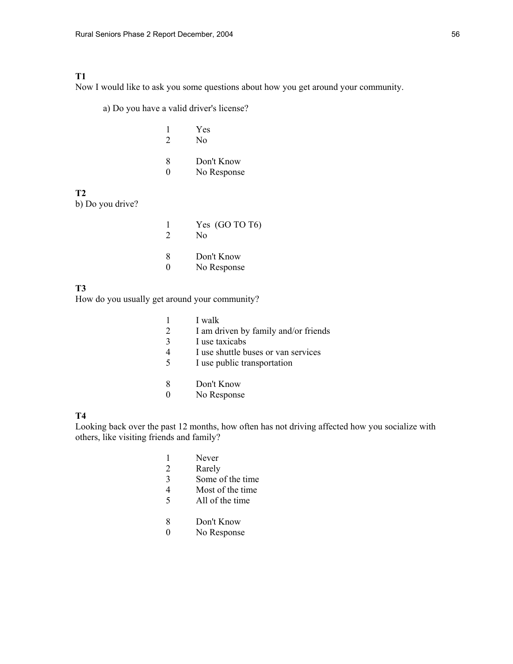### **T1**

Now I would like to ask you some questions about how you get around your community.

a) Do you have a valid driver's license?

| $\mathcal{D}$ | Yes<br>No                 |
|---------------|---------------------------|
| 8<br>$\Omega$ | Don't Know<br>No Response |

### **T2**

b) Do you drive?

|               | Yes $(GO$ TO T <sub>6</sub> )<br>Nο |
|---------------|-------------------------------------|
| 8<br>$\Omega$ | Don't Know<br>No Response           |

#### **T3**

How do you usually get around your community?

|               | I walk                               |
|---------------|--------------------------------------|
| 2             | I am driven by family and/or friends |
| $\mathcal{F}$ | I use taxicabs                       |
| 4             | I use shuttle buses or van services  |
| 5             | I use public transportation          |
|               |                                      |
|               |                                      |

- 8 Don't Know
- 0 No Response

# **T4**

Looking back over the past 12 months, how often has not driving affected how you socialize with others, like visiting friends and family?

- 1 Never<br>2 Rarely
- Rarely
- 3 Some of the time
- 4 Most of the time
- 5 All of the time
- 8 Don't Know
- 0 No Response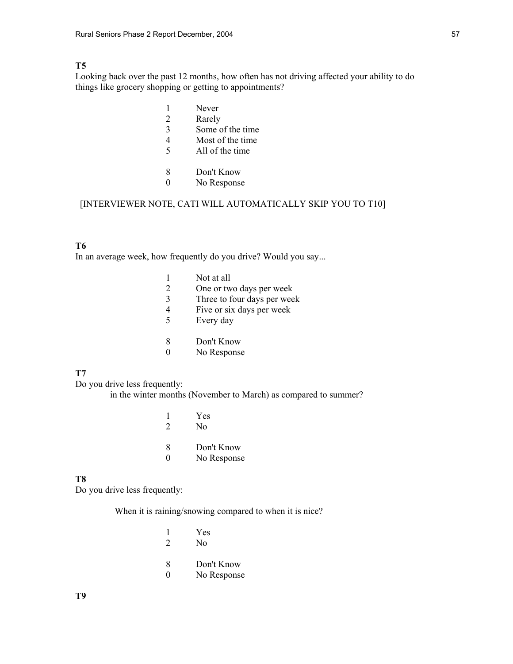### **T5**

Looking back over the past 12 months, how often has not driving affected your ability to do things like grocery shopping or getting to appointments?

- 1 Never
- 2 Rarely
- 3 Some of the time
- 4 Most of the time
- 5 All of the time
- 8 Don't Know
- 0 No Response

### [INTERVIEWER NOTE, CATI WILL AUTOMATICALLY SKIP YOU TO T10]

### **T6**

In an average week, how frequently do you drive? Would you say...

|   | Not at all                  |
|---|-----------------------------|
| 2 | One or two days per week    |
| 3 | Three to four days per week |
| 4 | Five or six days per week   |
| 5 | Every day                   |
|   | Don't Know                  |

# 0 No Response

### **T7**

Do you drive less frequently:

in the winter months (November to March) as compared to summer?

| 2             | Yes<br>No                 |
|---------------|---------------------------|
| 8<br>$\Omega$ | Don't Know<br>No Response |

#### **T8**

Do you drive less frequently:

When it is raining/snowing compared to when it is nice?

|               | Yes<br>No                 |
|---------------|---------------------------|
| 8<br>$\Omega$ | Don't Know<br>No Response |

**T9**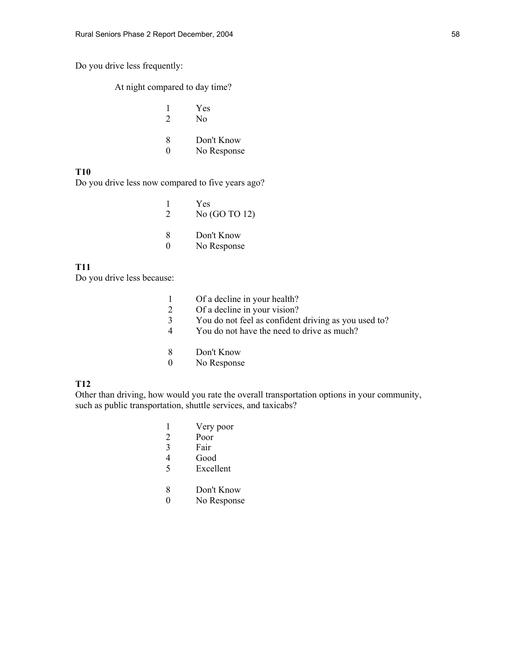Do you drive less frequently:

At night compared to day time?

|          | Yes                       |
|----------|---------------------------|
| 2        | N <sub>0</sub>            |
| $\Omega$ | $\mathbf{L}$ $\mathbf{L}$ |

 8 Don't Know 0 No Response

### **T10**

Do you drive less now compared to five years ago?

|                        | Yes<br>No (GO TO 12)      |
|------------------------|---------------------------|
| x<br>$\mathbf{\Omega}$ | Don't Know<br>No Response |

#### **T11**

Do you drive less because:

|          | Of a decline in your health?                         |
|----------|------------------------------------------------------|
|          | Of a decline in your vision?                         |
|          | You do not feel as confident driving as you used to? |
| 4        | You do not have the need to drive as much?           |
| 8        | Don't Know                                           |
| $\theta$ | No Response                                          |

### **T12**

Other than driving, how would you rate the overall transportation options in your community, such as public transportation, shuttle services, and taxicabs?

- 1 Very poor
- 2 Poor
- 3 Fair
- 4 Good
- 5 Excellent
- 8 Don't Know
- 0 No Response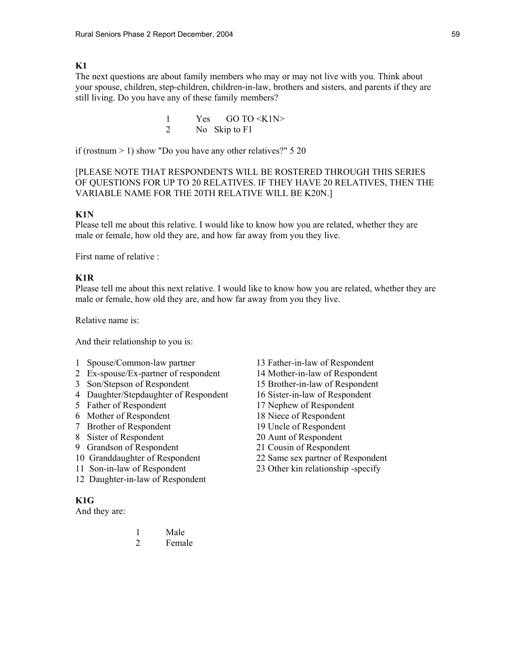### **K1**

The next questions are about family members who may or may not live with you. Think about your spouse, children, step-children, children-in-law, brothers and sisters, and parents if they are still living. Do you have any of these family members?

> 1 Yes GO TO <K1N> 2 No Skip to F1

if (rostnum  $> 1$ ) show "Do you have any other relatives?" 5 20

### [PLEASE NOTE THAT RESPONDENTS WILL BE ROSTERED THROUGH THIS SERIES OF QUESTIONS FOR UP TO 20 RELATIVES. IF THEY HAVE 20 RELATIVES, THEN THE VARIABLE NAME FOR THE 20TH RELATIVE WILL BE K20N.]

#### **K1N**

Please tell me about this relative. I would like to know how you are related, whether they are male or female, how old they are, and how far away from you they live.

First name of relative :

### **K1R**

Please tell me about this next relative. I would like to know how you are related, whether they are male or female, how old they are, and how far away from you they live.

Relative name is:

And their relationship to you is:

- 1 Spouse/Common-law partner 13 Father-in-law of Respondent
- 2 Ex-spouse/Ex-partner of respondent 14 Mother-in-law of Respondent
- 3 Son/Stepson of Respondent 15 Brother-in-law of Respondent
- 4 Daughter/Stepdaughter of Respondent 16 Sister-in-law of Respondent
- 5 Father of Respondent 17 Nephew of Respondent
- 6 Mother of Respondent 18 Niece of Respondent
- 7 Brother of Respondent 19 Uncle of Respondent
- 8 Sister of Respondent 20 Aunt of Respondent
- 9 Grandson of Respondent 21 Cousin of Respondent
- 10 Granddaughter of Respondent 22 Same sex partner of Respondent
- 
- 12 Daughter-in-law of Respondent

 1 Male 2 Female

#### **K1G**

And they are:

- 
- 
- 
- 
- 
- 
- 
- 
- 
- 
- 11 Son-in-law of Respondent 23 Other kin relationship -specify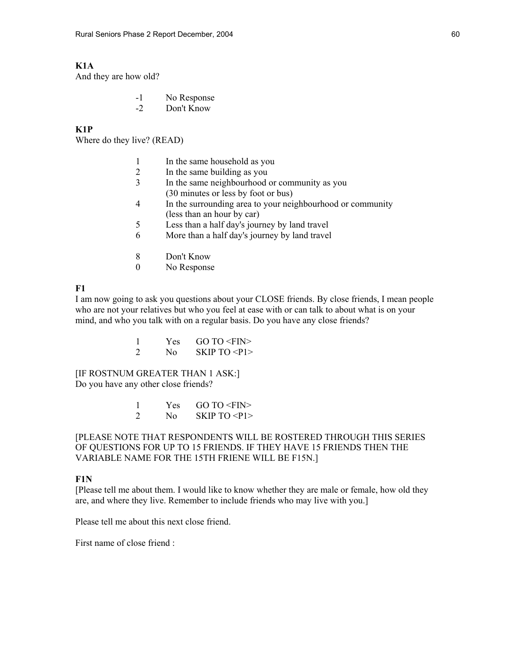### **K1A**

And they are how old?

- -1 No Response
- -2 Don't Know

### **K1P**

Where do they live? (READ)

- 1 In the same household as you
- 2 In the same building as you
- 3 In the same neighbourhood or community as you (30 minutes or less by foot or bus)
- 4 In the surrounding area to your neighbourhood or community (less than an hour by car)
- 5 Less than a half day's journey by land travel
- 6 More than a half day's journey by land travel
- 8 Don't Know
- 0 No Response

#### **F1**

I am now going to ask you questions about your CLOSE friends. By close friends, I mean people who are not your relatives but who you feel at ease with or can talk to about what is on your mind, and who you talk with on a regular basis. Do you have any close friends?

> 1 Yes GO TO <FIN> 2 No SKIP TO  $\langle P1 \rangle$

[IF ROSTNUM GREATER THAN 1 ASK:] Do you have any other close friends?

|              | Yes $GOTO \le FIN$ |
|--------------|--------------------|
| $N_{\Omega}$ | SKIPTO < P1>       |

[PLEASE NOTE THAT RESPONDENTS WILL BE ROSTERED THROUGH THIS SERIES OF QUESTIONS FOR UP TO 15 FRIENDS. IF THEY HAVE 15 FRIENDS THEN THE VARIABLE NAME FOR THE 15TH FRIENE WILL BE F15N.]

### **F1N**

[Please tell me about them. I would like to know whether they are male or female, how old they are, and where they live. Remember to include friends who may live with you.]

Please tell me about this next close friend.

First name of close friend :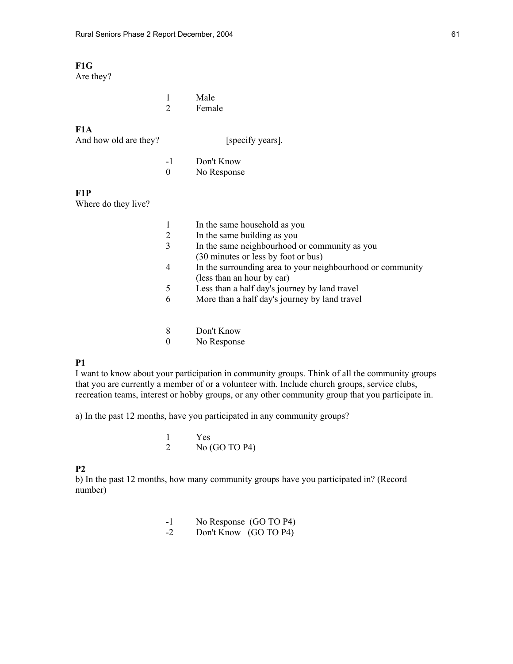# **F1G**

Are they?

|  | Male   |
|--|--------|
|  | Female |

# **F1A**

And how old are they? [specify years].

-1 Don't Know<br>0 No Response No Response

#### **F1P**

Where do they live?

|   | In the same household as you                               |
|---|------------------------------------------------------------|
| 2 | In the same building as you                                |
| 3 | In the same neighbourhood or community as you              |
|   | (30 minutes or less by foot or bus)                        |
| 4 | In the surrounding area to your neighbourhood or community |
|   | (less than an hour by car)                                 |
| 5 | Less than a half day's journey by land travel              |
| 6 | More than a half day's journey by land travel              |
|   |                                                            |
|   |                                                            |

- 8 Don't Know
- 0 No Response

### **P1**

I want to know about your participation in community groups. Think of all the community groups that you are currently a member of or a volunteer with. Include church groups, service clubs, recreation teams, interest or hobby groups, or any other community group that you participate in.

a) In the past 12 months, have you participated in any community groups?

|  | Yes             |
|--|-----------------|
|  | No $(GO TO P4)$ |

### **P2**

b) In the past 12 months, how many community groups have you participated in? (Record number)

| - 1           | No Response (GO TO P4) |
|---------------|------------------------|
| $\rightarrow$ | Don't Know (GO TO P4)  |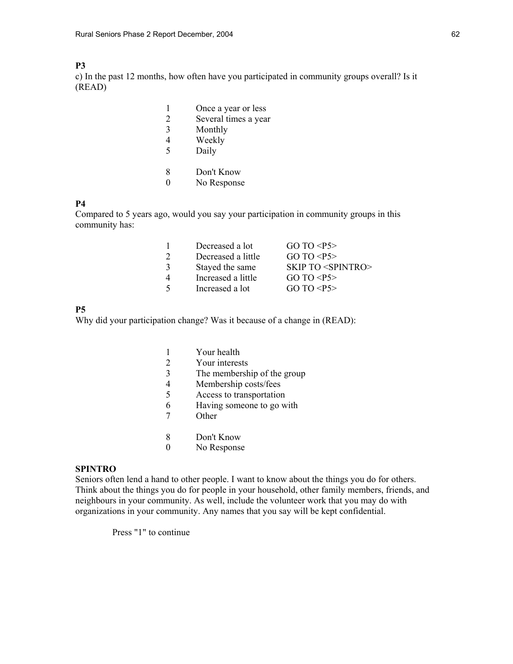### **P3**

c) In the past 12 months, how often have you participated in community groups overall? Is it (READ)

|                | Once a year or less  |
|----------------|----------------------|
|                | Several times a year |
| 3              | Monthly              |
| 4              | Weekly               |
| 5              | Daily                |
|                |                      |
| 8              | Don't Know           |
| $\blacksquare$ | No Response          |

### **P4**

Compared to 5 years ago, would you say your participation in community groups in this community has:

|   | Decreased a lot    | GO TO <b>P5</b>                    |
|---|--------------------|------------------------------------|
|   | Decreased a little | GO TO <b>P5</b>                    |
|   | Stayed the same    | <b>SKIP TO <spintro></spintro></b> |
| 4 | Increased a little | GO TO <b>P5</b>                    |
|   | Increased a lot    | GO TO <b>P5</b>                    |
|   |                    |                                    |

### **P5**

Why did your participation change? Was it because of a change in (READ):

|   | Your health                 |
|---|-----------------------------|
|   | Your interests              |
| 3 | The membership of the group |
| 4 | Membership costs/fees       |
| 5 | Access to transportation    |
| 6 | Having someone to go with   |
|   | Other                       |
|   |                             |

- 8 Don't Know
- 0 No Response

### **SPINTRO**

Seniors often lend a hand to other people. I want to know about the things you do for others. Think about the things you do for people in your household, other family members, friends, and neighbours in your community. As well, include the volunteer work that you may do with organizations in your community. Any names that you say will be kept confidential.

Press "1" to continue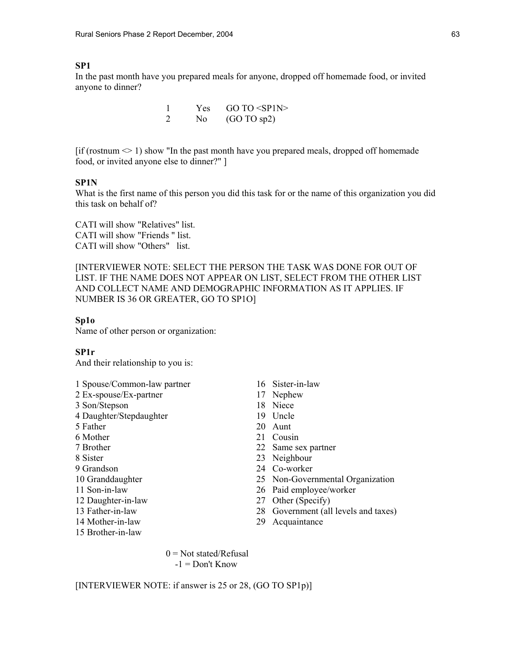#### **SP1**

In the past month have you prepared meals for anyone, dropped off homemade food, or invited anyone to dinner?

|  | Yes $GOTO < SP1N$    |
|--|----------------------|
|  | No $(GO \t{TO sp2})$ |

 $\left[ \text{if (rostnum} \leq 1 \right)$  show "In the past month have you prepared meals, dropped off homemade food, or invited anyone else to dinner?" ]

### **SP1N**

What is the first name of this person you did this task for or the name of this organization you did this task on behalf of?

CATI will show "Relatives" list. CATI will show "Friends " list. CATI will show "Others" list.

[INTERVIEWER NOTE: SELECT THE PERSON THE TASK WAS DONE FOR OUT OF LIST. IF THE NAME DOES NOT APPEAR ON LIST, SELECT FROM THE OTHER LIST AND COLLECT NAME AND DEMOGRAPHIC INFORMATION AS IT APPLIES. IF NUMBER IS 36 OR GREATER, GO TO SP1O]

#### **Sp1o**

Name of other person or organization:

#### **SP1r**

And their relationship to you is:

- 1 Spouse/Common-law partner 16 Sister-in-law
- 2 Ex-spouse/Ex-partner 17 Nephew
- 3 Son/Stepson 18 Niece
- 4 Daughter/Stepdaughter 19 Uncle
- 
- 
- 
- 
- 
- 
- 
- 
- 
- 
- 15 Brother-in-law
- 
- 
- 
- 
- 5 Father 20 Aunt
- 6 Mother 21 Cousin
- 7 Brother 22 Same sex partner
- 8 Sister 23 Neighbour
- 9 Grandson 24 Co-worker
- 10 Granddaughter 25 Non-Governmental Organization
- 11 Son-in-law 26 Paid employee/worker
- 12 Daughter-in-law 27 Other (Specify)
- 13 Father-in-law 28 Government (all levels and taxes)
- 14 Mother-in-law 29 Acquaintance

 $0 = Not stated/Refusal$  $-1 =$ Don't Know

[INTERVIEWER NOTE: if answer is 25 or 28, (GO TO SP1p)]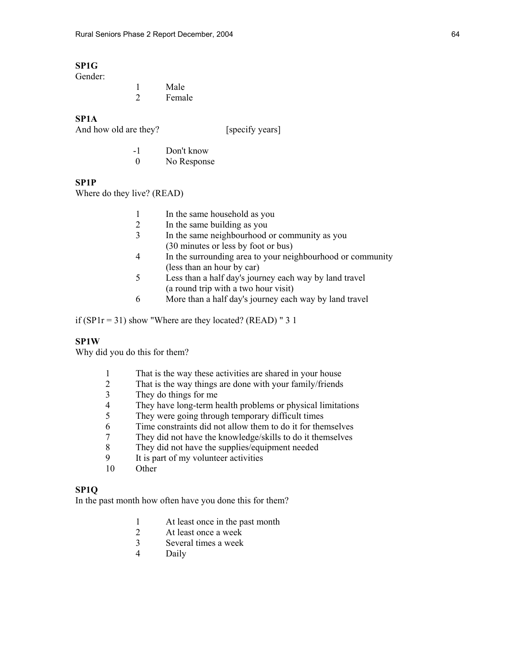# **SP1G**

Gender:

|  | Male   |
|--|--------|
|  | Female |

#### **SP1A**

| And how old are they? | [specify years] |
|-----------------------|-----------------|
|                       |                 |

| - 1 | Don't know  |
|-----|-------------|
|     | No Response |

# **SP1P**

Where do they live? (READ)

|   | In the same household as you                               |
|---|------------------------------------------------------------|
| 2 | In the same building as you                                |
| 3 | In the same neighbourhood or community as you              |
|   | (30 minutes or less by foot or bus)                        |
| 4 | In the surrounding area to your neighbourhood or community |
|   | (less than an hour by car)                                 |
| 5 | Less than a half day's journey each way by land travel     |
|   | (a round trip with a two hour visit)                       |
| 6 | More than a half day's journey each way by land travel     |
|   |                                                            |

if (SP1 $r = 31$ ) show "Where are they located? (READ) " 3 1

### **SP1W**

Why did you do this for them?

- 1 That is the way these activities are shared in your house<br>2 That is the way things are done with your family/friends
- 2 That is the way things are done with your family/friends<br>3 They do things for me
- 3 They do things for me<br>4 They have long-term h
- 4 They have long-term health problems or physical limitations<br>5 They were going through temporary difficult times
- They were going through temporary difficult times
- 6 Time constraints did not allow them to do it for themselves
- 7 They did not have the knowledge/skills to do it themselves
- 8 They did not have the supplies/equipment needed
- 9 It is part of my volunteer activities<br>10 Other
- Other

### **SP1Q**

In the past month how often have you done this for them?

- 1 At least once in the past month
- 2 At least once a week
- 3 Several times a week
- **Daily**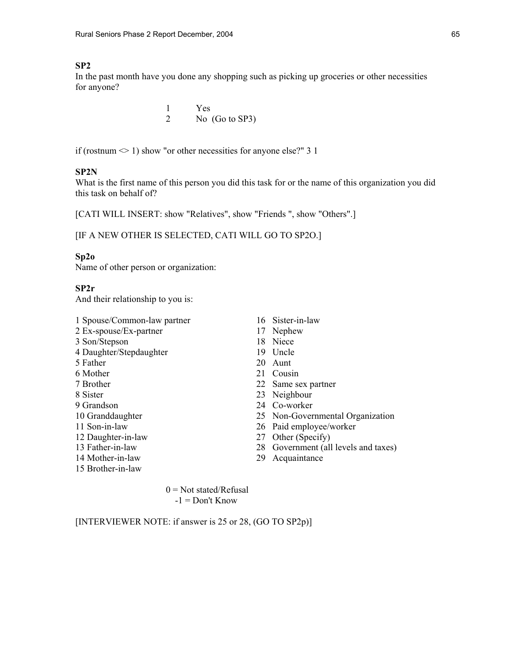### **SP2**

In the past month have you done any shopping such as picking up groceries or other necessities for anyone?

> 1 Yes 2 No (Go to SP3)

if (rostnum  $\leq 1$ ) show "or other necessities for anyone else?" 3 1

#### **SP2N**

What is the first name of this person you did this task for or the name of this organization you did this task on behalf of?

[CATI WILL INSERT: show "Relatives", show "Friends ", show "Others".]

### [IF A NEW OTHER IS SELECTED, CATI WILL GO TO SP2O.]

#### **Sp2o**

Name of other person or organization:

## **SP2r**

And their relationship to you is:

- 1 Spouse/Common-law partner 16 Sister-in-law 2 Ex-spouse/Ex-partner 17 Nephew 3 Son/Stepson 18 Niece 4 Daughter/Stepdaughter 19 Uncle 5 Father 20 Aunt 6 Mother 21 Cousin 7 Brother 22 Same sex partner 8 Sister 23 Neighbour 9 Grandson 24 Co-worker 10 Granddaughter 25 Non-Governmental Organization 11 Son-in-law 26 Paid employee/worker 12 Daughter-in-law 27 Other (Specify) 13 Father-in-law 28 Government (all levels and taxes) 14 Mother-in-law 29 Acquaintance 15 Brother-in-law
	-
	-
	-
	-
	-
	-
	-
	-
	-
	-
	-
	-
	-
	-

 $0 = Not stated/Refusal$  $-1 =$ Don't Know

[INTERVIEWER NOTE: if answer is 25 or 28, (GO TO SP2p)]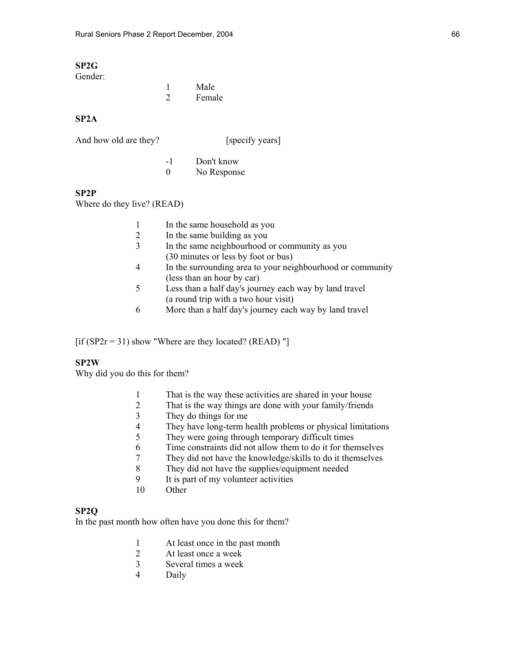#### **SP2G**  Gender:

| Geliuel. |        |
|----------|--------|
|          | Male   |
|          | Female |

### **SP2A**

| And how old are they? |  | [specify years] |
|-----------------------|--|-----------------|
|                       |  |                 |

 -1 Don't know 0 No Response

### **SP2P**

Where do they live? (READ)

|   | In the same household as you                               |
|---|------------------------------------------------------------|
| 2 | In the same building as you                                |
| 3 | In the same neighbourhood or community as you              |
|   | (30 minutes or less by foot or bus)                        |
| 4 | In the surrounding area to your neighbourhood or community |
|   | (less than an hour by car)                                 |
| 5 | Less than a half day's journey each way by land travel     |

- (a round trip with a two hour visit)
- 6 More than a half day's journey each way by land travel

[if (SP2 $r = 31$ ) show "Where are they located? (READ) "]

### **SP2W**

Why did you do this for them?

- 1 That is the way these activities are shared in your house<br>2 That is the way things are done with your family/friends
- 2 That is the way things are done with your family/friends<br>3 They do things for me
- They do things for me
- 4 They have long-term health problems or physical limitations
- 5 They were going through temporary difficult times
- 6 Time constraints did not allow them to do it for themselves
- 7 They did not have the knowledge/skills to do it themselves
- 8 They did not have the supplies/equipment needed
- 9 It is part of my volunteer activities
- 10 Other

# **SP2Q**

In the past month how often have you done this for them?

- 1 At least once in the past month<br>2 At least once a week
- 2 At least once a week<br>3 Several times a week
- 3 Several times a week
- 4 Daily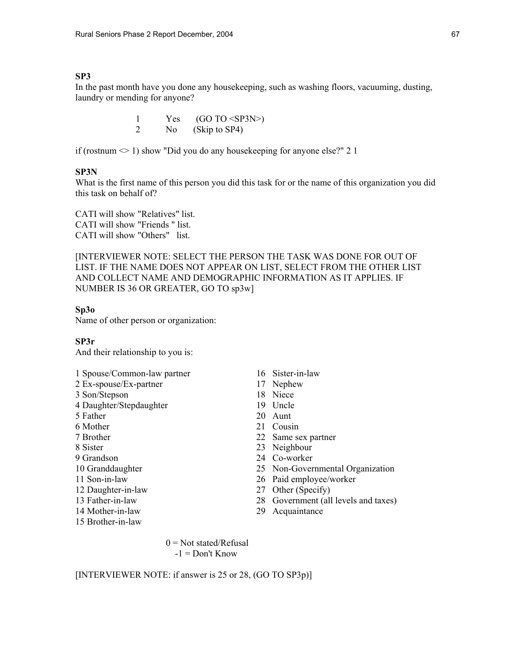### **SP3**

In the past month have you done any housekeeping, such as washing floors, vacuuming, dusting, laundry or mending for anyone?

> 1 Yes  $(GO TO < SP3N$ 2 No (Skip to SP4)

if (rostnum  $\leq 1$ ) show "Did you do any house keeping for anyone else?" 2 1

#### **SP3N**

What is the first name of this person you did this task for or the name of this organization you did this task on behalf of?

CATI will show "Relatives" list. CATI will show "Friends " list. CATI will show "Others" list.

[INTERVIEWER NOTE: SELECT THE PERSON THE TASK WAS DONE FOR OUT OF LIST. IF THE NAME DOES NOT APPEAR ON LIST, SELECT FROM THE OTHER LIST AND COLLECT NAME AND DEMOGRAPHIC INFORMATION AS IT APPLIES. IF NUMBER IS 36 OR GREATER, GO TO sp3w]

#### **Sp3o**

Name of other person or organization:

#### **SP3r**

And their relationship to you is:

- 1 Spouse/Common-law partner 16 Sister-in-law
- 2 Ex-spouse/Ex-partner 17 Nephew
- 3 Son/Stepson 18 Niece
- 4 Daughter/Stepdaughter 19 Uncle
- 
- 6 Mother 21 Cousin
- 
- 
- 
- 
- 
- 
- 
- 
- 15 Brother-in-law
- 
- 
- 
- 
- 5 Father 20 Aunt
	-
- 7 Brother 22 Same sex partner
- 8 Sister 23 Neighbour
- 9 Grandson 24 Co-worker
- 10 Granddaughter 25 Non-Governmental Organization
- 11 Son-in-law 26 Paid employee/worker
- 12 Daughter-in-law 27 Other (Specify)
- 13 Father-in-law 28 Government (all levels and taxes)
- 14 Mother-in-law 29 Acquaintance

 $0 = Not stated/Refusal$  $-1 =$ Don't Know

[INTERVIEWER NOTE: if answer is 25 or 28, (GO TO SP3p)]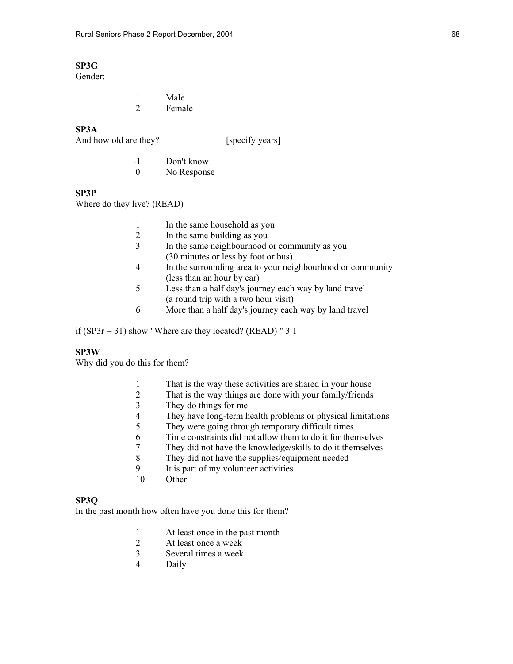# **SP3G**

Gender:

 1 Male 2 Female

### **SP3A**

And how old are they? [specify years]

 -1 Don't know 0 No Response

### **SP3P**

Where do they live? (READ)

- 1 In the same household as you<br>2 In the same building as you
- 2 In the same building as you
- 3 In the same neighbourhood or community as you (30 minutes or less by foot or bus)
- 4 In the surrounding area to your neighbourhood or community (less than an hour by car)
- 5 Less than a half day's journey each way by land travel (a round trip with a two hour visit)
- 6 More than a half day's journey each way by land travel

if (SP3 $r = 31$ ) show "Where are they located? (READ) " 3 1

### **SP3W**

Why did you do this for them?

- 1 That is the way these activities are shared in your house<br>2 That is the way things are done with your family/friends
- That is the way things are done with your family/friends
- 3 They do things for me<br>4 They have long-term h
- They have long-term health problems or physical limitations
- 5 They were going through temporary difficult times
- 6 Time constraints did not allow them to do it for themselves
- 7 They did not have the knowledge/skills to do it themselves
- 8 They did not have the supplies/equipment needed
- 9 It is part of my volunteer activities
- 10 Other

# **SP3Q**

In the past month how often have you done this for them?

- 1 At least once in the past month
- 2 At least once a week<br>3 Several times a week
- 3 Several times a week
- 4 Daily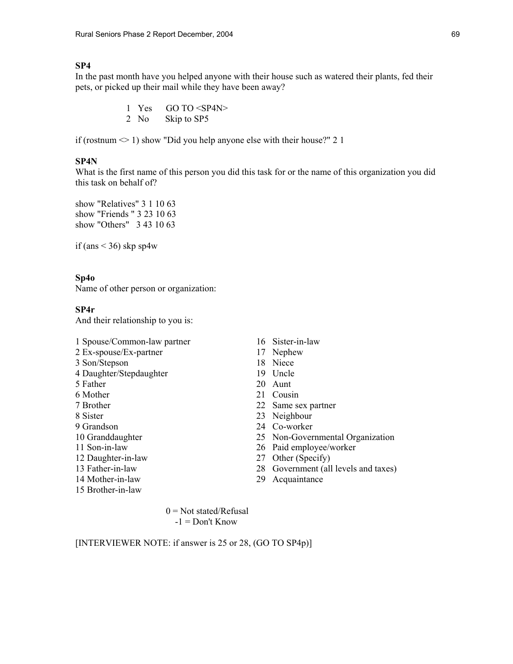## **SP4**

In the past month have you helped anyone with their house such as watered their plants, fed their pets, or picked up their mail while they have been away?

> 1 Yes GO TO <SP4N> 2 No Skip to SP5

if (rostnum  $\leq 1$ ) show "Did you help anyone else with their house?" 2 1

### **SP4N**

What is the first name of this person you did this task for or the name of this organization you did this task on behalf of?

show "Relatives" 3 1 10 63 show "Friends " 3 23 10 63 show "Others" 3 43 10 63

if (ans  $\leq$  36) skp sp4w

#### **Sp4o**

Name of other person or organization:

#### **SP4r**

And their relationship to you is:

- 1 Spouse/Common-law partner 16 Sister-in-law
- 2 Ex-spouse/Ex-partner 17 Nephew
- 3 Son/Stepson 18 Niece
- 4 Daughter/Stepdaughter 19 Uncle
- 5 Father 20 Aunt
- 
- 
- 
- 
- 
- 
- 
- 
- 
- 15 Brother-in-law
- 
- 
- 
- 
- 
- 6 Mother 21 Cousin
- 7 Brother 22 Same sex partner
- 8 Sister 23 Neighbour
- 9 Grandson 24 Co-worker
- 10 Granddaughter 25 Non-Governmental Organization
- 11 Son-in-law 26 Paid employee/worker
- 12 Daughter-in-law 27 Other (Specify)
- 13 Father-in-law 28 Government (all levels and taxes)
- 14 Mother-in-law 29 Acquaintance

 $0 = Not stated/Refusal$  $-1 =$  Don't Know

[INTERVIEWER NOTE: if answer is 25 or 28, (GO TO SP4p)]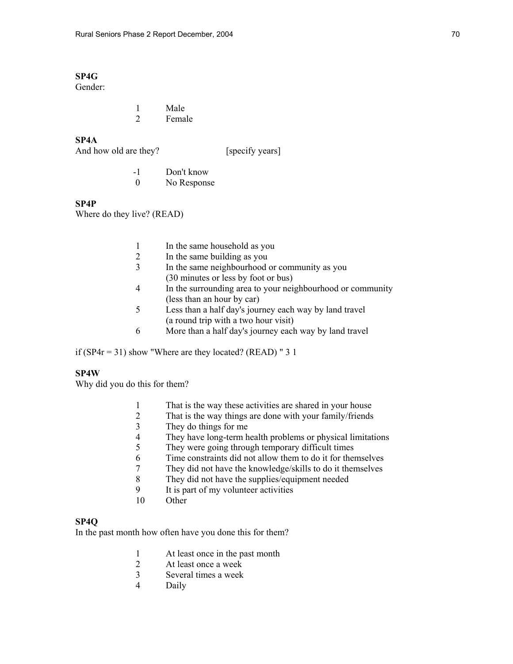# **SP4G**

Gender:

 1 Male 2 Female

## **SP4A**

| And how old are they? |  |
|-----------------------|--|
|-----------------------|--|

[specify years]

 -1 Don't know 0 No Response

### **SP4P**

Where do they live? (READ)

- 1 In the same household as you<br>2 In the same building as you
- In the same building as you
- 3 In the same neighbourhood or community as you (30 minutes or less by foot or bus)
- 4 In the surrounding area to your neighbourhood or community (less than an hour by car)<br>5 Less than a half day's jour
- Less than a half day's journey each way by land travel (a round trip with a two hour visit)
- 6 More than a half day's journey each way by land travel

if ( $SP4r = 31$ ) show "Where are they located? (READ) " 3 1

# **SP4W**

Why did you do this for them?

- 1 That is the way these activities are shared in your house<br>2 That is the way things are done with your family/friends
- That is the way things are done with your family/friends
- 3 They do things for me
- 4 They have long-term health problems or physical limitations
- 5 They were going through temporary difficult times
- 6 Time constraints did not allow them to do it for themselves
- 7 They did not have the knowledge/skills to do it themselves
- 8 They did not have the supplies/equipment needed
- 9 It is part of my volunteer activities
- 10 Other

## **SP4Q**

In the past month how often have you done this for them?

- 1 At least once in the past month<br>2 At least once a week
- At least once a week
- 3 Several times a week
- 4 Daily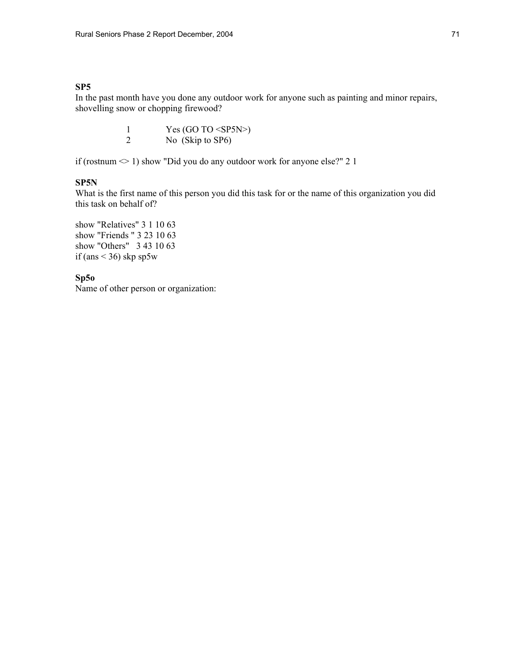## **SP5**

In the past month have you done any outdoor work for anyone such as painting and minor repairs, shovelling snow or chopping firewood?

> 1 Yes (GO TO <SP5N>) 2 No (Skip to SP6)

if (rostnum  $\leq$  1) show "Did you do any outdoor work for anyone else?" 2 1

## **SP5N**

What is the first name of this person you did this task for or the name of this organization you did this task on behalf of?

show "Relatives" 3 1 10 63 show "Friends " 3 23 10 63 show "Others" 3 43 10 63 if (ans  $<$  36) skp sp5w

# **Sp5o**

Name of other person or organization: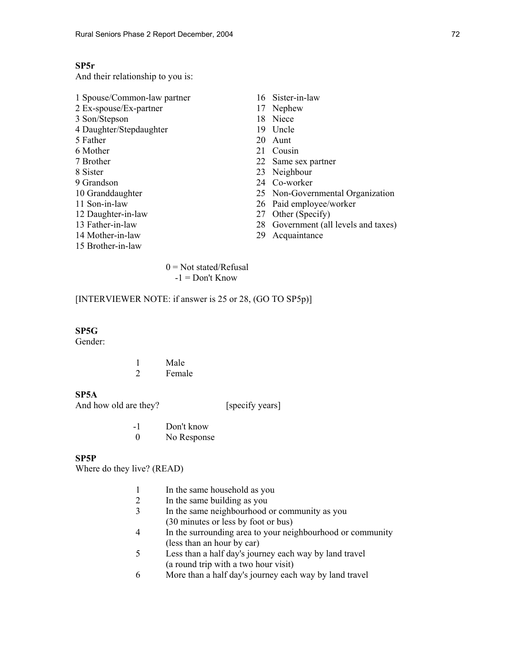# **SP5r**

And their relationship to you is:

| 1 Spouse/Common-law partner |     | 16 Sister-in-law                     |
|-----------------------------|-----|--------------------------------------|
| 2 Ex-spouse/Ex-partner      |     | 17 Nephew                            |
| 3 Son/Stepson               | 18  | Niece                                |
| 4 Daughter/Stepdaughter     | 19. | Uncle                                |
| 5 Father                    | 20  | Aunt                                 |
| 6 Mother                    |     | 21 Cousin                            |
| 7 Brother                   |     | 22 Same sex partner                  |
| 8 Sister                    |     | 23 Neighbour                         |
| 9 Grandson                  |     | 24 Co-worker                         |
| 10 Granddaughter            |     | 25 Non-Governmental Organization     |
| 11 Son-in-law               |     | 26 Paid employee/worker              |
| 12 Daughter-in-law          | 27  | Other (Specify)                      |
| 13 Father-in-law            |     | 28 Government (all levels and taxes) |
| 14 Mother-in-law            | 29  | Acquaintance                         |
| 15 Brother-in-law           |     |                                      |
|                             |     |                                      |

 $0 = Not stated/Refusal$  $-1 =$ Don't Know

## [INTERVIEWER NOTE: if answer is 25 or 28, (GO TO SP5p)]

# **SP5G**

Gender:

|  | Male   |
|--|--------|
|  | Female |

## **SP5A**

And how old are they? [specify years]

| - 1 | Don't know  |
|-----|-------------|
|     | No Response |

## **SP5P**

Where do they live? (READ)

- 1 In the same household as you<br>2 In the same building as you
- In the same building as you
- 3 In the same neighbourhood or community as you (30 minutes or less by foot or bus)
- 4 In the surrounding area to your neighbourhood or community (less than an hour by car)<br>5 Less than a half day's jour
- Less than a half day's journey each way by land travel (a round trip with a two hour visit)
- 6 More than a half day's journey each way by land travel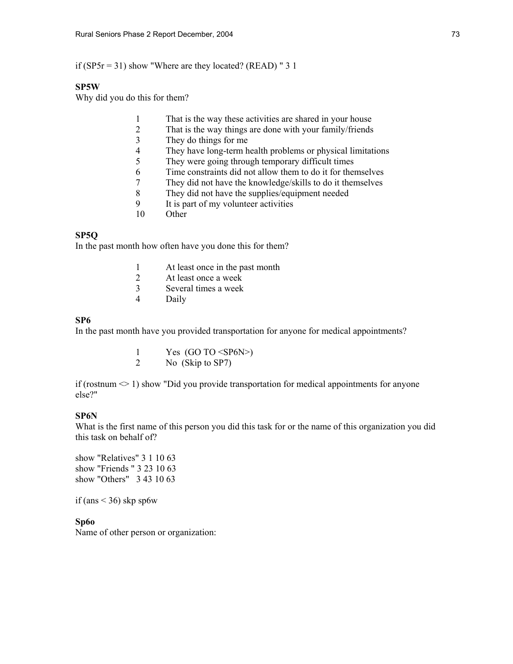if (SP5r = 31) show "Where are they located? (READ) " 3 1

## **SP5W**

Why did you do this for them?

- 1 That is the way these activities are shared in your house
- 2 That is the way things are done with your family/friends
- 3 They do things for me
- 4 They have long-term health problems or physical limitations
- 5 They were going through temporary difficult times
- 6 Time constraints did not allow them to do it for themselves
- 7 They did not have the knowledge/skills to do it themselves
- 8 They did not have the supplies/equipment needed
- 9 It is part of my volunteer activities
- 10 Other

## **SP5Q**

In the past month how often have you done this for them?

- 1 At least once in the past month
- 2 At least once a week
- 3 Several times a week
- 4 Daily

## **SP6**

In the past month have you provided transportation for anyone for medical appointments?

|  |  | Yes $(GO TO < S P6N$ |
|--|--|----------------------|
|  |  | $(0,1)$ $(0,0)$      |

2 No (Skip to SP7)

if (rostnum  $\leq 1$ ) show "Did you provide transportation for medical appointments for anyone else?"

## **SP6N**

What is the first name of this person you did this task for or the name of this organization you did this task on behalf of?

show "Relatives" 3 1 10 63 show "Friends " 3 23 10 63 show "Others" 3 43 10 63

if (ans  $\leq$  36) skp sp6w

**Sp6o** 

Name of other person or organization: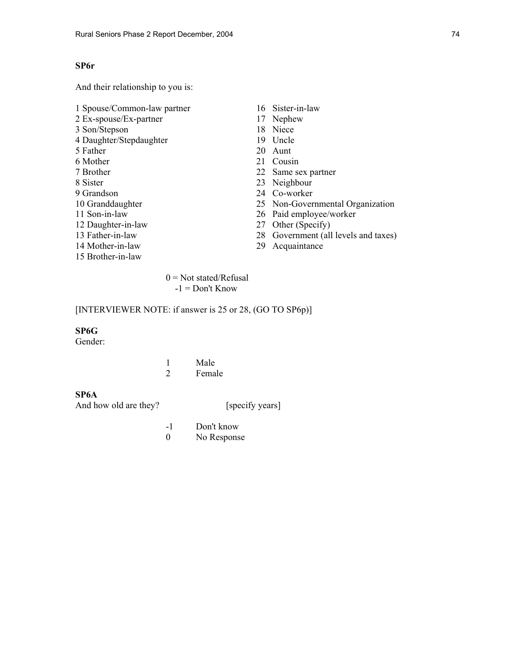# **SP6r**

And their relationship to you is:

1 Spouse/Common-law partner 16 Sister-in-law 2 Ex-spouse/Ex-partner 17 Nephew 3 Son/Stepson 18 Niece 4 Daughter/Stepdaughter 19 Uncle<br>5 Father 20 Aunt  $20$  Aunt 6 Mother 21 Cousin 7 Brother 22 Same sex partner 8 Sister 23 Neighbour 9 Grandson 24 Co-worker 10 Granddaughter 25 Non-Governmental Organization 11 Son-in-law 26 Paid employee/worker 12 Daughter-in-law 27 Other (Specify) 13 Father-in-law 28 Government (all levels and taxes) 14 Mother-in-law 29 Acquaintance 15 Brother-in-law

> $0 = Not stated/Refusal$  $-1 =$  Don't Know

## [INTERVIEWER NOTE: if answer is 25 or 28, (GO TO SP6p)]

# **SP6G**

Gender:

|  | Male   |
|--|--------|
|  | Female |

# **SP6A**

And how old are they? [specify years]

 -1 Don't know 0 No Response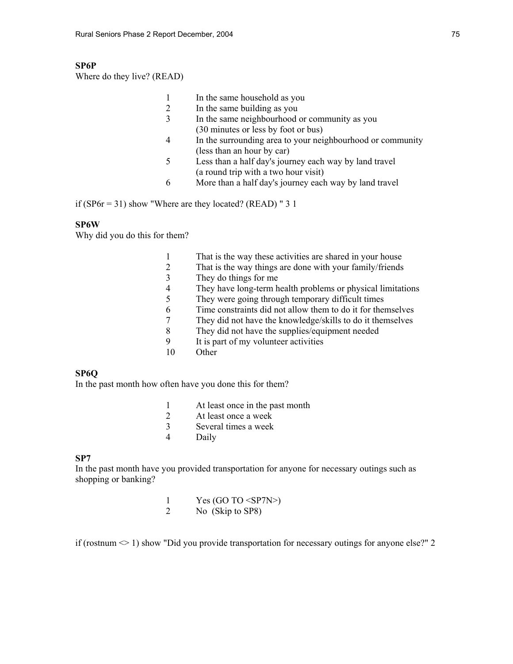# **SP6P**

Where do they live? (READ)

- 1 In the same household as you
- 2 In the same building as you
- 3 In the same neighbourhood or community as you (30 minutes or less by foot or bus)
- 4 In the surrounding area to your neighbourhood or community (less than an hour by car)
- 5 Less than a half day's journey each way by land travel (a round trip with a two hour visit)
- 6 More than a half day's journey each way by land travel

if (SP6 $r = 31$ ) show "Where are they located? (READ) " 3 1

## **SP6W**

Why did you do this for them?

- 1 That is the way these activities are shared in your house
- 2 That is the way things are done with your family/friends
- 3 They do things for me
- 4 They have long-term health problems or physical limitations
- 5 They were going through temporary difficult times
- 6 Time constraints did not allow them to do it for themselves
- 7 They did not have the knowledge/skills to do it themselves
	- 8 They did not have the supplies/equipment needed
	- 9 It is part of my volunteer activities
	- 10 Other

### **SP6Q**

In the past month how often have you done this for them?

- 1 At least once in the past month
- 2 At least once a week
- 3 Several times a week
- 4 Daily

### **SP7**

In the past month have you provided transportation for anyone for necessary outings such as shopping or banking?

| Yes (GO TO $\langle$ SP7N>) |
|-----------------------------|
| No (Skip to SP8)            |

if (rostnum  $\leq 1$ ) show "Did you provide transportation for necessary outings for anyone else?" 2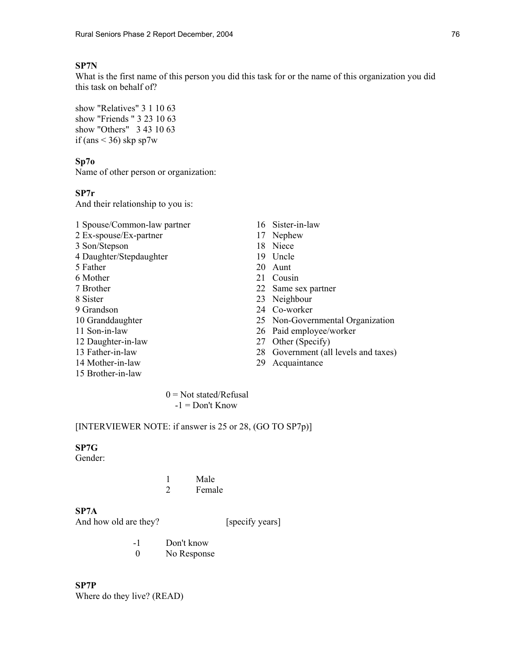# **SP7N**

What is the first name of this person you did this task for or the name of this organization you did this task on behalf of?

show "Relatives" 3 1 10 63 show "Friends " 3 23 10 63 show "Others" 3 43 10 63 if (ans  $\leq$  36) skp sp7w

### **Sp7o**

Name of other person or organization:

## **SP7r**

And their relationship to you is:

- 1 Spouse/Common-law partner 16 Sister-in-law 2 Ex-spouse/Ex-partner 17 Nephew 3 Son/Stepson 18 Niece 4 Daughter/Stepdaughter 19 Uncle 5 Father 20 Aunt 6 Mother 21 Cousin 7 Brother 22 Same sex partner 8 Sister 23 Neighbour 9 Grandson 24 Co-worker 10 Granddaughter 25 Non-Governmental Organization
- 
- 
- 
- 15 Brother-in-law
- 
- 
- 
- 
- 
- 
- 
- 
- 
- 
- 11 Son-in-law 26 Paid employee/worker
- 12 Daughter-in-law 27 Other (Specify)
- 13 Father-in-law 28 Government (all levels and taxes)
- 14 Mother-in-law 29 Acquaintance

 $0 = Not stated/Refusal$  $-1 =$ Don't Know

## [INTERVIEWER NOTE: if answer is 25 or 28, (GO TO SP7p)]

## **SP7G**

Gender:

 1 Male 2 Female

## **SP7A**

And how old are they? [specify years]

- -1 Don't know
- 0 No Response

**SP7P**  Where do they live? (READ)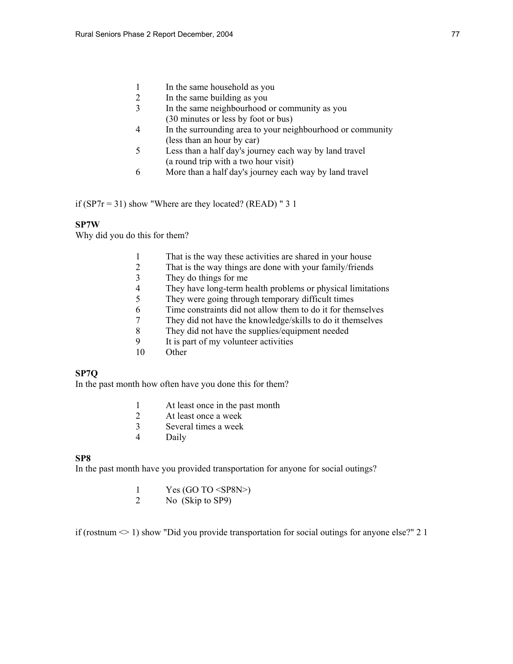- 1 In the same household as you<br>2 In the same building as you
- 2 In the same building as you
- 3 In the same neighbourhood or community as you (30 minutes or less by foot or bus)
- 4 In the surrounding area to your neighbourhood or community (less than an hour by car)
- 5 Less than a half day's journey each way by land travel (a round trip with a two hour visit)
- 6 More than a half day's journey each way by land travel

if (SP7 $r = 31$ ) show "Where are they located? (READ) " 3 1

## **SP7W**

Why did you do this for them?

- 1 That is the way these activities are shared in your house
- 2 That is the way things are done with your family/friends
- 3 They do things for me
- 4 They have long-term health problems or physical limitations
- 5 They were going through temporary difficult times
- 6 Time constraints did not allow them to do it for themselves
- 7 They did not have the knowledge/skills to do it themselves
- 8 They did not have the supplies/equipment needed
- 9 It is part of my volunteer activities
- 10 Other

# **SP7Q**

In the past month how often have you done this for them?

- 1 At least once in the past month
- 2 At least once a week
- 3 Several times a week
- 4 Daily

### **SP8**

In the past month have you provided transportation for anyone for social outings?

- 1 Yes (GO TO <SP8N>)<br>2 No. (Skin to SP9)
- No (Skip to SP9)

if (rostnum  $\leq 1$ ) show "Did you provide transportation for social outings for anyone else?" 2 1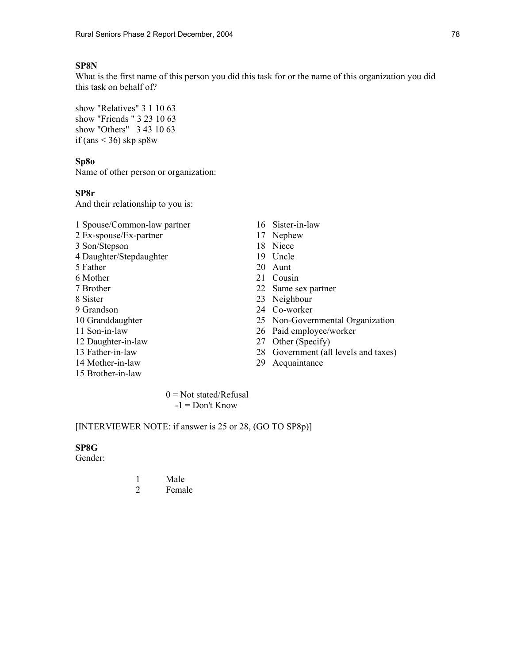# **SP8N**

What is the first name of this person you did this task for or the name of this organization you did this task on behalf of?

show "Relatives" 3 1 10 63 show "Friends " 3 23 10 63 show "Others" 3 43 10 63 if (ans  $\leq$  36) skp sp8w

### **Sp8o**

Name of other person or organization:

# **SP8r**

And their relationship to you is:

- 1 Spouse/Common-law partner 16 Sister-in-law 2 Ex-spouse/Ex-partner 17 Nephew
- 3 Son/Stepson 18 Niece
- 4 Daughter/Stepdaughter 19 Uncle
- 5 Father 20 Aunt
- 
- 
- 
- 
- 
- 
- 12 Daughter-in-law 27 Other (Specify)
- 
- 14 Mother-in-law 29 Acquaintance
- 15 Brother-in-law
- 
- 
- 
- 
- 
- 6 Mother 21 Cousin
- 7 Brother 22 Same sex partner
- 8 Sister 23 Neighbour
- 9 Grandson 24 Co-worker
- 10 Granddaughter 25 Non-Governmental Organization
- 11 Son-in-law 26 Paid employee/worker
	-
- 13 Father-in-law 28 Government (all levels and taxes)
	-

 $0 = Not stated/Refusal$  $-1 =$ Don't Know

## [INTERVIEWER NOTE: if answer is 25 or 28, (GO TO SP8p)]

## **SP8G**

Gender:

 1 Male 2 Female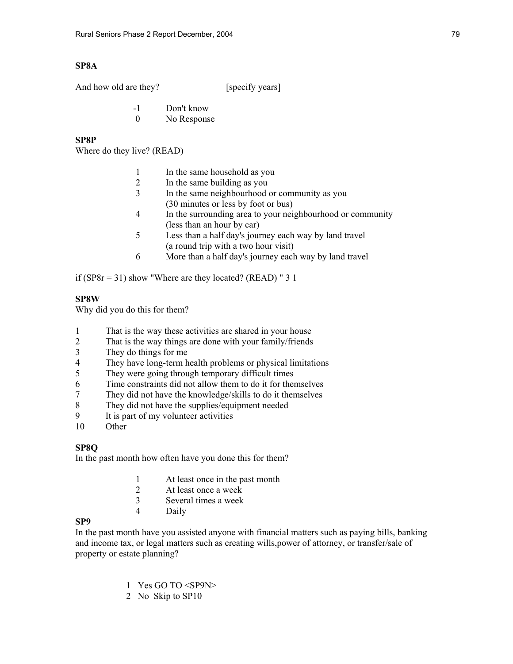# **SP8A**

And how old are they? [specify years]

- -1 Don't know
	- 0 No Response

# **SP8P**

Where do they live? (READ)

|  |  | In the same household as you |  |
|--|--|------------------------------|--|
|--|--|------------------------------|--|

- 2 In the same building as you
- 3 In the same neighbourhood or community as you (30 minutes or less by foot or bus)
- 4 In the surrounding area to your neighbourhood or community (less than an hour by car)
- 5 Less than a half day's journey each way by land travel (a round trip with a two hour visit)
- 6 More than a half day's journey each way by land travel

if  $(SP8r = 31)$  show "Where are they located? (READ) " 3 1

# **SP8W**

Why did you do this for them?

- 1 That is the way these activities are shared in your house
- 2 That is the way things are done with your family/friends
- 3 They do things for me
- 4 They have long-term health problems or physical limitations
- 5 They were going through temporary difficult times
- 6 Time constraints did not allow them to do it for themselves
- 7 They did not have the knowledge/skills to do it themselves
- 8 They did not have the supplies/equipment needed<br>9 It is part of my volunteer activities
- It is part of my volunteer activities
- 10 Other

# **SP8Q**

In the past month how often have you done this for them?

- 1 At least once in the past month
- 2 At least once a week
- 3 Several times a week
- 4 Daily

# **SP9**

In the past month have you assisted anyone with financial matters such as paying bills, banking and income tax, or legal matters such as creating wills,power of attorney, or transfer/sale of property or estate planning?

- 1 Yes GO TO <SP9N>
- 2 No Skip to SP10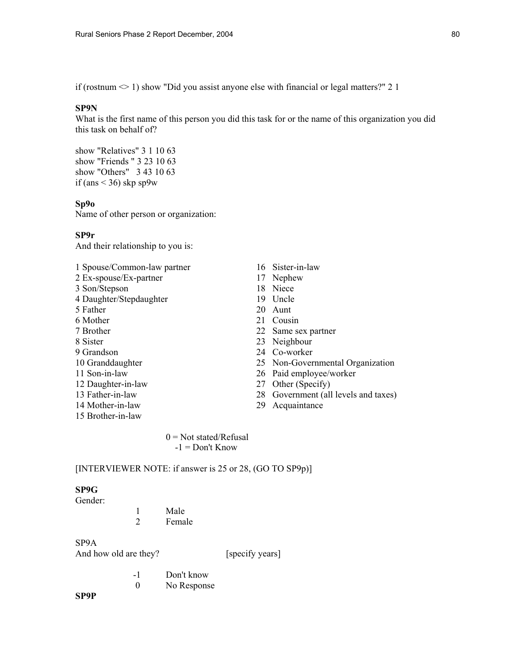if (rostnum  $\leq 1$ ) show "Did you assist anyone else with financial or legal matters?" 2 1

### **SP9N**

What is the first name of this person you did this task for or the name of this organization you did this task on behalf of?

show "Relatives" 3 1 10 63 show "Friends " 3 23 10 63 show "Others" 3 43 10 63 if (ans  $\leq$  36) skp sp9w

### **Sp9o**

Name of other person or organization:

### **SP9r**

And their relationship to you is:

1 Spouse/Common-law partner 16 Sister-in-law 2 Ex-spouse/Ex-partner 17 Nephew 3 Son/Stepson 18 Niece 4 Daughter/Stepdaughter 19 Uncle 5 Father 20 Aunt 6 Mother 21 Cousin 7 Brother 22 Same sex partner 8 Sister 23 Neighbour 9 Grandson 24 Co-worker 11 Son-in-law 26 Paid employee/worker 12 Daughter-in-law 27 Other (Specify) 14 Mother-in-law 29 Acquaintance 15 Brother-in-law

- 
- 
- 
- 
- 
- 
- 
- 
- 
- 10 Granddaughter 25 Non-Governmental Organization
	-
	-
- 13 Father-in-law 28 Government (all levels and taxes)
	-

 $0 = Not stated/Refusal$ -1 = Don't Know

## [INTERVIEWER NOTE: if answer is 25 or 28, (GO TO SP9p)]

## **SP9G**

Gender:

 1 Male 2 Female

# SP9A

And how old are they? [specify years]

 -1 Don't know 0 No Response

## **SP9P**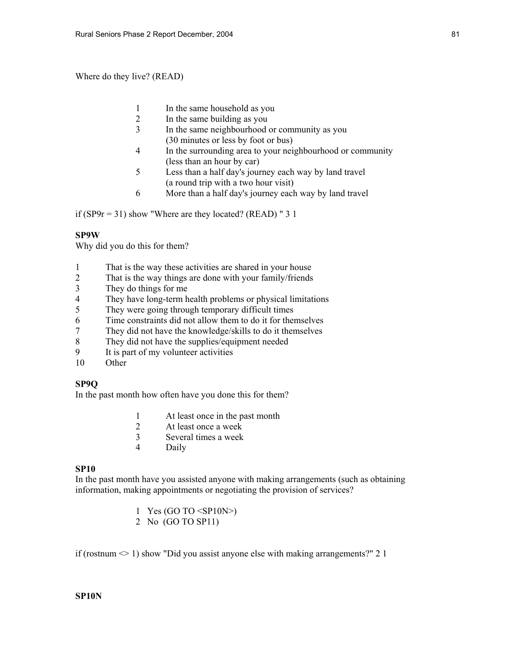Where do they live? (READ)

- 1 In the same household as you
- 2 In the same building as you
- 3 In the same neighbourhood or community as you (30 minutes or less by foot or bus)
- 4 In the surrounding area to your neighbourhood or community (less than an hour by car)
- 5 Less than a half day's journey each way by land travel (a round trip with a two hour visit)
- 6 More than a half day's journey each way by land travel

if (SP9 $r = 31$ ) show "Where are they located? (READ) " 3 1

## **SP9W**

Why did you do this for them?

- 1 That is the way these activities are shared in your house
- 2 That is the way things are done with your family/friends
- 3 They do things for me
- 4 They have long-term health problems or physical limitations<br>5 They were going through temporary difficult times
- They were going through temporary difficult times
- 6 Time constraints did not allow them to do it for themselves
- 7 They did not have the knowledge/skills to do it themselves
- 8 They did not have the supplies/equipment needed
- 9 It is part of my volunteer activities
- 10 Other

# **SP9Q**

In the past month how often have you done this for them?

- 1 At least once in the past month
- 2 At least once a week
- 3 Several times a week
- 4 Daily

### **SP10**

In the past month have you assisted anyone with making arrangements (such as obtaining information, making appointments or negotiating the provision of services?

- 1 Yes (GO TO <SP10N>)
- 2 No (GO TO SP11)

if (rostnum  $\leq 1$ ) show "Did you assist anyone else with making arrangements?" 2 1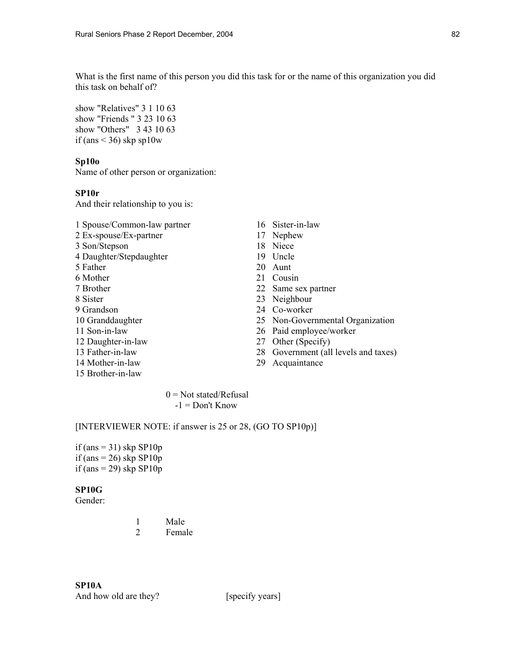What is the first name of this person you did this task for or the name of this organization you did this task on behalf of?

show "Relatives" 3 1 10 63 show "Friends " 3 23 10 63 show "Others" 3 43 10 63 if (ans  $\leq$  36) skp sp10w

### **Sp10o**

Name of other person or organization:

## **SP10r**

And their relationship to you is:

- 1 Spouse/Common-law partner 16 Sister-in-law
- 2 Ex-spouse/Ex-partner 17 Nephew
- 3 Son/Stepson 18 Niece
- 4 Daughter/Stepdaughter 19 Uncle
- 5 Father 20 Aunt
- 
- 
- 
- 
- 
- 
- 
- 
- 
- 15 Brother-in-law
- 
- 
- 
- 
- 
- 6 Mother 21 Cousin
- 7 Brother 22 Same sex partner
- 8 Sister 23 Neighbour
- 9 Grandson 24 Co-worker
- 10 Granddaughter 25 Non-Governmental Organization
- 11 Son-in-law 26 Paid employee/worker
- 12 Daughter-in-law 27 Other (Specify)
- 13 Father-in-law 28 Government (all levels and taxes)
- 14 Mother-in-law 29 Acquaintance

 $0 = Not stated/Refusal$  $-1 =$ Don't Know

[INTERVIEWER NOTE: if answer is 25 or 28, (GO TO SP10p)]

if (ans  $= 31$ ) skp SP10p if (ans  $= 26$ ) skp SP10p if (ans = 29) skp  $SP10p$ 

# **SP10G**

Gender:

 1 Male 2 Female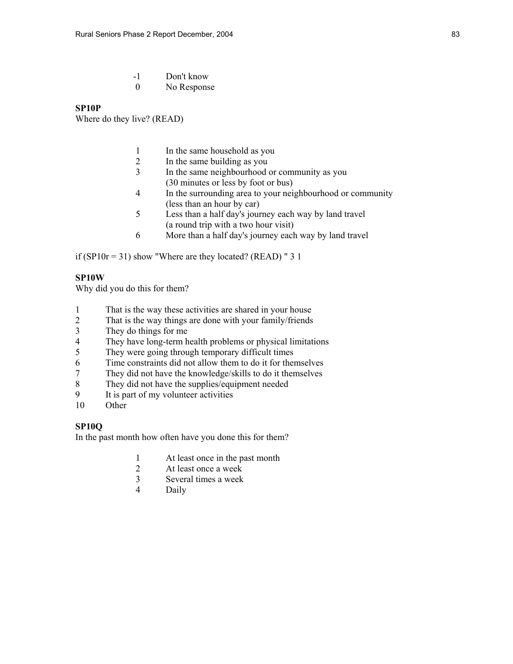| - 1 | Don't know  |
|-----|-------------|
|     | No Response |

### **SP10P**

Where do they live? (READ)

- 1 In the same household as you
- 2 In the same building as you
- 3 In the same neighbourhood or community as you (30 minutes or less by foot or bus)
- 4 In the surrounding area to your neighbourhood or community (less than an hour by car)
- 5 Less than a half day's journey each way by land travel (a round trip with a two hour visit)
- 6 More than a half day's journey each way by land travel

if (SP10r = 31) show "Where are they located? (READ) "  $31$ 

# **SP10W**

Why did you do this for them?

- 1 That is the way these activities are shared in your house
- 2 That is the way things are done with your family/friends
- 3 They do things for me
- 4 They have long-term health problems or physical limitations
- 5 They were going through temporary difficult times
- 6 Time constraints did not allow them to do it for themselves
- 7 They did not have the knowledge/skills to do it themselves
- 8 They did not have the supplies/equipment needed
- 9 It is part of my volunteer activities
- 10 Other

### **SP10Q**

In the past month how often have you done this for them?

- 1 At least once in the past month
- 2 At least once a week
- 3 Several times a week
- 4 Daily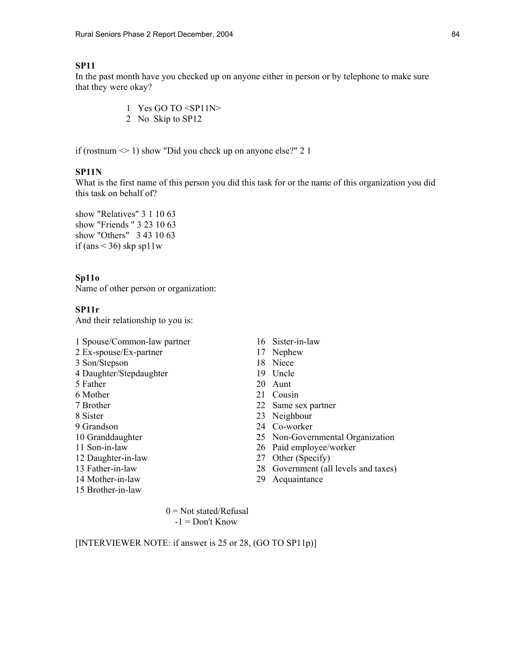# **SP11**

In the past month have you checked up on anyone either in person or by telephone to make sure that they were okay?

- 1 Yes GO TO <SP11N>
- 2 No Skip to SP12

if (rostnum  $\leq 1$ ) show "Did you check up on anyone else?" 2 1

## **SP11N**

What is the first name of this person you did this task for or the name of this organization you did this task on behalf of?

show "Relatives" 3 1 10 63 show "Friends " 3 23 10 63 show "Others" 3 43 10 63 if (ans  $\leq$  36) skp sp11w

### **Sp11o**

Name of other person or organization:

### **SP11r**

And their relationship to you is:

- 1 Spouse/Common-law partner 16 Sister-in-law
- 2 Ex-spouse/Ex-partner 17 Nephew
- 3 Son/Stepson 18 Niece
- 4 Daughter/Stepdaughter 19 Uncle
- 
- 
- 
- 
- 
- 
- 
- 
- 
- 
- 15 Brother-in-law
- 
- 
- 
- 
- 5 Father 20 Aunt
- 6 Mother 21 Cousin
- 7 Brother 22 Same sex partner
- 8 Sister 23 Neighbour
- 9 Grandson 24 Co-worker
- 10 Granddaughter 25 Non-Governmental Organization
- 11 Son-in-law 26 Paid employee/worker
- 12 Daughter-in-law 27 Other (Specify)
- 13 Father-in-law 28 Government (all levels and taxes)
- 14 Mother-in-law 29 Acquaintance

 $0 = Not stated/Refusal$  $-1 =$  Don't Know

[INTERVIEWER NOTE: if answer is 25 or 28, (GO TO SP11p)]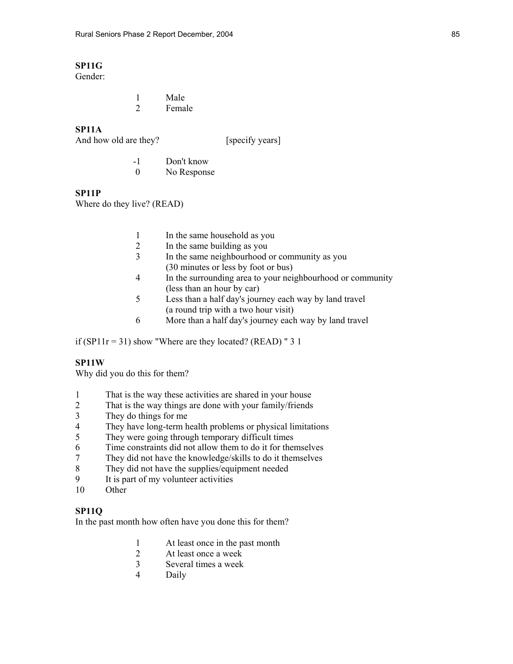# **SP11G**

Gender:

 1 Male 2 Female

# **SP11A**

And how old are they? [specify years]

 -1 Don't know 0 No Response

## **SP11P**

Where do they live? (READ)

- 1 In the same household as you<br>2 In the same building as you
- In the same building as you
- 3 In the same neighbourhood or community as you (30 minutes or less by foot or bus)
- 4 In the surrounding area to your neighbourhood or community (less than an hour by car)
- 5 Less than a half day's journey each way by land travel (a round trip with a two hour visit)
- 6 More than a half day's journey each way by land travel

if (SP11 $r = 31$ ) show "Where are they located? (READ) " 3 1

### **SP11W**

Why did you do this for them?

- 1 That is the way these activities are shared in your house
- 2 That is the way things are done with your family/friends
- 3 They do things for me
- 4 They have long-term health problems or physical limitations
- 5 They were going through temporary difficult times
- 6 Time constraints did not allow them to do it for themselves
- 7 They did not have the knowledge/skills to do it themselves
- 8 They did not have the supplies/equipment needed
- 9 It is part of my volunteer activities
- 10 Other

## **SP11Q**

In the past month how often have you done this for them?

- 1 At least once in the past month<br>2 At least once a week
- At least once a week
- 3 Several times a week
- 4 Daily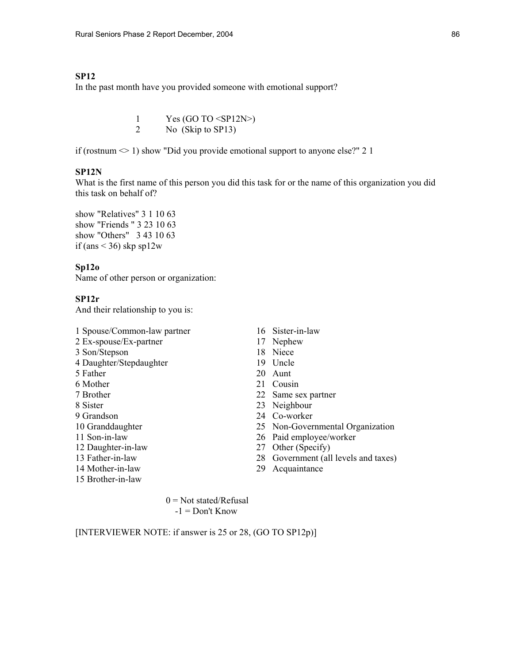## **SP12**

In the past month have you provided someone with emotional support?

1 Yes (GO TO  $\langle SP12N \rangle$ ) 2 No (Skip to SP13)

if (rostnum  $\leq 1$ ) show "Did you provide emotional support to anyone else?" 2 1

## **SP12N**

What is the first name of this person you did this task for or the name of this organization you did this task on behalf of?

show "Relatives" 3 1 10 63 show "Friends " 3 23 10 63 show "Others" 3 43 10 63 if (ans  $\leq$  36) skp sp12w

## **Sp12o**

Name of other person or organization:

### **SP12r**

And their relationship to you is:

- 1 Spouse/Common-law partner 16 Sister-in-law
- 2 Ex-spouse/Ex-partner 17 Nephew
- 3 Son/Stepson 18 Niece
- 4 Daughter/Stepdaughter 19 Uncle
- 5 Father 20 Aunt
- 6 Mother 21 Cousin
- 
- 
- 
- 
- 
- 
- 
- 14 Mother-in-law 29 Acquaintance
- 15 Brother-in-law
- 
- 
- 
- 
- 
- 
- 7 Brother 22 Same sex partner
- 8 Sister 23 Neighbour
- 9 Grandson 24 Co-worker
- 10 Granddaughter 25 Non-Governmental Organization
- 11 Son-in-law 26 Paid employee/worker
- 12 Daughter-in-law 27 Other (Specify)
- 13 Father-in-law 28 Government (all levels and taxes)
	-

 $0 = Not stated/Refusal$  $-1 =$ Don't Know

[INTERVIEWER NOTE: if answer is 25 or 28, (GO TO SP12p)]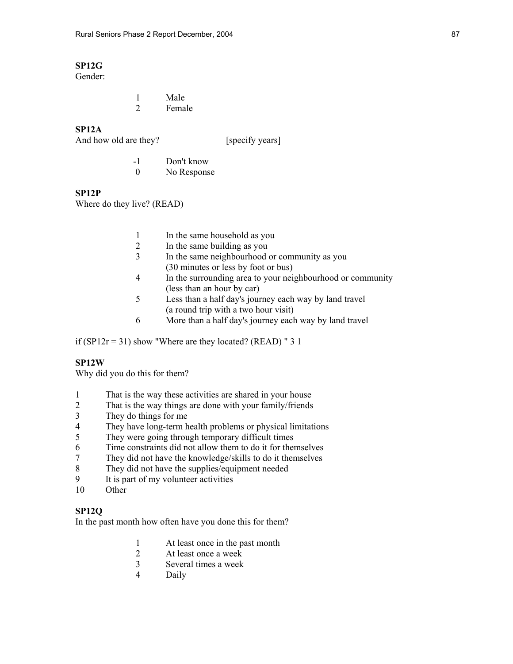# **SP12G**

Gender:

|  | Male   |
|--|--------|
|  | Female |

# **SP12A**

And how old are they? [specify years]

 -1 Don't know 0 No Response

### **SP12P**

Where do they live? (READ)

- 1 In the same household as you<br>2 In the same building as you
- In the same building as you
- 3 In the same neighbourhood or community as you (30 minutes or less by foot or bus)
- 4 In the surrounding area to your neighbourhood or community (less than an hour by car)
- 5 Less than a half day's journey each way by land travel (a round trip with a two hour visit)
- 6 More than a half day's journey each way by land travel

if (SP12 $r = 31$ ) show "Where are they located? (READ) " 3 1

### **SP12W**

Why did you do this for them?

- 1 That is the way these activities are shared in your house
- 2 That is the way things are done with your family/friends
- 3 They do things for me
- 4 They have long-term health problems or physical limitations
- 5 They were going through temporary difficult times
- 6 Time constraints did not allow them to do it for themselves
- 7 They did not have the knowledge/skills to do it themselves
- 8 They did not have the supplies/equipment needed
- 9 It is part of my volunteer activities
- 10 Other

## **SP12Q**

In the past month how often have you done this for them?

- 1 At least once in the past month<br>2 At least once a week
- At least once a week
- 3 Several times a week
- 4 Daily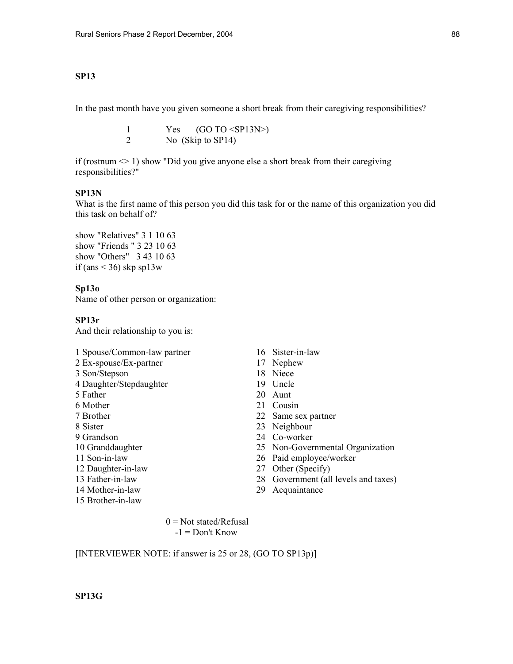## **SP13**

In the past month have you given someone a short break from their caregiving responsibilities?

1  $Yes (GO TO < SPI3N>)$ 2 No (Skip to SP14)

if (rostnum  $\leq 1$ ) show "Did you give anyone else a short break from their caregiving responsibilities?"

## **SP13N**

What is the first name of this person you did this task for or the name of this organization you did this task on behalf of?

show "Relatives" 3 1 10 63 show "Friends " 3 23 10 63 show "Others" 3 43 10 63 if (ans  $\leq$  36) skp sp13w

## **Sp13o**

Name of other person or organization:

### **SP13r**

And their relationship to you is:

- 1 Spouse/Common-law partner 16 Sister-in-law
- 2 Ex-spouse/Ex-partner 17 Nephew
- 3 Son/Stepson 18 Niece
- 4 Daughter/Stepdaughter 19 Uncle
- 
- 
- 
- 
- 
- 
- 
- 
- 
- 
- 15 Brother-in-law
- 
- 
- 
- 
- 5 Father 20 Aunt
- 6 Mother 21 Cousin
- 7 Brother 22 Same sex partner
- 8 Sister 23 Neighbour
- 9 Grandson 24 Co-worker
- 10 Granddaughter 25 Non-Governmental Organization
- 11 Son-in-law 26 Paid employee/worker
- 12 Daughter-in-law 27 Other (Specify)
- 13 Father-in-law 28 Government (all levels and taxes)
- 14 Mother-in-law 29 Acquaintance

 $0 = Not stated/Refusal$  $-1 =$  Don't Know

[INTERVIEWER NOTE: if answer is 25 or 28, (GO TO SP13p)]

**SP13G**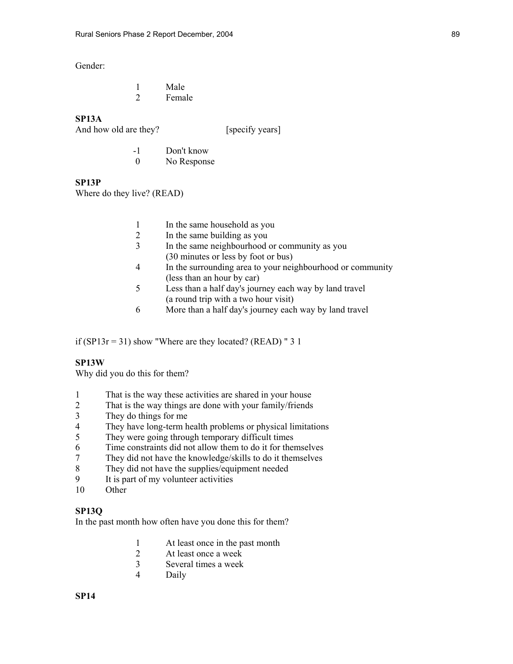Gender:

|  | Male   |
|--|--------|
|  | Female |

**SP13A** 

And how old are they? [specify years]

 -1 Don't know 0 No Response

**SP13P** 

Where do they live? (READ)

- 1 In the same household as you<br>2 In the same building as you
- 2 In the same building as you
- 3 In the same neighbourhood or community as you (30 minutes or less by foot or bus)
- 4 In the surrounding area to your neighbourhood or community (less than an hour by car)
- 5 Less than a half day's journey each way by land travel (a round trip with a two hour visit)
- 6 More than a half day's journey each way by land travel

if (SP13 $r = 31$ ) show "Where are they located? (READ) " 3 1

### **SP13W**

Why did you do this for them?

- 1 That is the way these activities are shared in your house
- 2 That is the way things are done with your family/friends
- 3 They do things for me
- 4 They have long-term health problems or physical limitations
- 5 They were going through temporary difficult times
- 6 Time constraints did not allow them to do it for themselves
- 7 They did not have the knowledge/skills to do it themselves
- 8 They did not have the supplies/equipment needed
- 9 It is part of my volunteer activities
- 10 Other

## **SP13Q**

In the past month how often have you done this for them?

- 1 At least once in the past month<br>2 At least once a week
- At least once a week
- 3 Several times a week
- 4 Daily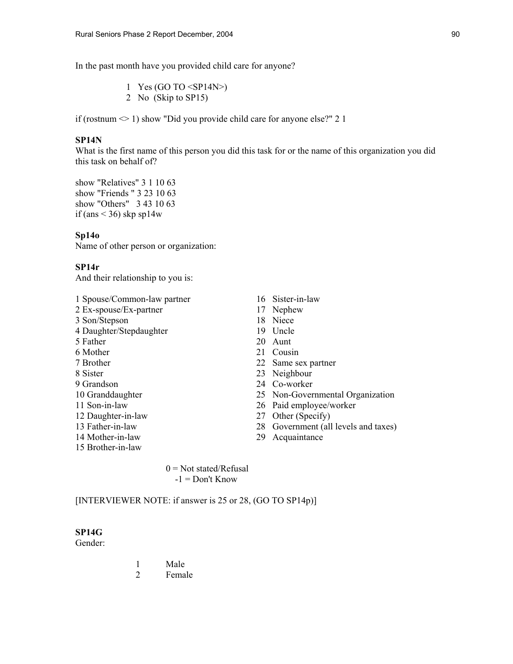In the past month have you provided child care for anyone?

1 Yes (GO TO  $\langle SP14N \rangle$ ) 2 No (Skip to SP15)

if (rostnum  $\leq 1$ ) show "Did you provide child care for anyone else?" 2 1

#### **SP14N**

What is the first name of this person you did this task for or the name of this organization you did this task on behalf of?

show "Relatives" 3 1 10 63 show "Friends " 3 23 10 63 show "Others" 3 43 10 63 if (ans  $\leq$  36) skp sp14w

### **Sp14o**

Name of other person or organization:

### **SP14r**

And their relationship to you is:

- 1 Spouse/Common-law partner 16 Sister-in-law 2 Ex-spouse/Ex-partner 17 Nephew 3 Son/Stepson 18 Niece 4 Daughter/Stepdaughter 19 Uncle 5 Father 20 Aunt 6 Mother 21 Cousin 7 Brother 22 Same sex partner 8 Sister 23 Neighbour 9 Grandson 24 Co-worker 10 Granddaughter 25 Non-Governmental Organization 11 Son-in-law 26 Paid employee/worker 12 Daughter-in-law 27 Other (Specify) 13 Father-in-law 28 Government (all levels and taxes) 14 Mother-in-law 29 Acquaintance 15 Brother-in-law
	-
	-
	-
	-

 $0 = Not stated/Refusal$  $-1 =$  Don't Know

[INTERVIEWER NOTE: if answer is 25 or 28, (GO TO SP14p)]

### **SP14G**

Gender:

 1 Male 2 Female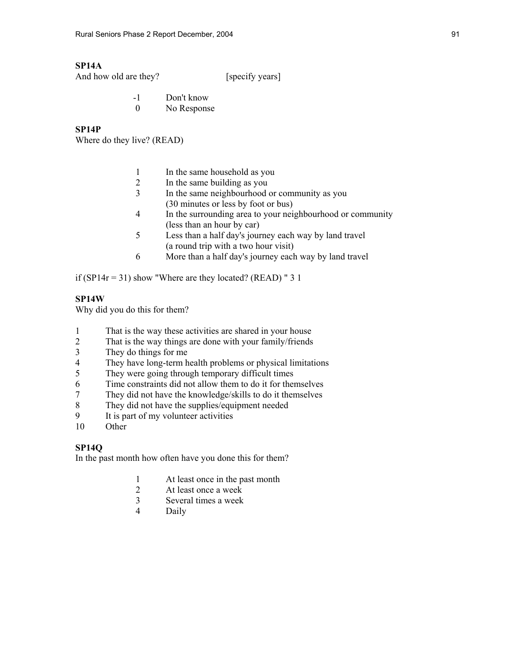# **SP14A**

And how old are they? [specify years]

- -1 Don't know
- 0 No Response

# **SP14P**

Where do they live? (READ)

- 1 In the same household as you
- 2 In the same building as you
- 3 In the same neighbourhood or community as you (30 minutes or less by foot or bus)
- 4 In the surrounding area to your neighbourhood or community (less than an hour by car)
- 5 Less than a half day's journey each way by land travel (a round trip with a two hour visit)
- 6 More than a half day's journey each way by land travel

if (SP14 $r = 31$ ) show "Where are they located? (READ) " 3 1

# **SP14W**

Why did you do this for them?

- 1 That is the way these activities are shared in your house
- 2 That is the way things are done with your family/friends
- 3 They do things for me
- 4 They have long-term health problems or physical limitations
- 5 They were going through temporary difficult times
- 6 Time constraints did not allow them to do it for themselves<br>
They did not have the knowledge/skills to do it themselves
- They did not have the knowledge/skills to do it themselves
- 8 They did not have the supplies/equipment needed<br>9 It is part of my volunteer activities
- It is part of my volunteer activities
- 10 Other

# **SP14Q**

In the past month how often have you done this for them?

- 1 At least once in the past month
- 2 At least once a week
- 3 Several times a week
- 4 Daily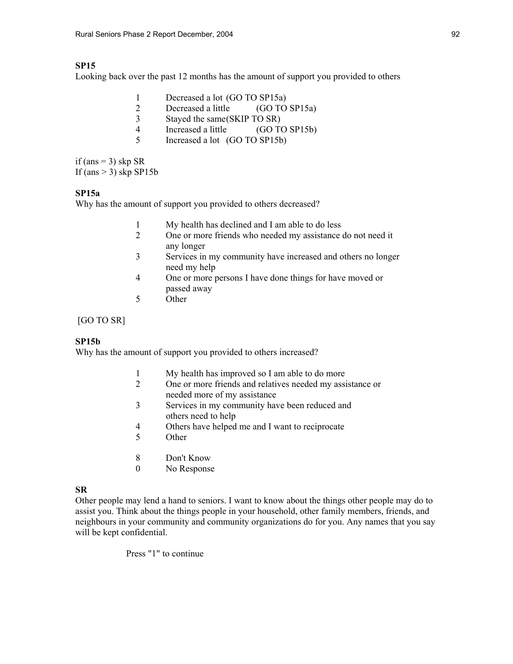# **SP15**

Looking back over the past 12 months has the amount of support you provided to others

| Decreased a lot (GO TO SP15a)    |               |
|----------------------------------|---------------|
| Decreased a little (GO TO SP15a) |               |
| Stayed the same(SKIP TO SR)      |               |
| Increased a little               | (GO TO SP15b) |

5 Increased a lot (GO TO SP15b)

if (ans  $=$  3) skp SR If  ${\rm (ans > 3)}$  skp SP15b

### **SP15a**

Why has the amount of support you provided to others decreased?

- 1 My health has declined and I am able to do less
- 2 One or more friends who needed my assistance do not need it any longer
- 3 Services in my community have increased and others no longer need my help
- 4 One or more persons I have done things for have moved or passed away
- 5 Other

[GO TO SR]

## **SP15b**

Why has the amount of support you provided to others increased?

- 1 My health has improved so I am able to do more
- 2 One or more friends and relatives needed my assistance or needed more of my assistance
- 3 Services in my community have been reduced and others need to help
- 4 Others have helped me and I want to reciprocate
- 5 Other
- 8 Don't Know
- 0 No Response

## **SR**

Other people may lend a hand to seniors. I want to know about the things other people may do to assist you. Think about the things people in your household, other family members, friends, and neighbours in your community and community organizations do for you. Any names that you say will be kept confidential.

Press "1" to continue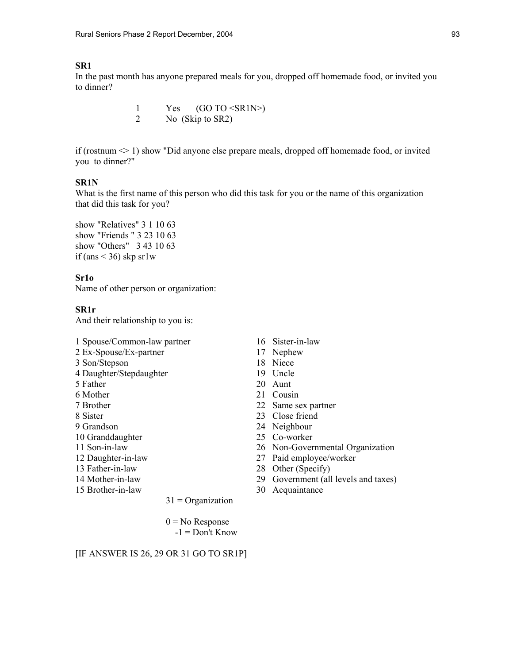### **SR1**

In the past month has anyone prepared meals for you, dropped off homemade food, or invited you to dinner?

> 1 Yes (GO TO <SR1N>) 2 No (Skip to SR2)

if (rostnum  $\leq 1$ ) show "Did anyone else prepare meals, dropped off homemade food, or invited you to dinner?"

### **SR1N**

What is the first name of this person who did this task for you or the name of this organization that did this task for you?

show "Relatives" 3 1 10 63 show "Friends " 3 23 10 63 show "Others" 3 43 10 63 if (ans  $\leq$  36) skp sr1w

## **Sr1o**

Name of other person or organization:

### **SR1r**

And their relationship to you is:

- 1 Spouse/Common-law partner 16 Sister-in-law
- 2 Ex-Spouse/Ex-partner 17 Nephew
- 3 Son/Stepson 18 Niece
- 4 Daughter/Stepdaughter 19 Uncle
- 
- 
- 
- 
- 
- 
- 
- 
- 
- 
- 

 $31$  = Organization

 $0 = No$  Response  $-1 =$  Don't Know

### [IF ANSWER IS 26, 29 OR 31 GO TO SR1P]

- 
- 
- 
- 
- 5 Father 20 Aunt
- 6 Mother 21 Cousin
- 7 Brother 22 Same sex partner
- 8 Sister 23 Close friend
- 9 Grandson 24 Neighbour
- 10 Granddaughter 25 Co-worker
- 11 Son-in-law 26 Non-Governmental Organization
- 12 Daughter-in-law 27 Paid employee/worker
- 13 Father-in-law 28 Other (Specify)
- 14 Mother-in-law 29 Government (all levels and taxes)
- 15 Brother-in-law 30 Acquaintance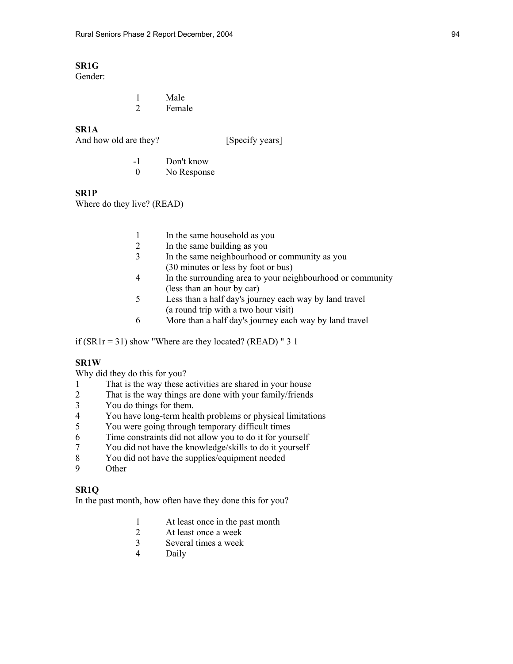# **SR1G**

Gender:

 1 Male 2 Female

# **SR1A**

And how old are they? [Specify years]

 -1 Don't know 0 No Response

## **SR1P**

Where do they live? (READ)

- 1 In the same household as you<br>2 In the same building as you
- In the same building as you
- 3 In the same neighbourhood or community as you (30 minutes or less by foot or bus)
- 4 In the surrounding area to your neighbourhood or community (less than an hour by car)
- 5 Less than a half day's journey each way by land travel (a round trip with a two hour visit)
- 6 More than a half day's journey each way by land travel

if ( $SR1r = 31$ ) show "Where are they located? ( $READ$ ) " 3 1

### **SR1W**

Why did they do this for you?

- 1 That is the way these activities are shared in your house
- 2 That is the way things are done with your family/friends
- 3 You do things for them.<br>4 You have long-term hea
- 4 You have long-term health problems or physical limitations
- 5 You were going through temporary difficult times
- 6 Time constraints did not allow you to do it for yourself
- 7 You did not have the knowledge/skills to do it yourself
- 8 You did not have the supplies/equipment needed
- 9 Other

## **SR1Q**

In the past month, how often have they done this for you?

- 1 At least once in the past month
- 2 At least once a week
- 3 Several times a week
- 4 Daily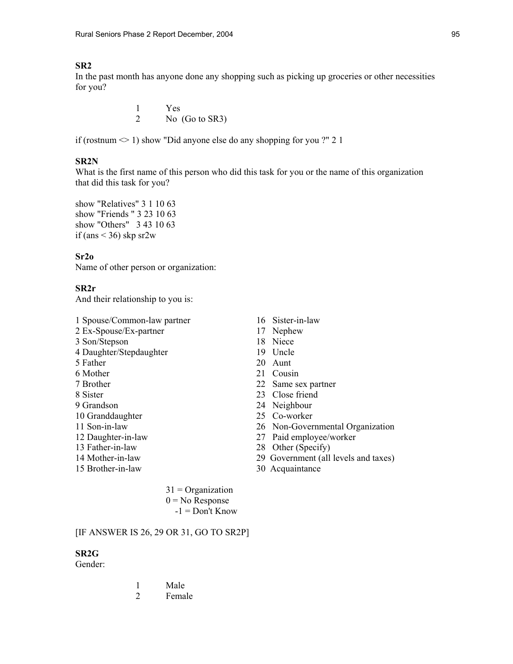## **SR2**

In the past month has anyone done any shopping such as picking up groceries or other necessities for you?

> 1 Yes 2 No (Go to SR3)

if (rostnum  $\leq 1$ ) show "Did anyone else do any shopping for you ?" 2 1

### **SR2N**

What is the first name of this person who did this task for you or the name of this organization that did this task for you?

show "Relatives" 3 1 10 63 show "Friends " 3 23 10 63 show "Others" 3 43 10 63 if (ans  $\leq$  36) skp sr2w

### **Sr2o**

Name of other person or organization:

# **SR2r**

And their relationship to you is:

2 Ex-Spouse/Ex-partner 17 Nephew 3 Son/Stepson 18 Niece 4 Daughter/Stepdaughter 19 Uncle 5 Father 20 Aunt 6 Mother 21 Cousin 7 Brother 22 Same sex partner 8 Sister 23 Close friend 9 Grandson 24 Neighbour 10 Granddaughter 25 Co-worker

- 
- 
- 
- 
- 
- 1 Spouse/Common-law partner 16 Sister-in-law
	-
	-
	-
	-
	-
	-
	-
	-
	-
- 11 Son-in-law 26 Non-Governmental Organization
- 12 Daughter-in-law 27 Paid employee/worker
- 13 Father-in-law 28 Other (Specify)
- 14 Mother-in-law 29 Government (all levels and taxes)
- 15 Brother-in-law 30 Acquaintance

 $31 =$ Organization  $0 = No$  Response  $-1 =$ Don't Know

## [IF ANSWER IS 26, 29 OR 31, GO TO SR2P]

### **SR2G**

Gender:

|  | Male   |
|--|--------|
|  | Female |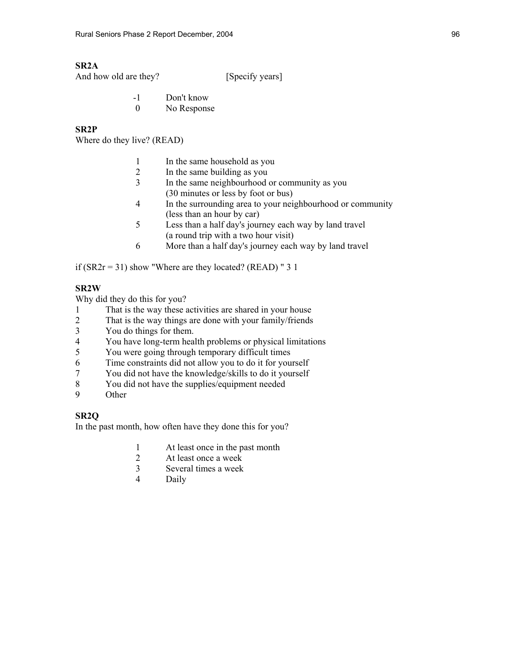## **SR2A**

And how old are they? [Specify years]

- -1 Don't know
- 0 No Response

# **SR2P**

Where do they live? (READ)

- 1 In the same household as you
- 2 In the same building as you
- 3 In the same neighbourhood or community as you (30 minutes or less by foot or bus)
- 4 In the surrounding area to your neighbourhood or community (less than an hour by car)
- 5 Less than a half day's journey each way by land travel (a round trip with a two hour visit)
- 6 More than a half day's journey each way by land travel

if  $(SR2r = 31)$  show "Where are they located? (READ) " 3 1

### **SR2W**

Why did they do this for you?

- 1 That is the way these activities are shared in your house
- 2 That is the way things are done with your family/friends
- 3 You do things for them.
- 4 You have long-term health problems or physical limitations
- 5 You were going through temporary difficult times
- 6 Time constraints did not allow you to do it for yourself
- 7 You did not have the knowledge/skills to do it yourself
- 8 You did not have the supplies/equipment needed
- 9 Other

# **SR2Q**

In the past month, how often have they done this for you?

- 1 At least once in the past month
- 2 At least once a week
- 3 Several times a week
- 4 Daily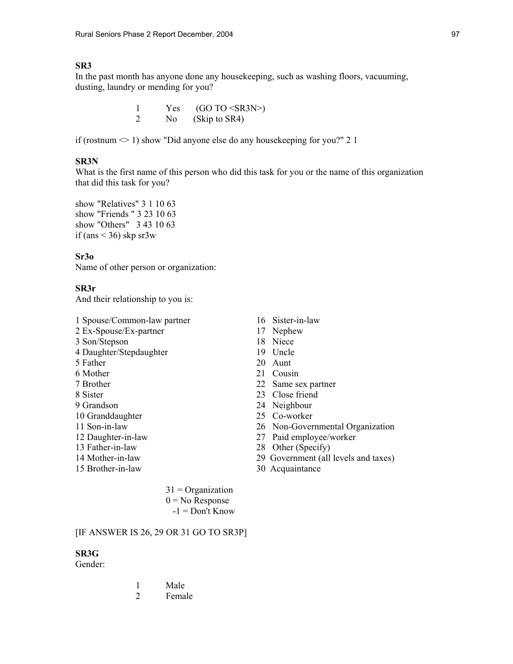# **SR3**

In the past month has anyone done any housekeeping, such as washing floors, vacuuming, dusting, laundry or mending for you?

| Yes | $(GO TO < S$ R3N>) |
|-----|--------------------|
| No. | (Skip to SR4)      |

if (rostnum  $\leq 1$ ) show "Did anyone else do any housekeeping for you?" 2 1

## **SR3N**

What is the first name of this person who did this task for you or the name of this organization that did this task for you?

show "Relatives" 3 1 10 63 show "Friends " 3 23 10 63 show "Others" 3 43 10 63 if (ans  $\leq$  36) skp sr3w

### **Sr3o**

Name of other person or organization:

### **SR3r**

And their relationship to you is:

2 Ex-Spouse/Ex-partner 17 Nephew 3 Son/Stepson 18 Niece 4 Daughter/Stepdaughter 19 Uncle 5 Father 20 Aunt

- 
- 
- 
- 
- 
- 
- 
- 
- 
- 15 Brother-in-law 30 Acquaintance
- 1 Spouse/Common-law partner 16 Sister-in-law
	-
	-
	-
	-
- 6 Mother 21 Cousin
- 7 Brother 22 Same sex partner
- 8 Sister 23 Close friend
- 9 Grandson 24 Neighbour
- 10 Granddaughter 25 Co-worker
- 11 Son-in-law 26 Non-Governmental Organization
- 12 Daughter-in-law 27 Paid employee/worker
- 13 Father-in-law 28 Other (Specify)
- 14 Mother-in-law 29 Government (all levels and taxes)
	-

 $31 =$ Organization  $0 = No$  Response  $-1 =$ Don't Know

## [IF ANSWER IS 26, 29 OR 31 GO TO SR3P]

### **SR3G**

Gender:

|  | Male   |
|--|--------|
|  | Female |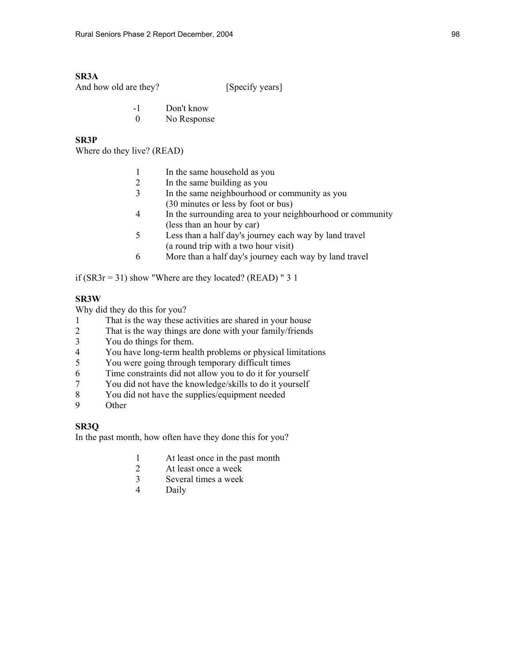## **SR3A**

And how old are they? [Specify years]

- -1 Don't know
- 0 No Response

# **SR3P**

Where do they live? (READ)

- 1 In the same household as you
- 2 In the same building as you
- 3 In the same neighbourhood or community as you (30 minutes or less by foot or bus)
- 4 In the surrounding area to your neighbourhood or community (less than an hour by car)
- 5 Less than a half day's journey each way by land travel (a round trip with a two hour visit)
- 6 More than a half day's journey each way by land travel

if ( $SR3r = 31$ ) show "Where are they located? ( $READ$ ) " 3 1

## **SR3W**

Why did they do this for you?

- 1 That is the way these activities are shared in your house
- 2 That is the way things are done with your family/friends
- 3 You do things for them.
- 4 You have long-term health problems or physical limitations
- 5 You were going through temporary difficult times
- 6 Time constraints did not allow you to do it for yourself
- 7 You did not have the knowledge/skills to do it yourself
- 8 You did not have the supplies/equipment needed
- 9 Other

## **SR3Q**

In the past month, how often have they done this for you?

- 1 At least once in the past month
- 2 At least once a week
- 3 Several times a week
- 4 Daily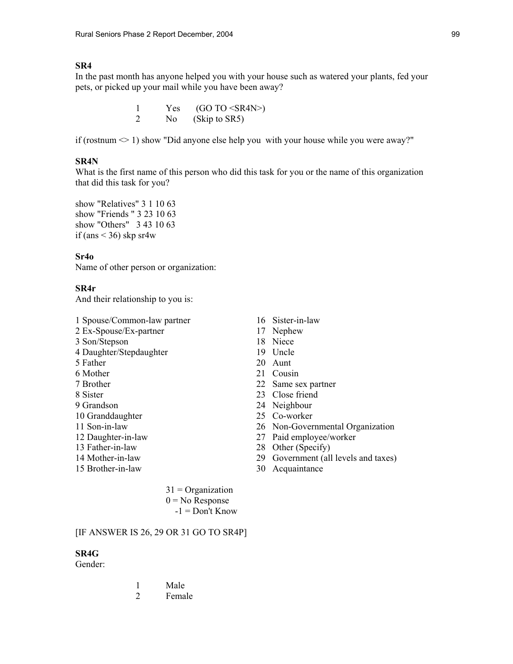### **SR4**

In the past month has anyone helped you with your house such as watered your plants, fed your pets, or picked up your mail while you have been away?

| Yes | (GO TO < SR4N |
|-----|---------------|
| No. | (Skip to SR5) |

if (rostnum  $\leq 1$ ) show "Did anyone else help you with your house while you were away?"

### **SR4N**

What is the first name of this person who did this task for you or the name of this organization that did this task for you?

show "Relatives" 3 1 10 63 show "Friends " 3 23 10 63 show "Others" 3 43 10 63 if (ans  $\leq$  36) skp sr4w

### **Sr4o**

Name of other person or organization:

### **SR4r**

And their relationship to you is:

1 Spouse/Common-law partner 16 Sister-in-law 2 Ex-Spouse/Ex-partner 17 Nephew

- 3 Son/Stepson 18 Niece
- 4 Daughter/Stepdaughter 19 Uncle
- 5 Father 20 Aunt
- 6 Mother 21 Cousin
- 
- 
- 
- 
- 
- 
- 
- 
- 
- 
- 
- 
- 
- 
- 
- 7 Brother 22 Same sex partner
- 8 Sister 23 Close friend
- 9 Grandson 24 Neighbour
- 10 Granddaughter 25 Co-worker
- 11 Son-in-law 26 Non-Governmental Organization
- 12 Daughter-in-law 27 Paid employee/worker
- 13 Father-in-law 28 Other (Specify)
- 14 Mother-in-law 29 Government (all levels and taxes)
- 15 Brother-in-law 30 Acquaintance

 $31 =$ Organization  $0 = No$  Response  $-1 =$ Don't Know

### [IF ANSWER IS 26, 29 OR 31 GO TO SR4P]

#### **SR4G**

Gender:

|  | Male   |
|--|--------|
|  | Female |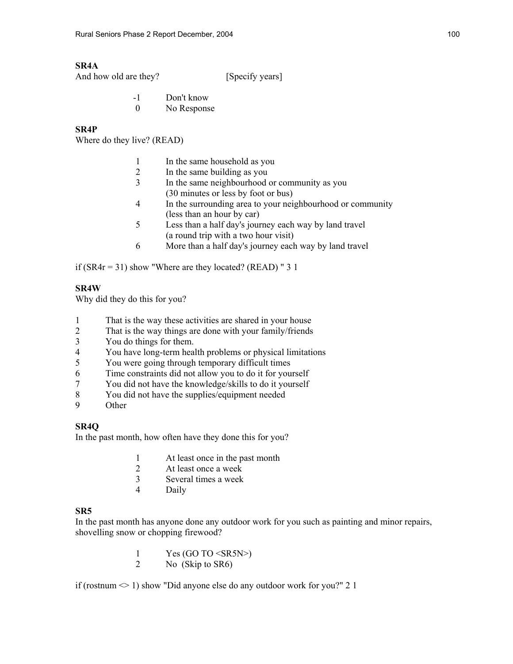# **SR4A**

And how old are they? [Specify years]

- -1 Don't know
- 0 No Response

# **SR4P**

Where do they live? (READ)

- 1 In the same household as you
- 2 In the same building as you
- 3 In the same neighbourhood or community as you (30 minutes or less by foot or bus)
- 4 In the surrounding area to your neighbourhood or community (less than an hour by car)
- 5 Less than a half day's journey each way by land travel (a round trip with a two hour visit)
- 6 More than a half day's journey each way by land travel

if ( $SR4r = 31$ ) show "Where are they located? ( $READ$ ) " 3 1

# **SR4W**

Why did they do this for you?

- 1 That is the way these activities are shared in your house
- 2 That is the way things are done with your family/friends
- 3 You do things for them.
- 4 You have long-term health problems or physical limitations
- 5 You were going through temporary difficult times
- 6 Time constraints did not allow you to do it for yourself
- 7 You did not have the knowledge/skills to do it yourself
- 8 You did not have the supplies/equipment needed
- 9 Other

# **SR4Q**

In the past month, how often have they done this for you?

- 1 At least once in the past month
- 2 At least once a week
- 3 Several times a week
- 4 Daily

# **SR5**

In the past month has anyone done any outdoor work for you such as painting and minor repairs, shovelling snow or chopping firewood?

> 1 Yes (GO TO  $\leq$ SR5N>)<br>2 No (Skip to SR6) No (Skip to SR6)

if (rostnum  $\leq 1$ ) show "Did anyone else do any outdoor work for you?" 2 1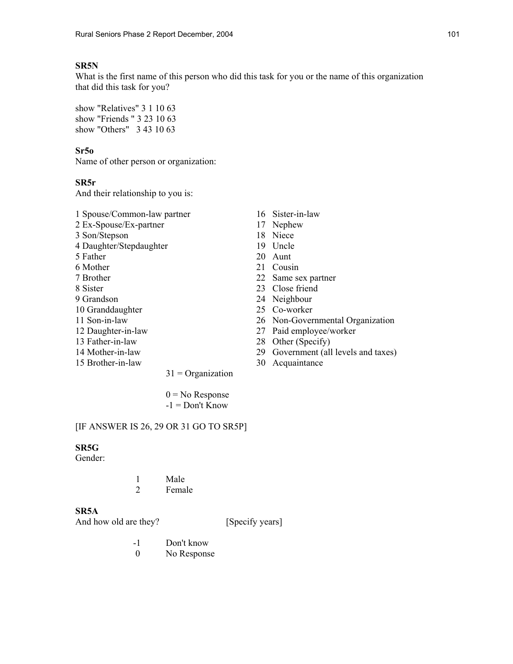## **SR5N**

What is the first name of this person who did this task for you or the name of this organization that did this task for you?

show "Relatives" 3 1 10 63 show "Friends " 3 23 10 63 show "Others" 3 43 10 63

### **Sr5o**

Name of other person or organization:

### **SR5r**

And their relationship to you is:

- 1 Spouse/Common-law partner 16 Sister-in-law 2 Ex-Spouse/Ex-partner 17 Nephew 3 Son/Stepson 18 Niece 4 Daughter/Stepdaughter 19 Uncle 5 Father 20 Aunt
- 
- 
- 
- 
- 
- 
- 
- 
- 
- 
- 
- 
- 
- 
- 
- 
- 6 Mother 21 Cousin
- 7 Brother 22 Same sex partner
- 8 Sister 23 Close friend
- 9 Grandson 24 Neighbour
- 10 Granddaughter 25 Co-worker
- 11 Son-in-law 26 Non-Governmental Organization
- 12 Daughter-in-law 27 Paid employee/worker
- 13 Father-in-law 28 Other (Specify)
- 14 Mother-in-law 29 Government (all levels and taxes)
- 15 Brother-in-law 30 Acquaintance

 $0 = No$  Response  $-1 =$ Don't Know

 $31$  = Organization

### [IF ANSWER IS 26, 29 OR 31 GO TO SR5P]

### **SR5G**

Gender:

|  | Male   |
|--|--------|
|  | Female |

### **SR5A**

And how old are they? [Specify years]

- -1 Don't know
- 0 No Response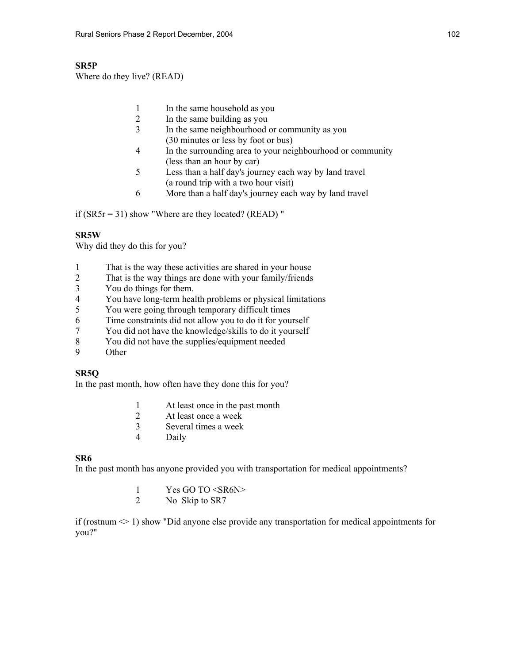# **SR5P**

Where do they live? (READ)

- 1 In the same household as you
- 2 In the same building as you
- 3 In the same neighbourhood or community as you (30 minutes or less by foot or bus)
- 4 In the surrounding area to your neighbourhood or community (less than an hour by car)
- 5 Less than a half day's journey each way by land travel (a round trip with a two hour visit)
- 6 More than a half day's journey each way by land travel

if  $(SR5r = 31)$  show "Where are they located? (READ)"

# **SR5W**

Why did they do this for you?

- 1 That is the way these activities are shared in your house
- 2 That is the way things are done with your family/friends
- 3 You do things for them.
- 4 You have long-term health problems or physical limitations<br>5 You were going through temporary difficult times
- 5 You were going through temporary difficult times
- 6 Time constraints did not allow you to do it for yourself
- 7 You did not have the knowledge/skills to do it yourself
- 8 You did not have the supplies/equipment needed
- 9 Other

# **SR5Q**

In the past month, how often have they done this for you?

- 1 At least once in the past month
- 2 At least once a week
- 3 Several times a week
- 4 Daily

# **SR6**

In the past month has anyone provided you with transportation for medical appointments?

- 1 Yes GO TO <SR6N><br>2 No Skin to SR7
- No Skip to SR7

if (rostnum  $\leq 1$ ) show "Did anyone else provide any transportation for medical appointments for you?"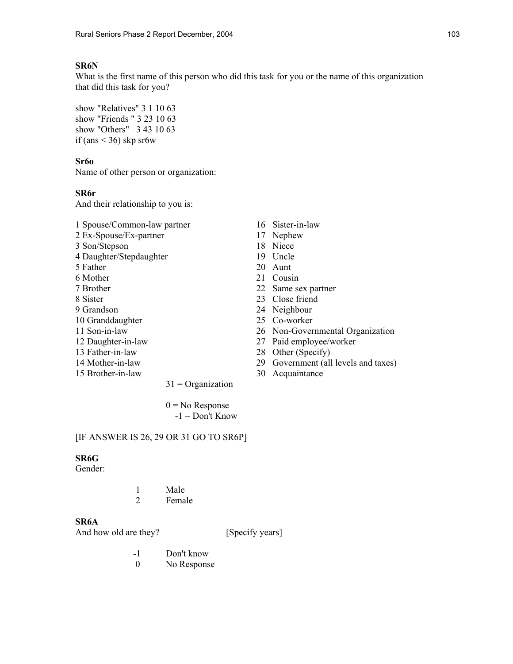## **SR6N**

What is the first name of this person who did this task for you or the name of this organization that did this task for you?

show "Relatives" 3 1 10 63 show "Friends " 3 23 10 63 show "Others" 3 43 10 63 if (ans  $\leq$  36) skp sr6w

### **Sr6o**

Name of other person or organization:

## **SR6r**

And their relationship to you is:

- 1 Spouse/Common-law partner 16 Sister-in-law 2 Ex-Spouse/Ex-partner 17 Nephew
- 3 Son/Stepson 18 Niece
- 4 Daughter/Stepdaughter 19 Uncle
- 
- 
- 
- 
- 
- 10 Granddaughter 25 Co-worker
- 
- 
- 
- 
- 
- 
- 
- 
- 
- 5 Father 20 Aunt
- 6 Mother 21 Cousin
- 7 Brother 22 Same sex partner
- 8 Sister 23 Close friend
- 9 Grandson 24 Neighbour
	-
- 11 Son-in-law 26 Non-Governmental Organization
- 12 Daughter-in-law 27 Paid employee/worker
- 13 Father-in-law 28 Other (Specify)
- 14 Mother-in-law 29 Government (all levels and taxes)
- 15 Brother-in-law 30 Acquaintance

 $0 = No$  Response  $-1 =$  Don't Know

 $31$  = Organization

### [IF ANSWER IS 26, 29 OR 31 GO TO SR6P]

## **SR6G**

Gender:

 1 Male 2 Female

## **SR6A**

And how old are they? [Specify years]

- -1 Don't know
- 0 No Response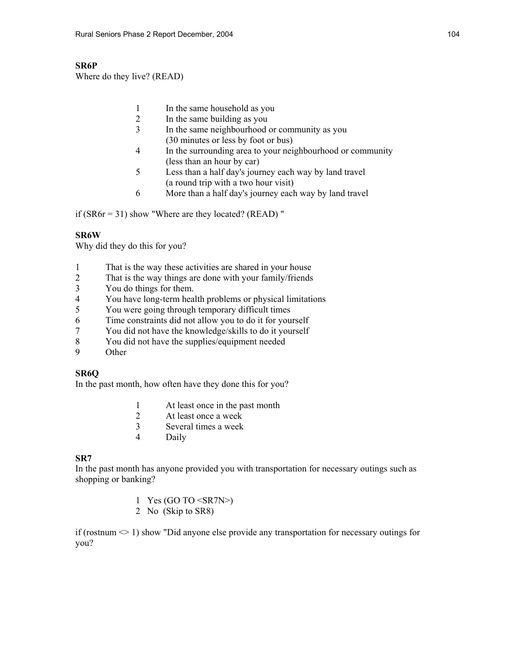# **SR6P**

Where do they live? (READ)

- 1 In the same household as you
- 2 In the same building as you
- 3 In the same neighbourhood or community as you (30 minutes or less by foot or bus)
- 4 In the surrounding area to your neighbourhood or community (less than an hour by car)
- 5 Less than a half day's journey each way by land travel (a round trip with a two hour visit)
- 6 More than a half day's journey each way by land travel

if  $(SR6r = 31)$  show "Where are they located? (READ)"

# **SR6W**

Why did they do this for you?

- 1 That is the way these activities are shared in your house
- 2 That is the way things are done with your family/friends
- 3 You do things for them.
- 4 You have long-term health problems or physical limitations<br>5 You were going through temporary difficult times
- 5 You were going through temporary difficult times
- 6 Time constraints did not allow you to do it for yourself
- 7 You did not have the knowledge/skills to do it yourself
- 8 You did not have the supplies/equipment needed
- 9 Other

## **SR6Q**

In the past month, how often have they done this for you?

- 1 At least once in the past month
- 2 At least once a week
- 3 Several times a week
- 4 Daily

# **SR7**

In the past month has anyone provided you with transportation for necessary outings such as shopping or banking?

- 1 Yes (GO TO <SR7N>)
- 2 No (Skip to SR8)

if (rostnum  $\leq 1$ ) show "Did anyone else provide any transportation for necessary outings for you?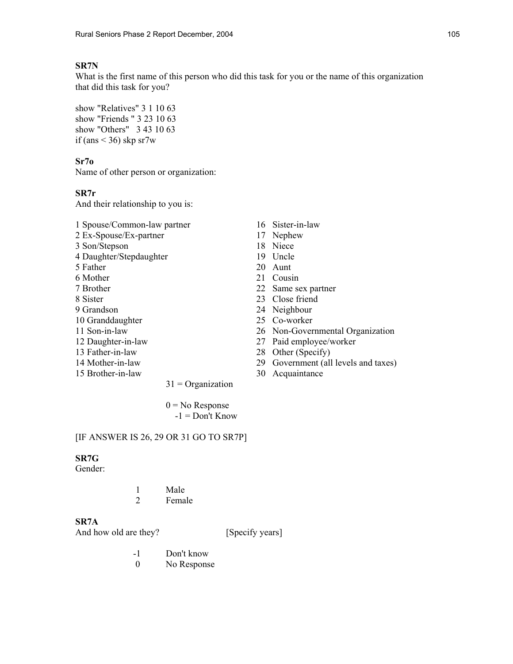# **SR7N**

What is the first name of this person who did this task for you or the name of this organization that did this task for you?

show "Relatives" 3 1 10 63 show "Friends " 3 23 10 63 show "Others" 3 43 10 63 if (ans  $\leq$  36) skp sr7w

## **Sr7o**

Name of other person or organization:

## **SR7r**

And their relationship to you is:

- 1 Spouse/Common-law partner 16 Sister-in-law 2 Ex-Spouse/Ex-partner 17 Nephew 3 Son/Stepson 18 Niece
- 4 Daughter/Stepdaughter 19 Uncle
- 5 Father 20 Aunt
- 
- 
- 
- 
- 10 Granddaughter 25 Co-worker
- 
- 
- 
- 
- 15 Brother-in-law 30 Acquaintance
- 
- 
- 
- 
- 
- 6 Mother 21 Cousin
- 7 Brother 22 Same sex partner
- 8 Sister 23 Close friend
- 9 Grandson 24 Neighbour
	-
- 11 Son-in-law 26 Non-Governmental Organization
- 12 Daughter-in-law 27 Paid employee/worker
- 13 Father-in-law 28 Other (Specify)
- 14 Mother-in-law 29 Government (all levels and taxes)
	-

 $0 = No$  Response  $-1 =$  Don't Know

 $31$  = Organization

### [IF ANSWER IS 26, 29 OR 31 GO TO SR7P]

## **SR7G**

Gender:

 1 Male 2 Female

## **SR7A**

And how old are they? [Specify years]

- -1 Don't know
- 0 No Response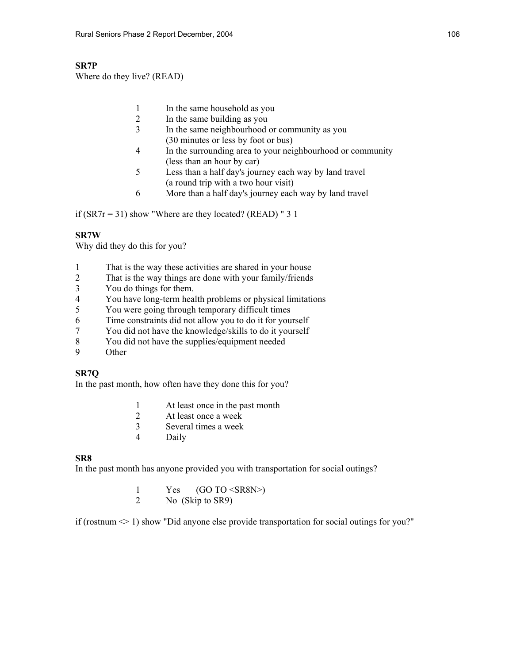## **SR7P**

Where do they live? (READ)

- 1 In the same household as you
- 2 In the same building as you
- 3 In the same neighbourhood or community as you (30 minutes or less by foot or bus)
- 4 In the surrounding area to your neighbourhood or community (less than an hour by car)
- 5 Less than a half day's journey each way by land travel (a round trip with a two hour visit)
- 6 More than a half day's journey each way by land travel

if  $(SRTr = 31)$  show "Where are they located? (READ) " 3 1

## **SR7W**

Why did they do this for you?

- 1 That is the way these activities are shared in your house
- 2 That is the way things are done with your family/friends
- 3 You do things for them.
- 4 You have long-term health problems or physical limitations<br>5 You were going through temporary difficult times
- 5 You were going through temporary difficult times
- 6 Time constraints did not allow you to do it for yourself
- 7 You did not have the knowledge/skills to do it yourself
- 8 You did not have the supplies/equipment needed
- 9 Other

## **SR7Q**

In the past month, how often have they done this for you?

- 1 At least once in the past month
- 2 At least once a week
- 3 Several times a week
- 4 Daily

## **SR8**

In the past month has anyone provided you with transportation for social outings?

1 Yes  $(GO TO < SN>$ <br>2 No  $(Skin to SR9)$ No (Skip to SR9)

if (rostnum  $\leq 1$ ) show "Did anyone else provide transportation for social outings for you?"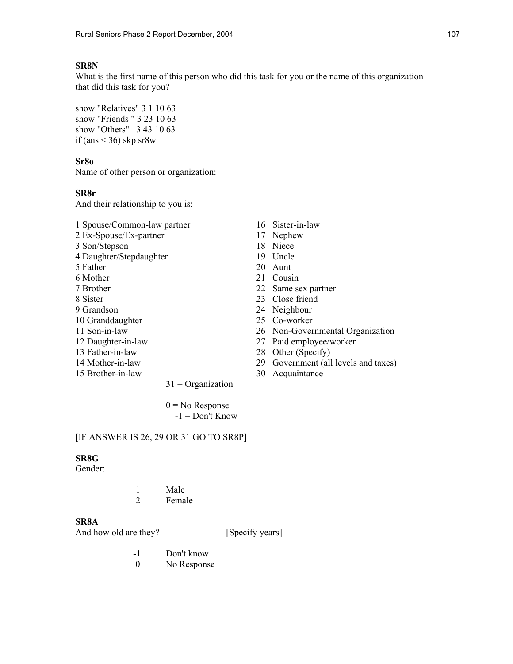## **SR8N**

What is the first name of this person who did this task for you or the name of this organization that did this task for you?

show "Relatives" 3 1 10 63 show "Friends " 3 23 10 63 show "Others" 3 43 10 63 if (ans  $\leq$  36) skp sr8w

#### **Sr8o**

Name of other person or organization:

#### **SR8r**

And their relationship to you is:

- 1 Spouse/Common-law partner 16 Sister-in-law 2 Ex-Spouse/Ex-partner 17 Nephew
- 3 Son/Stepson 18 Niece
- 4 Daughter/Stepdaughter 19 Uncle
- 
- 
- 
- 
- 
- 10 Granddaughter 25 Co-worker
- 
- 
- 
- 
- 15 Brother-in-law 30 Acquaintance
- 
- 
- 
- 
- 5 Father 20 Aunt
- 6 Mother 21 Cousin
- 7 Brother 22 Same sex partner
- 8 Sister 23 Close friend
- 9 Grandson 24 Neighbour
	-
- 11 Son-in-law 26 Non-Governmental Organization
- 12 Daughter-in-law 27 Paid employee/worker
- 13 Father-in-law 28 Other (Specify)
- 14 Mother-in-law 29 Government (all levels and taxes)
	-

 $0 = No$  Response  $-1 =$  Don't Know

 $31$  = Organization

#### [IF ANSWER IS 26, 29 OR 31 GO TO SR8P]

## **SR8G**

Gender:

 1 Male 2 Female

## **SR8A**

- -1 Don't know
- 0 No Response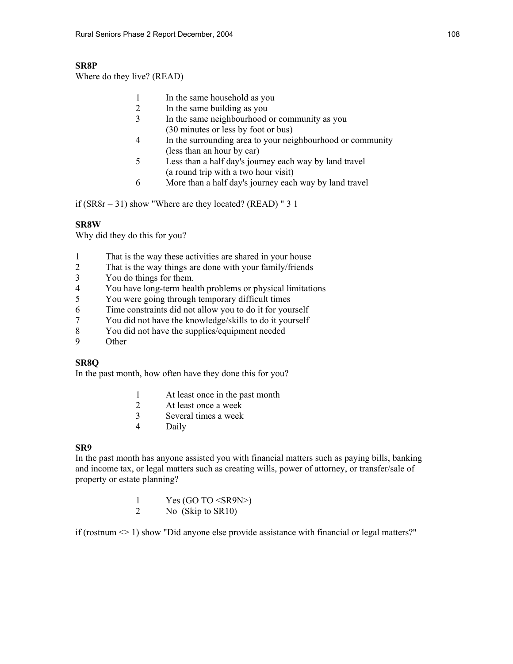## **SR8P**

Where do they live? (READ)

- 1 In the same household as you
- 2 In the same building as you
	- 3 In the same neighbourhood or community as you (30 minutes or less by foot or bus)
	- 4 In the surrounding area to your neighbourhood or community (less than an hour by car)
	- 5 Less than a half day's journey each way by land travel (a round trip with a two hour visit)
	- 6 More than a half day's journey each way by land travel

if ( $SR8r = 31$ ) show "Where are they located? ( $READ$ ) " 3 1

## **SR8W**

Why did they do this for you?

- 1 That is the way these activities are shared in your house
- 2 That is the way things are done with your family/friends
- 3 You do things for them.
- 4 You have long-term health problems or physical limitations
- 5 You were going through temporary difficult times
- 6 Time constraints did not allow you to do it for yourself
- 7 You did not have the knowledge/skills to do it yourself
- 8 You did not have the supplies/equipment needed
- 9 Other

## **SR8Q**

In the past month, how often have they done this for you?

- 1 At least once in the past month
- 2 At least once a week
- 3 Several times a week
- 4 Daily

#### **SR9**

In the past month has anyone assisted you with financial matters such as paying bills, banking and income tax, or legal matters such as creating wills, power of attorney, or transfer/sale of property or estate planning?

> 1 Yes (GO TO <SR9N>) 2 No (Skip to SR10)

if (rostnum  $\leq 1$ ) show "Did anyone else provide assistance with financial or legal matters?"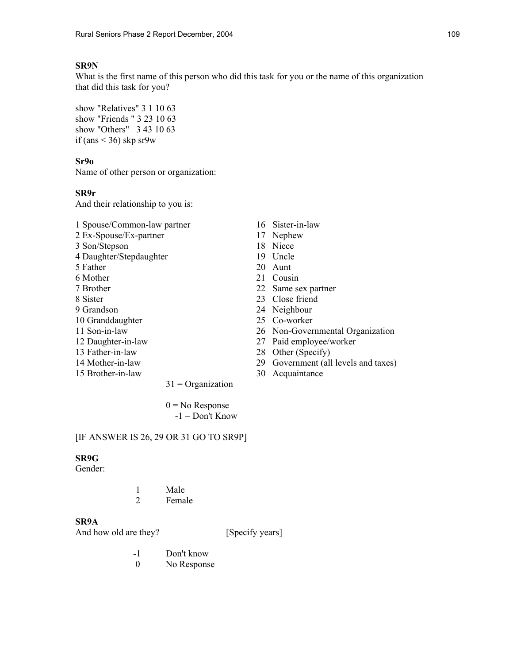## **SR9N**

What is the first name of this person who did this task for you or the name of this organization that did this task for you?

show "Relatives" 3 1 10 63 show "Friends " 3 23 10 63 show "Others" 3 43 10 63 if (ans  $\leq$  36) skp sr9w

#### **Sr9o**

Name of other person or organization:

#### **SR9r**

And their relationship to you is:

- 1 Spouse/Common-law partner 16 Sister-in-law 2 Ex-Spouse/Ex-partner 17 Nephew
- 3 Son/Stepson 18 Niece
- 4 Daughter/Stepdaughter 19 Uncle
- 5 Father 20 Aunt
- 6 Mother 21 Cousin
- 
- 
- 
- 10 Granddaughter 25 Co-worker
- 
- 
- 
- 
- 15 Brother-in-law 30 Acquaintance
- 
- 
- 
- 
- 
- 
- 7 Brother 22 Same sex partner
- 8 Sister 23 Close friend
- 9 Grandson 24 Neighbour
	-
- 11 Son-in-law 26 Non-Governmental Organization
- 12 Daughter-in-law 27 Paid employee/worker
- 13 Father-in-law 28 Other (Specify)
- 14 Mother-in-law 29 Government (all levels and taxes)
	-

 $0 = No$  Response  $-1 =$  Don't Know

 $31$  = Organization

#### [IF ANSWER IS 26, 29 OR 31 GO TO SR9P]

## **SR9G**

Gender:

 1 Male 2 Female

## **SR9A**

- -1 Don't know
- 0 No Response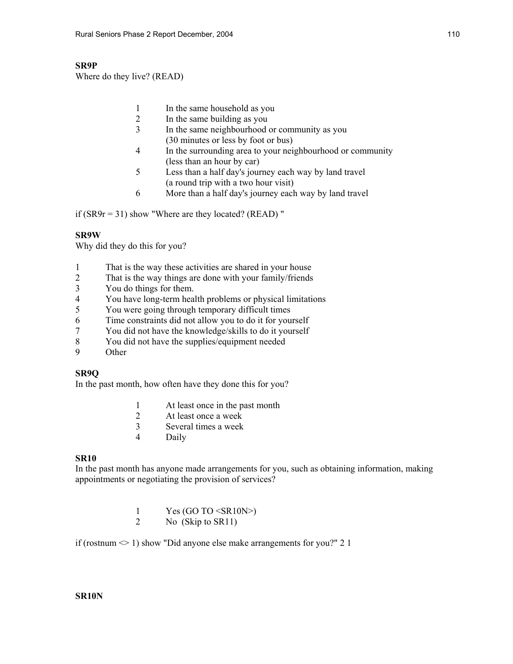## **SR9P**

Where do they live? (READ)

- 1 In the same household as you
- 2 In the same building as you
- 3 In the same neighbourhood or community as you (30 minutes or less by foot or bus)
- 4 In the surrounding area to your neighbourhood or community (less than an hour by car)
- 5 Less than a half day's journey each way by land travel (a round trip with a two hour visit)
- 6 More than a half day's journey each way by land travel

if  $(SR9r = 31)$  show "Where are they located? (READ)"

## **SR9W**

Why did they do this for you?

- 1 That is the way these activities are shared in your house
- 2 That is the way things are done with your family/friends
- 3 You do things for them.
- 4 You have long-term health problems or physical limitations<br>5 You were going through temporary difficult times
- 5 You were going through temporary difficult times
- 6 Time constraints did not allow you to do it for yourself
- 7 You did not have the knowledge/skills to do it yourself
- 8 You did not have the supplies/equipment needed
- 9 Other

## **SR9Q**

In the past month, how often have they done this for you?

- 1 At least once in the past month
- 2 At least once a week
- 3 Several times a week
- 4 Daily

## **SR10**

In the past month has anyone made arrangements for you, such as obtaining information, making appointments or negotiating the provision of services?

- 1 Yes (GO TO  $\leq$ SR10N $>$ )
- 2 No (Skip to SR11)

if (rostnum  $\leq 1$ ) show "Did anyone else make arrangements for you?" 2 1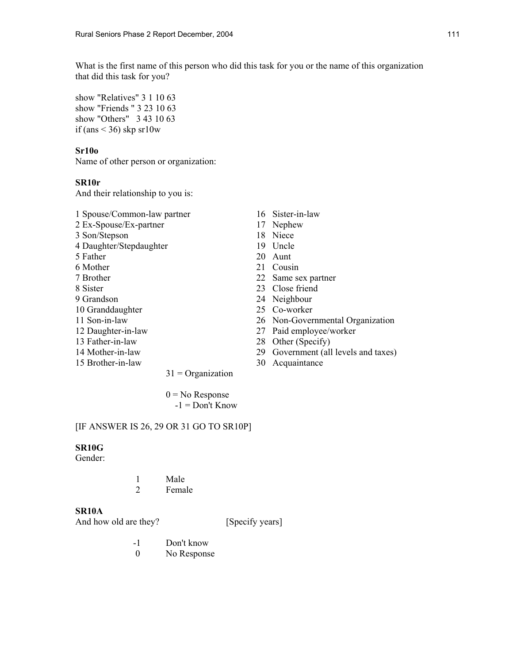What is the first name of this person who did this task for you or the name of this organization that did this task for you?

show "Relatives" 3 1 10 63 show "Friends " 3 23 10 63 show "Others" 3 43 10 63 if (ans  $\leq$  36) skp sr10w

#### **Sr10o**

Name of other person or organization:

#### **SR10r**

And their relationship to you is:

- 1 Spouse/Common-law partner 16 Sister-in-law 2 Ex-Spouse/Ex-partner 17 Nephew 3 Son/Stepson 18 Niece 4 Daughter/Stepdaughter 19 Uncle 5 Father 20 Aunt 6 Mother 21 Cousin 7 Brother 22 Same sex partner 8 Sister 23 Close friend 9 Grandson 24 Neighbour
- 10 Granddaughter 25 Co-worker
- 
- 
- 
- 
- 
- 
- 
- 
- 
- 
- 
- 
- 
- 
- 
- 11 Son-in-law 26 Non-Governmental Organization
- 12 Daughter-in-law 27 Paid employee/worker
- 13 Father-in-law 28 Other (Specify)
- 14 Mother-in-law 29 Government (all levels and taxes)
- 15 Brother-in-law 30 Acquaintance

 $0 = No$  Response

 $31$  = Organization

 $-1 =$ Don't Know

#### [IF ANSWER IS 26, 29 OR 31 GO TO SR10P]

#### **SR10G**

Gender:

|  | Male   |
|--|--------|
|  | Female |

#### **SR10A**

- -1 Don't know
- 0 No Response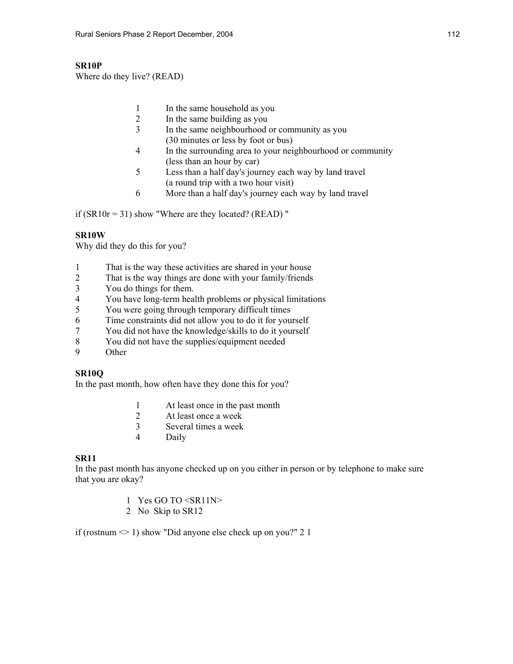## **SR10P**

Where do they live? (READ)

- 1 In the same household as you
- 2 In the same building as you
- 3 In the same neighbourhood or community as you (30 minutes or less by foot or bus)
- 4 In the surrounding area to your neighbourhood or community (less than an hour by car)
- 5 Less than a half day's journey each way by land travel (a round trip with a two hour visit)
- 6 More than a half day's journey each way by land travel

if  $(SR10r = 31)$  show "Where are they located? (READ)"

## **SR10W**

Why did they do this for you?

- 1 That is the way these activities are shared in your house
- 2 That is the way things are done with your family/friends
- 3 You do things for them.
- 4 You have long-term health problems or physical limitations<br>5 You were going through temporary difficult times
- 5 You were going through temporary difficult times
- 6 Time constraints did not allow you to do it for yourself
- 7 You did not have the knowledge/skills to do it yourself
- 8 You did not have the supplies/equipment needed
- 9 Other

## **SR10Q**

In the past month, how often have they done this for you?

- 1 At least once in the past month
- 2 At least once a week
- 3 Several times a week
- 4 Daily

## **SR11**

In the past month has anyone checked up on you either in person or by telephone to make sure that you are okay?

- 1 Yes GO TO <SR11N>
- 2 No Skip to SR12

if (rostnum  $\leq 1$ ) show "Did anyone else check up on you?" 2 1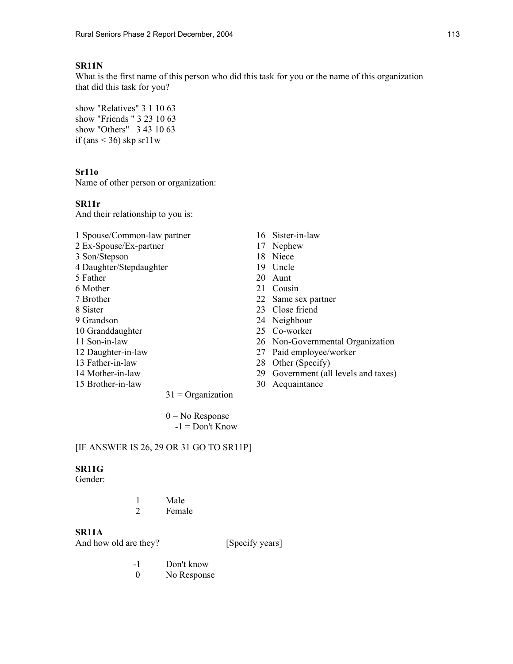#### **SR11N**

What is the first name of this person who did this task for you or the name of this organization that did this task for you?

show "Relatives" 3 1 10 63 show "Friends " 3 23 10 63 show "Others" 3 43 10 63 if (ans  $\le$  36) skp sr11w

#### **Sr11o**

Name of other person or organization:

#### **SR11r**

And their relationship to you is:

1 Spouse/Common-law partner 16 Sister-in-law 2 Ex-Spouse/Ex-partner 17 Nephew 3 Son/Stepson 18 Niece 4 Daughter/Stepdaughter 19 Uncle 5 Father 20 Aunt 6 Mother 21 Cousin 7 Brother 22 Same sex partner 8 Sister 23 Close friend 9 Grandson 24 Neighbour 10 Granddaughter 25 Co-worker 11 Son-in-law 26 Non-Governmental Organization 12 Daughter-in-law 27 Paid employee/worker 13 Father-in-law 28 Other (Specify) 14 Mother-in-law 29 Government (all levels and taxes) 15 Brother-in-law 30 Acquaintance  $31$  = Organization  $0 = No$  Response

 $-1 =$ Don't Know

#### [IF ANSWER IS 26, 29 OR 31 GO TO SR11P]

#### **SR11G**

Gender:

 1 Male 2 Female

# **SR11A**

- -1 Don't know
- 0 No Response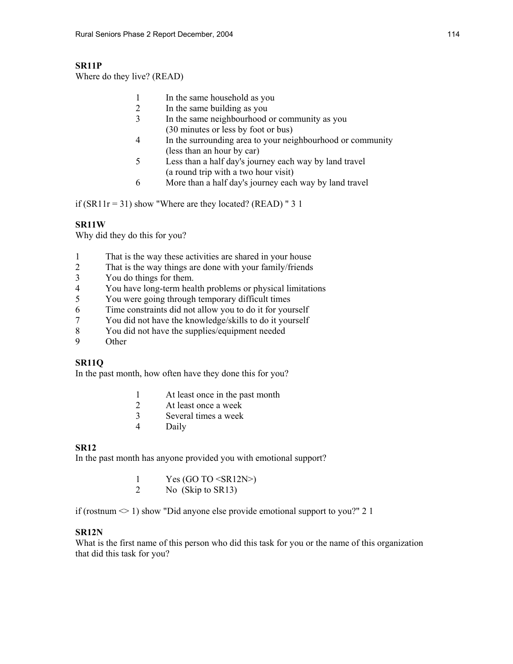## **SR11P**

Where do they live? (READ)

- 1 In the same household as you
- 2 In the same building as you
	- 3 In the same neighbourhood or community as you (30 minutes or less by foot or bus)
	- 4 In the surrounding area to your neighbourhood or community (less than an hour by car)
	- 5 Less than a half day's journey each way by land travel (a round trip with a two hour visit)
	- 6 More than a half day's journey each way by land travel

if  $(SR11r = 31)$  show "Where are they located? (READ) " 3 1

## **SR11W**

Why did they do this for you?

- 1 That is the way these activities are shared in your house
- 2 That is the way things are done with your family/friends
- 3 You do things for them.
- 4 You have long-term health problems or physical limitations
- 5 You were going through temporary difficult times
- 6 Time constraints did not allow you to do it for yourself
- 7 You did not have the knowledge/skills to do it yourself
- 8 You did not have the supplies/equipment needed
- 9 Other

## **SR11Q**

In the past month, how often have they done this for you?

- 1 At least once in the past month
- 2 At least once a week
- 3 Several times a week
- 4 Daily

## **SR12**

In the past month has anyone provided you with emotional support?

| Yes $(GO TO < SR12N$ |
|----------------------|
| No (Skip to SR13)    |

if (rostnum  $\leq 1$ ) show "Did anyone else provide emotional support to you?" 2 1

## **SR12N**

What is the first name of this person who did this task for you or the name of this organization that did this task for you?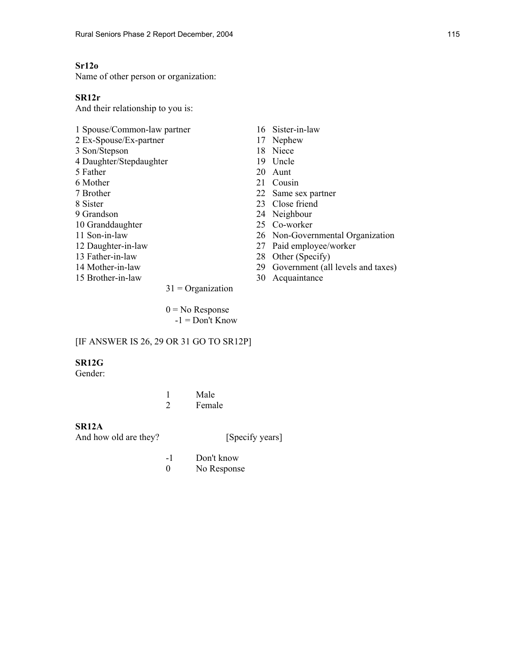## **Sr12o**

Name of other person or organization:

#### **SR12r**

And their relationship to you is:

- 1 Spouse/Common-law partner 16 Sister-in-law 2 Ex-Spouse/Ex-partner 17 Nephew 3 Son/Stepson 18 Niece<br>4 Daughter/Stepdaughter 19 Uncle 4 Daughter/Stepdaughter 5 Father 20 Aunt 6 Mother 21 Cousin 7 Brother 22 Same sex partner 8 Sister 23 Close friend 9 Grandson 24 Neighbour 10 Granddaughter 25 Co-worker 11 Son-in-law 26 Non-Governmental Organization 12 Daughter-in-law 27 Paid employee/worker 13 Father-in-law 28 Other (Specify) 14 Mother-in-law 29 Government (all levels and taxes) 15 Brother-in-law 30 Acquaintance  $31$  = Organization
	-
	-
	-
	-
	-
	-
	-
	-
	-
	-
	-
	-
	-
	-
	-
	- $0 = No$  Response  $-1 =$ Don't Know

#### [IF ANSWER IS 26, 29 OR 31 GO TO SR12P]

#### **SR12G**

Gender:

 1 Male 2 Female

#### **SR12A**

- -1 Don't know
- 0 No Response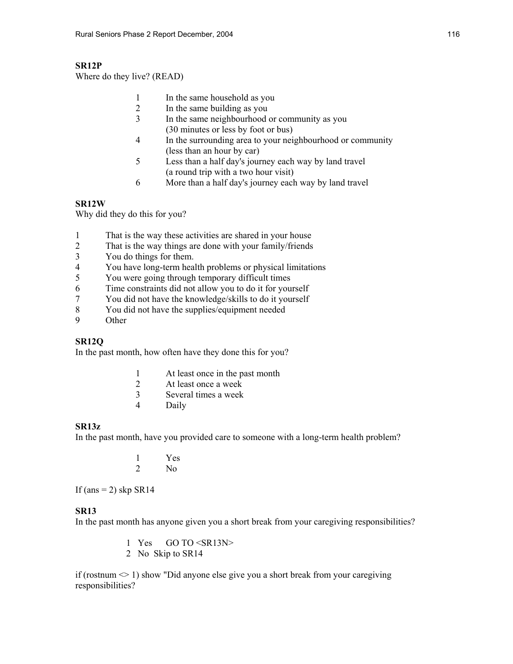## **SR12P**

Where do they live? (READ)

- 1 In the same household as you
- 2 In the same building as you
	- 3 In the same neighbourhood or community as you (30 minutes or less by foot or bus)
	- 4 In the surrounding area to your neighbourhood or community (less than an hour by car)
	- 5 Less than a half day's journey each way by land travel (a round trip with a two hour visit)
	- 6 More than a half day's journey each way by land travel

#### **SR12W**

Why did they do this for you?

- 1 That is the way these activities are shared in your house
- 2 That is the way things are done with your family/friends
- 3 You do things for them.
- 4 You have long-term health problems or physical limitations
- 5 You were going through temporary difficult times
- 6 Time constraints did not allow you to do it for yourself
- 7 You did not have the knowledge/skills to do it yourself
- 8 You did not have the supplies/equipment needed
- 9 Other

## **SR12Q**

In the past month, how often have they done this for you?

- 1 At least once in the past month
- 2 At least once a week
- 3 Several times a week
- 4 Daily

#### **SR13z**

In the past month, have you provided care to someone with a long-term health problem?

|  | Yes            |
|--|----------------|
|  | N <sub>0</sub> |

If (ans  $= 2$ ) skp SR14

#### **SR13**

In the past month has anyone given you a short break from your caregiving responsibilities?

- 1 Yes GO TO <SR13N>
- 2 No Skip to SR14

if (rostnum  $\leq 1$ ) show "Did anyone else give you a short break from your caregiving responsibilities?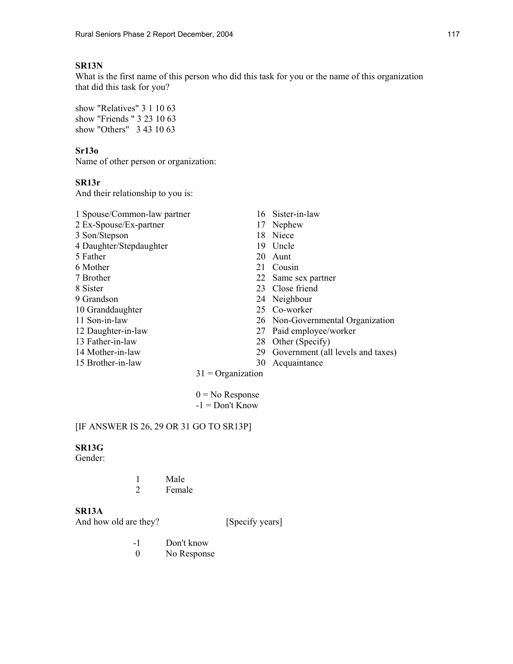## **SR13N**

What is the first name of this person who did this task for you or the name of this organization that did this task for you?

show "Relatives" 3 1 10 63 show "Friends " 3 23 10 63 show "Others" 3 43 10 63

## **Sr13o**

Name of other person or organization:

## **SR13r**

And their relationship to you is:

| 1 Spouse/Common-law partner |                     | 16 Sister-in-law                  |
|-----------------------------|---------------------|-----------------------------------|
| 2 Ex-Spouse/Ex-partner      | 17                  | Nephew                            |
| 3 Son/Stepson               | 18                  | Niece                             |
| 4 Daughter/Stepdaughter     | 19                  | Uncle                             |
| 5 Father                    | 20                  | Aunt                              |
| 6 Mother                    | 21                  | Cousin                            |
| 7 Brother                   |                     | 22 Same sex partner               |
| 8 Sister                    |                     | 23 Close friend                   |
| 9 Grandson                  |                     | 24 Neighbour                      |
| 10 Granddaughter            |                     | 25 Co-worker                      |
| 11 Son-in-law               |                     | 26 Non-Governmental Organization  |
| 12 Daughter-in-law          | 27                  | Paid employee/worker              |
| 13 Father-in-law            | 28                  | Other (Specify)                   |
| 14 Mother-in-law            | 29                  | Government (all levels and taxes) |
| 15 Brother-in-law           | 30                  | Acquaintance                      |
|                             | $31 = Organization$ |                                   |

 $0 = No$  Response  $-1 =$  Don't Know

# [IF ANSWER IS 26, 29 OR 31 GO TO SR13P]

## **SR13G**

Gender:

|  | Male   |
|--|--------|
|  | Female |

## **SR13A**

- -1 Don't know<br>0 No Respons
- No Response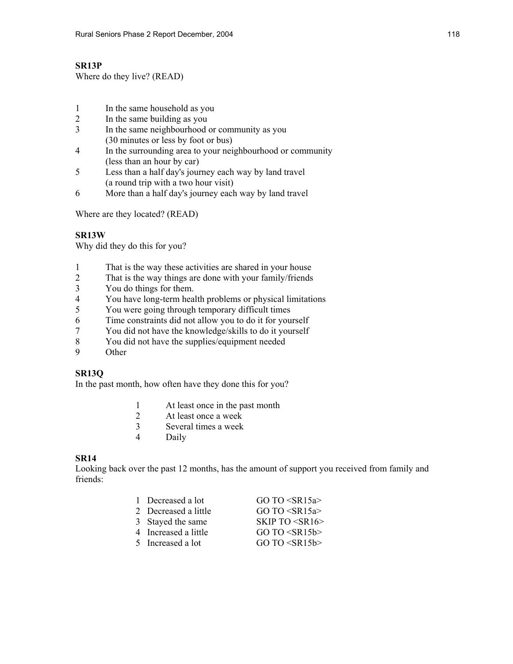## **SR13P**

Where do they live? (READ)

- 1 In the same household as you
- 2 In the same building as you
- 3 In the same neighbourhood or community as you (30 minutes or less by foot or bus)
- 4 In the surrounding area to your neighbourhood or community (less than an hour by car)
- 5 Less than a half day's journey each way by land travel (a round trip with a two hour visit)
- 6 More than a half day's journey each way by land travel

Where are they located? (READ)

## **SR13W**

Why did they do this for you?

- 1 That is the way these activities are shared in your house
- 2 That is the way things are done with your family/friends
- 3 You do things for them.
- 4 You have long-term health problems or physical limitations<br>5 You were going through temporary difficult times
- You were going through temporary difficult times
- 6 Time constraints did not allow you to do it for yourself
- 7 You did not have the knowledge/skills to do it yourself
- 8 You did not have the supplies/equipment needed
- 9 Other

## **SR13Q**

In the past month, how often have they done this for you?

- 1 At least once in the past month<br>2 At least once a week
- At least once a week
- 3 Several times a week
- 4 Daily

## **SR14**

Looking back over the past 12 months, has the amount of support you received from family and friends:

| 1 Decreased a lot    | GO TO < SR15a          |
|----------------------|------------------------|
| 2 Decreased a little | GO TO $\leq$ SR15a>    |
| 3 Stayed the same    | SKIP TO $\leq$ SR16>   |
| 4 Increased a little | GO TO $\leq$ SR15b $>$ |
| 5 Increased a lot    | GO TO $\leq$ SR15b>    |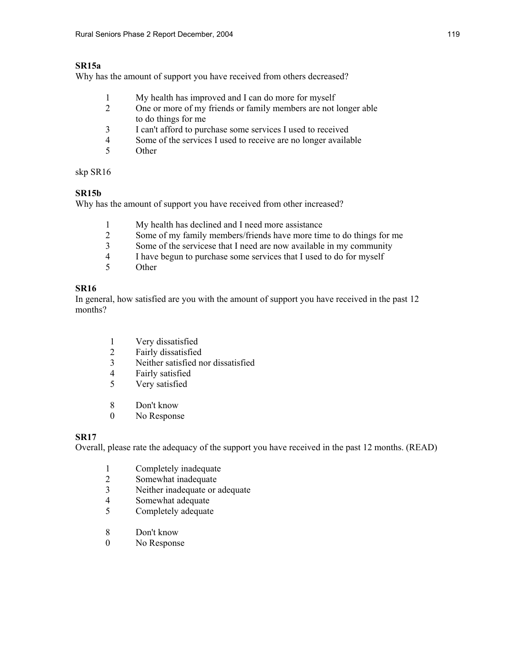#### **SR15a**

Why has the amount of support you have received from others decreased?

- 1 My health has improved and I can do more for myself
- 2 One or more of my friends or family members are not longer able to do things for me
- 3 I can't afford to purchase some services I used to received
- 4 Some of the services I used to receive are no longer available
- 5 Other

skp SR16

## **SR15b**

Why has the amount of support you have received from other increased?

- 1 My health has declined and I need more assistance<br>2 Some of my family members/friends have more tin
- 2 Some of my family members/friends have more time to do things for me<br>3 Some of the servicese that I need are now available in my community
- Some of the servicese that I need are now available in my community
- 4 I have begun to purchase some services that I used to do for myself
- 5 Other

## **SR16**

In general, how satisfied are you with the amount of support you have received in the past 12 months?

- 1 Very dissatisfied
- 2 Fairly dissatisfied
- 3 Neither satisfied nor dissatisfied
- 4 Fairly satisfied
- 5 Very satisfied
- 8 Don't know
- 0 No Response

## **SR17**

Overall, please rate the adequacy of the support you have received in the past 12 months. (READ)

- 1 Completely inadequate
- 2 Somewhat inadequate
- 3 Neither inadequate or adequate
- 4 Somewhat adequate
- 5 Completely adequate
- 8 Don't know
- 0 No Response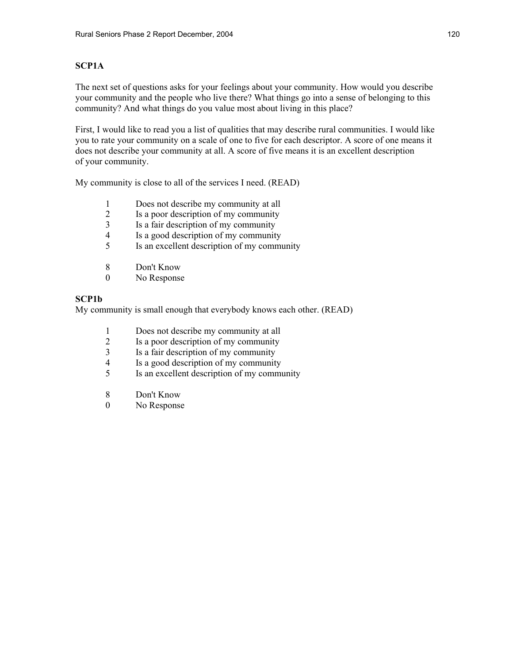## **SCP1A**

The next set of questions asks for your feelings about your community. How would you describe your community and the people who live there? What things go into a sense of belonging to this community? And what things do you value most about living in this place?

First, I would like to read you a list of qualities that may describe rural communities. I would like you to rate your community on a scale of one to five for each descriptor. A score of one means it does not describe your community at all. A score of five means it is an excellent description of your community.

My community is close to all of the services I need. (READ)

- 1 Does not describe my community at all
- 2 Is a poor description of my community
- 3 Is a fair description of my community<br>4 Is a good description of my community
- 4 Is a good description of my community<br>5 Is an excellent description of my community
- 5 Is an excellent description of my community
- 8 Don't Know
- 0 No Response

#### **SCP1b**

My community is small enough that everybody knows each other. (READ)

- 1 Does not describe my community at all
- 2 Is a poor description of my community
- 3 Is a fair description of my community
- 4 Is a good description of my community
- 5 Is an excellent description of my community
- 8 Don't Know
- 0 No Response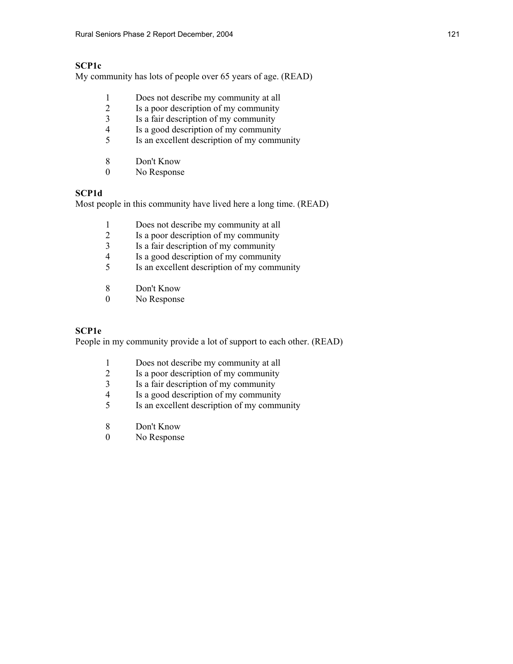## **SCP1c**

My community has lots of people over 65 years of age. (READ)

- 1 Does not describe my community at all
- 2 Is a poor description of my community
- 3 Is a fair description of my community
- 4 Is a good description of my community
- 5 Is an excellent description of my community
- 8 Don't Know<br>0 No Response
- No Response

## **SCP1d**

Most people in this community have lived here a long time. (READ)

- 
- 1 Does not describe my community at all<br>2 Is a poor description of my community 2 Is a poor description of my community<br>3 Is a fair description of my community
- 3 Is a fair description of my community<br>4 Is a good description of my community
- Is a good description of my community
- 5 Is an excellent description of my community
- 8 Don't Know
- 0 No Response

#### **SCP1e**

People in my community provide a lot of support to each other. (READ)

- 1 Does not describe my community at all
- 2 Is a poor description of my community<br>3 Is a fair description of my community
- 3 Is a fair description of my community<br>4 Is a good description of my community
- 4 Is a good description of my community<br>5 Is an excellent description of my community
- 5 Is an excellent description of my community
- 8 Don't Know
- 0 No Response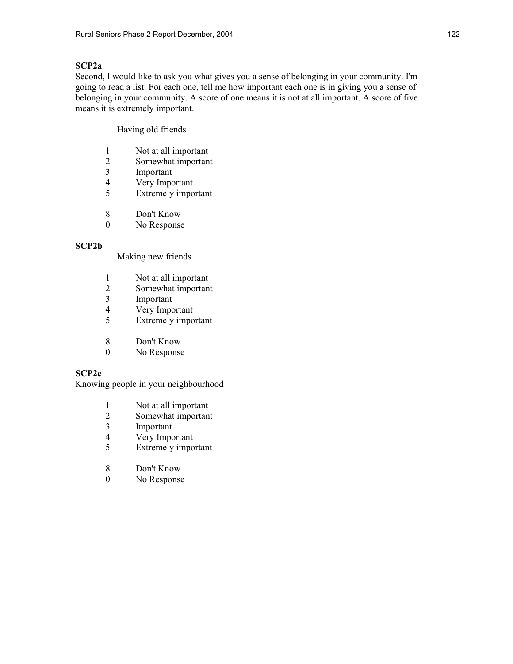## **SCP2a**

Second, I would like to ask you what gives you a sense of belonging in your community. I'm going to read a list. For each one, tell me how important each one is in giving you a sense of belonging in your community. A score of one means it is not at all important. A score of five means it is extremely important.

Having old friends

- 1 Not at all important
- 2 Somewhat important<br>3 Important
- **Important**
- 4 Very Important
- 5 Extremely important
- 8 Don't Know
- 0 No Response

## **SCP2b**

Making new friends

- 1 Not at all important
- 2 Somewhat important
- 3 Important<br>4 Very Impo
- 4 Very Important<br>5 Extremely import
- Extremely important
- 8 Don't Know
- 0 No Response

## **SCP2c**

Knowing people in your neighbourhood

- 1 Not at all important<br>2 Somewhat important
- Somewhat important
- 3 Important
- 4 Very Important
- 5 Extremely important
- 8 Don't Know
- 0 No Response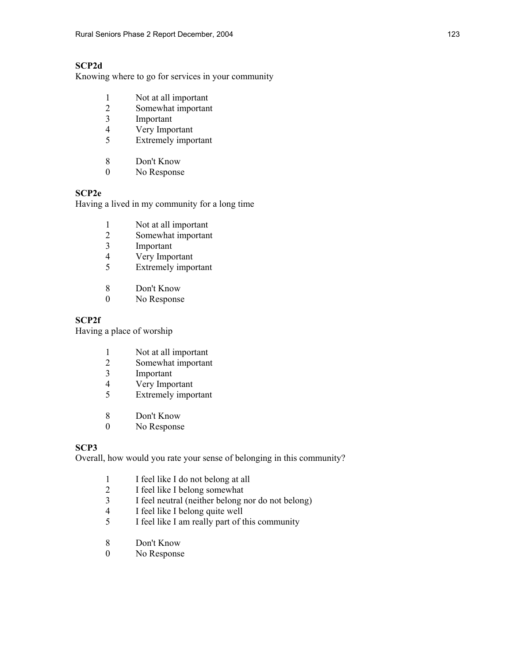## **SCP2d**

Knowing where to go for services in your community

- 1 Not at all important
- 2 Somewhat important
- 3 Important
- 4 Very Important
- 5 Extremely important
- 8 Don't Know<br>0 No Response
- No Response

## **SCP2e**

Having a lived in my community for a long time

- 1 Not at all important<br>2 Somewhat important
- 2 Somewhat important<br>3 Important
- 3 Important<br>4 Very Impo
- Very Important
- 5 Extremely important
- 8 Don't Know
- 0 No Response

## **SCP2f**

Having a place of worship

- 1 Not at all important
- 2 Somewhat important
- 3 Important
- 4 Very Important<br>5 Extremely import
- Extremely important
- 8 Don't Know
- 0 No Response

## **SCP3**

Overall, how would you rate your sense of belonging in this community?

- 1 I feel like I do not belong at all<br>2 I feel like I belong somewhat
- 2 I feel like I belong somewhat
- 3 I feel neutral (neither belong nor do not belong)
- 4 I feel like I belong quite well
- 5 I feel like I am really part of this community
- 8 Don't Know<br>0 No Response
- No Response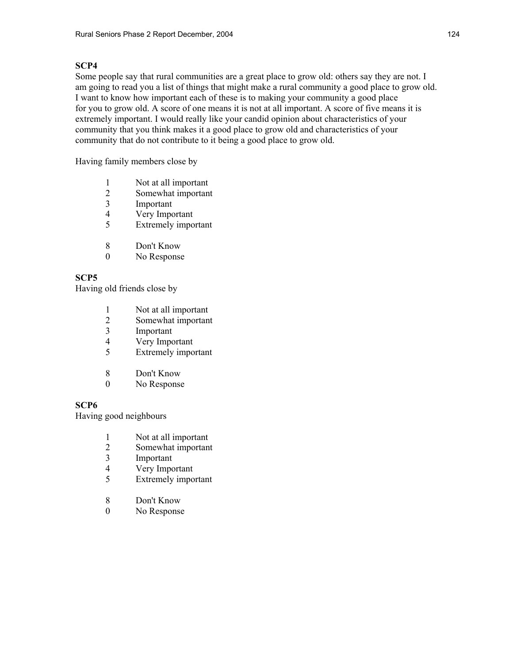Some people say that rural communities are a great place to grow old: others say they are not. I am going to read you a list of things that might make a rural community a good place to grow old. I want to know how important each of these is to making your community a good place for you to grow old. A score of one means it is not at all important. A score of five means it is extremely important. I would really like your candid opinion about characteristics of your community that you think makes it a good place to grow old and characteristics of your community that do not contribute to it being a good place to grow old.

Having family members close by

- 1 Not at all important
- 2 Somewhat important<br>3 Important
- **Important**
- 4 Very Important
- 5 Extremely important
- 8 Don't Know
- 0 No Response

## **SCP5**

Having old friends close by

- 1 Not at all important<br>2 Somewhat important
- 2 Somewhat important
- 3 Important
- 4 Very Important
- 5 Extremely important
- 8 Don't Know
- 0 No Response

## **SCP6**

Having good neighbours

- 1 Not at all important
- 2 Somewhat important
- 3 Important
- 4 Very Important
- 5 Extremely important
- 8 Don't Know
- 0 No Response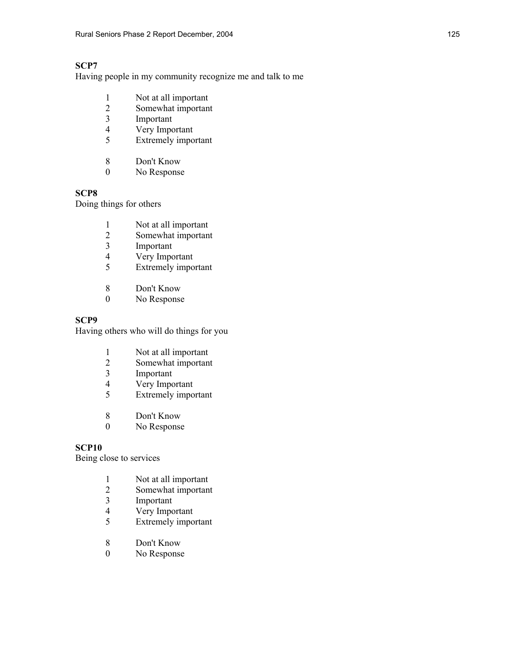Having people in my community recognize me and talk to me

- 1 Not at all important
- 2 Somewhat important
- 3 Important
- 4 Very Important
- 5 Extremely important
- 8 Don't Know<br>0 No Response
- No Response

## **SCP8**

Doing things for others

- 1 Not at all important<br>2 Somewhat important
- 2 Somewhat important<br>3 Important
- 3 Important<br>4 Very Impo
- Very Important
- 5 Extremely important
- 8 Don't Know
- 0 No Response

## **SCP9**

Having others who will do things for you

- 1 Not at all important
- 2 Somewhat important
- 3 Important<br>4 Very Impo
- 4 Very Important<br>5 Extremely import
- Extremely important
- 8 Don't Know
- 0 No Response

## **SCP10**

Being close to services

- 1 Not at all important<br>2 Somewhat important
- 2 Somewhat important<br>3 Important
- Important
- 4 Very Important<br>5 Extremely impo
- Extremely important
- 8 Don't Know<br>0 No Response
- No Response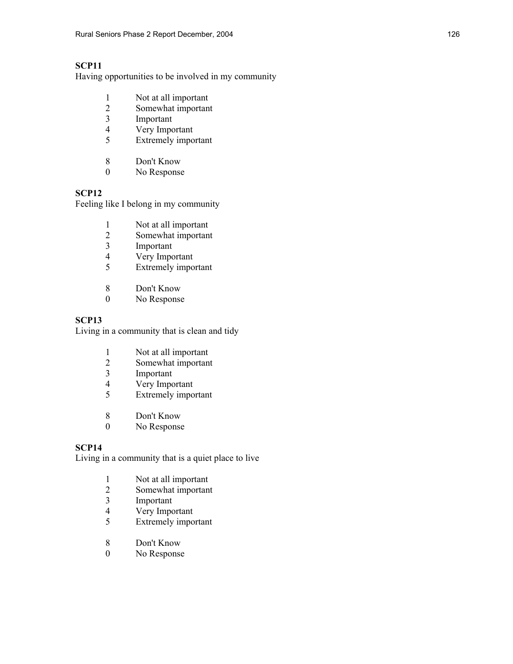Having opportunities to be involved in my community

- 1 Not at all important
- 2 Somewhat important
- 3 Important
- 4 Very Important
- 5 Extremely important
- 8 Don't Know<br>0 No Response
- No Response

## **SCP12**

Feeling like I belong in my community

- 1 Not at all important<br>2 Somewhat important
- 2 Somewhat important<br>3 Important
- 3 Important<br>4 Very Impo
- Very Important
- 5 Extremely important
- 8 Don't Know
- 0 No Response

## **SCP13**

Living in a community that is clean and tidy

- 1 Not at all important
- 2 Somewhat important
- 3 Important
- 4 Very Important<br>5 Extremely import
- Extremely important
- 8 Don't Know
- 0 No Response

## **SCP14**

Living in a community that is a quiet place to live

- 1 Not at all important<br>2 Somewhat important
- 2 Somewhat important<br>3 Important
- Important
- 4 Very Important
- 5 Extremely important
- 8 Don't Know<br>0 No Response
- No Response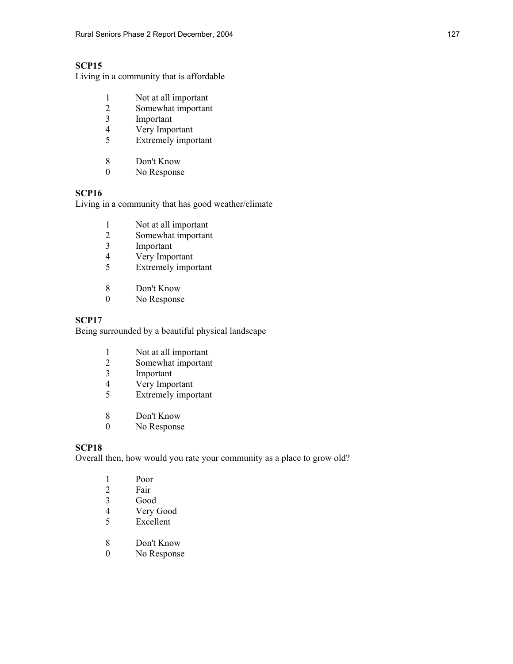Living in a community that is affordable

- 1 Not at all important
- 2 Somewhat important
- 3 Important
- 4 Very Important
- 5 Extremely important
- 8 Don't Know<br>0 No Response
- No Response

## **SCP16**

Living in a community that has good weather/climate

- 1 Not at all important<br>2 Somewhat important
- 2 Somewhat important<br>3 Important
- 3 Important<br>4 Very Impo
- Very Important
- 5 Extremely important
- 8 Don't Know
- 0 No Response

## **SCP17**

Being surrounded by a beautiful physical landscape

- 1 Not at all important
- 2 Somewhat important
- 3 Important
- 4 Very Important<br>5 Extremely import
- Extremely important
- 8 Don't Know
- 0 No Response

## **SCP18**

Overall then, how would you rate your community as a place to grow old?

|   | Poor      |
|---|-----------|
|   |           |
| 2 | Fair      |
| 3 | Good      |
|   | Very Good |
|   |           |

- 5 Excellent
- 8 Don't Know<br>0 No Response
- No Response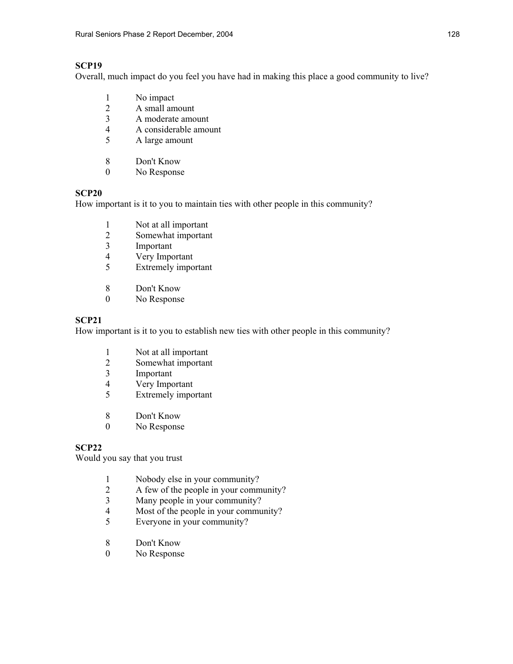Overall, much impact do you feel you have had in making this place a good community to live?

- 1 No impact
- 2 A small amount
- 3 A moderate amount
- 4 A considerable amount
- 5 A large amount
- 8 Don't Know<br>0 No Response
- No Response

## **SCP20**

How important is it to you to maintain ties with other people in this community?

- 1 Not at all important<br>2 Somewhat important
- 2 Somewhat important<br>3 Important
- 3 Important<br>4 Very Impo
- Very Important
- 5 Extremely important
- 8 Don't Know
- 0 No Response

## **SCP21**

How important is it to you to establish new ties with other people in this community?

- 1 Not at all important
- 2 Somewhat important
- 3 Important
- 4 Very Important<br>5 Extremely import
- Extremely important
- 8 Don't Know
- 0 No Response

## **SCP22**

Would you say that you trust

- 1 Nobody else in your community?<br>2 A few of the people in your comm
- 2 A few of the people in your community?
- 3 Many people in your community?
- 4 Most of the people in your community?
- 5 Everyone in your community?
- 8 Don't Know<br>0 No Response
- No Response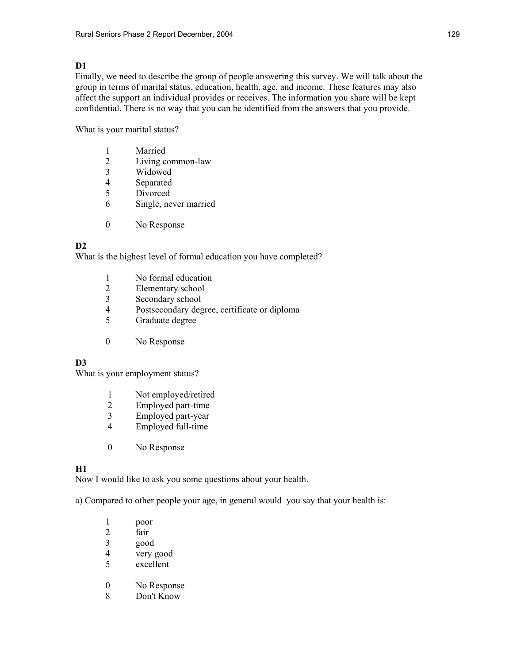## **D1**

Finally, we need to describe the group of people answering this survey. We will talk about the group in terms of marital status, education, health, age, and income. These features may also affect the support an individual provides or receives. The information you share will be kept confidential. There is no way that you can be identified from the answers that you provide.

What is your marital status?

- 1 Married
- 2 Living common-law<br>3 Widowed
- **Widowed**
- 4 Separated
- 5 Divorced
- 6 Single, never married
- 0 No Response

## **D2**

What is the highest level of formal education you have completed?

- 1 No formal education
- 2 Elementary school
- 3 Secondary school<br>4 Postsecondary deg
- 4 Postsecondary degree, certificate or diploma
- 5 Graduate degree
- 0 No Response

## **D3**

What is your employment status?

- 1 Not employed/retired<br>2 Employed part-time
- 2 Employed part-time<br>3 Employed part-year
- Employed part-year
- 4 Employed full-time
- 0 No Response

## **H1**

Now I would like to ask you some questions about your health.

a) Compared to other people your age, in general would you say that your health is:

- 1 poor 2 fair 3 good<br>4 very 4 very good<br>5 excellent excellent 0 No Response
- 8 Don't Know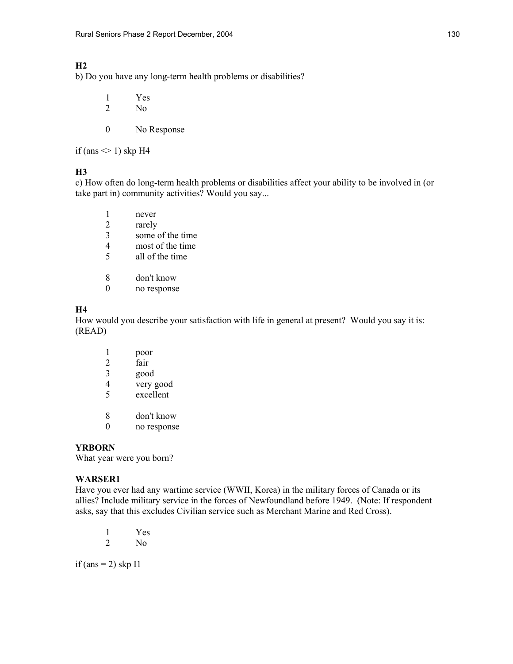## **H2**

b) Do you have any long-term health problems or disabilities?

 1 Yes 2 No

0 No Response

if (ans  $\leq$  1) skp H4

#### **H3**

c) How often do long-term health problems or disabilities affect your ability to be involved in (or take part in) community activities? Would you say...

- 1 never
- 2 rarely<br>3 some
- some of the time
- 4 most of the time<br>5 all of the time
- all of the time
- 8 don't know
- 0 no response

## **H4**

How would you describe your satisfaction with life in general at present? Would you say it is: (READ)

| poor        |
|-------------|
| fair        |
| good        |
| very good   |
| excellent   |
|             |
| don't know  |
| no response |
|             |

#### **YRBORN**

What year were you born?

#### **WARSER1**

Have you ever had any wartime service (WWII, Korea) in the military forces of Canada or its allies? Include military service in the forces of Newfoundland before 1949. (Note: If respondent asks, say that this excludes Civilian service such as Merchant Marine and Red Cross).

 1 Yes 2 No

if (ans  $= 2$ ) skp I1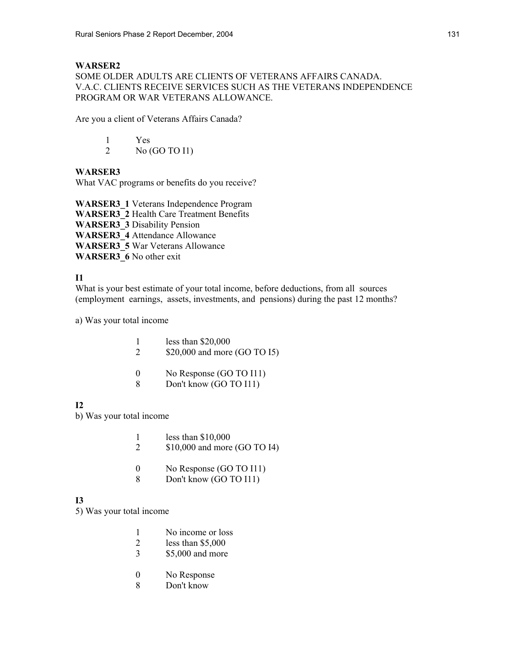## **WARSER2**

SOME OLDER ADULTS ARE CLIENTS OF VETERANS AFFAIRS CANADA. V.A.C. CLIENTS RECEIVE SERVICES SUCH AS THE VETERANS INDEPENDENCE PROGRAM OR WAR VETERANS ALLOWANCE.

Are you a client of Veterans Affairs Canada?

 1 Yes 2 No (GO TO I1)

## **WARSER3**

What VAC programs or benefits do you receive?

**WARSER3\_1** Veterans Independence Program **WARSER3\_2** Health Care Treatment Benefits **WARSER3\_3** Disability Pension **WARSER3\_4** Attendance Allowance **WARSER3\_5** War Veterans Allowance **WARSER3\_6** No other exit

## **I1**

What is your best estimate of your total income, before deductions, from all sources (employment earnings, assets, investments, and pensions) during the past 12 months?

a) Was your total income

- 1 less than \$20,000
- 2 \$20,000 and more (GO TO 15)
- 0 No Response (GO TO I11)
- 8 Don't know (GO TO I11)

## **I2**

b) Was your total income

- 1 less than \$10,000
- 2 \$10,000 and more (GO TO I4)
- 0 No Response (GO TO I11)
- 8 Don't know (GO TO I11)

## **I3**

- 5) Was your total income
	- 1 No income or loss
	- 2 less than \$5,000
	- 3 \$5,000 and more
	- 0 No Response
	- 8 Don't know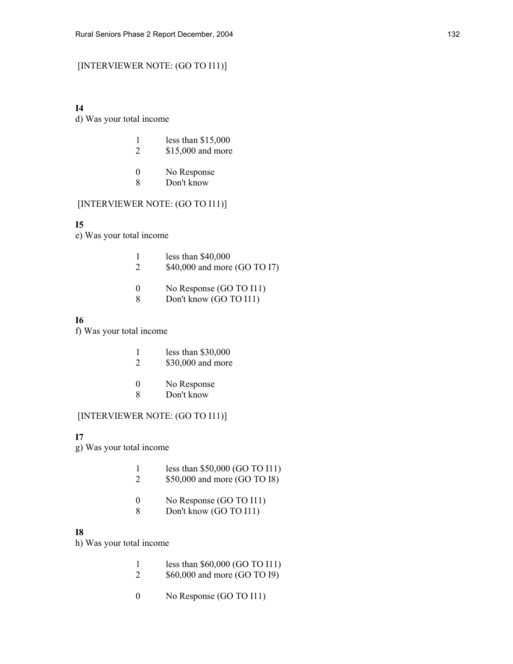## [INTERVIEWER NOTE: (GO TO I11)]

#### **I4**

d) Was your total income

| less than $$15,000$ |
|---------------------|
| \$15,000 and more   |

- 0 No Response
- 8 Don't know

## [INTERVIEWER NOTE: (GO TO I11)]

#### **I5**

e) Was your total income

|  | less than $$40,000$ |
|--|---------------------|
|--|---------------------|

- 2 \$40,000 and more (GO TO I7)
- 0 No Response (GO TO I11)
- 8 Don't know (GO TO I11)

#### **I6**

f) Was your total income

- 1 less than \$30,000
- 2 \$30,000 and more
- 0 No Response
- 8 Don't know

#### [INTERVIEWER NOTE: (GO TO I11)]

#### **I7**

- g) Was your total income
	- 1 less than \$50,000 (GO TO I11)
	- 2 \$50,000 and more (GO TO I8)
	- 0 No Response (GO TO I11)
	- 8 Don't know (GO TO I11)

#### **I8**

h) Was your total income

- 1 less than \$60,000 (GO TO I11)
- 2 \$60,000 and more (GO TO I9)
- 0 No Response (GO TO I11)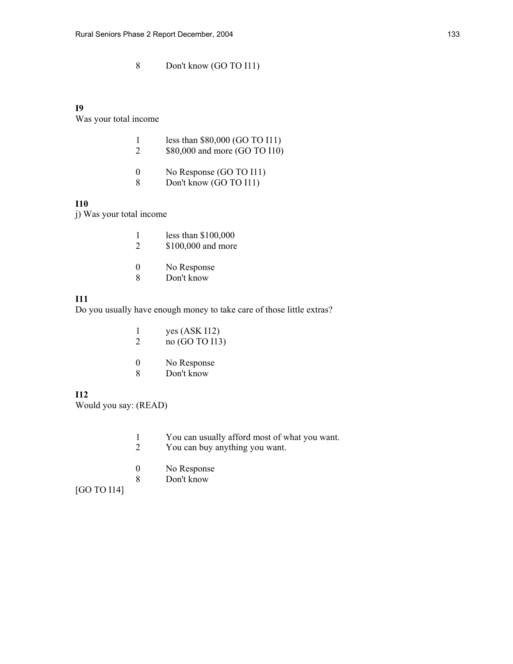## 8 Don't know (GO TO I11)

#### **I9**

Was your total income

| less than $$80,000$ (GO TO I11) |
|---------------------------------|
| \$80,000 and more (GO TO I10)   |
|                                 |

- 0 No Response (GO TO I11) 8 Don't know (GO TO I11)
- **I10**

j) Was your total income

| less than $$100,000$ |  |
|----------------------|--|
| \$100,000 and more   |  |

- 0 No Response
- 8 Don't know

## **I11**

Do you usually have enough money to take care of those little extras?

|  | yes $(ASK I12)$<br>no (GO TO I13) |
|--|-----------------------------------|
|  |                                   |

- 0 No Response
- 8 Don't know

#### **I12**

Would you say: (READ)

- 1 You can usually afford most of what you want.
- 2 You can buy anything you want.
- 0 No Response
- 8 Don't know

[GO TO I14]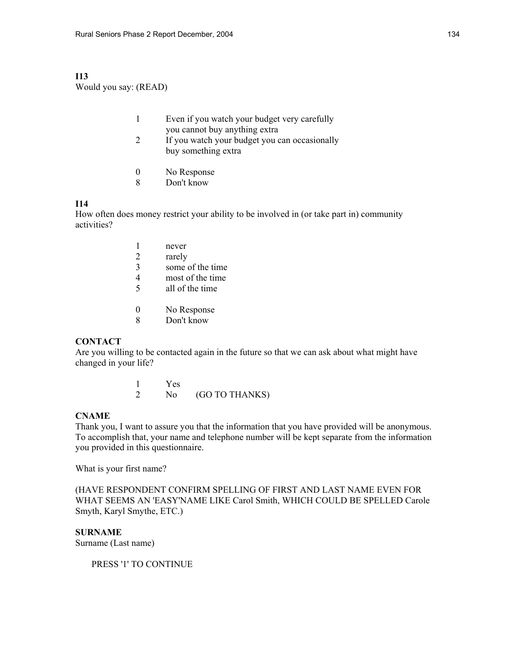#### **I13**  Would you say: (READ)

| Even if you watch your budget very carefully |
|----------------------------------------------|
| you cannot buy anything extra                |

- 2 If you watch your budget you can occasionally buy something extra
- 0 No Response
- 8 Don't know

#### **I14**

How often does money restrict your ability to be involved in (or take part in) community activities?

|   | never            |
|---|------------------|
| 2 | rarely           |
| 3 | some of the time |
| 4 | most of the time |
| 5 | all of the time  |
|   |                  |
| 0 | No Response      |
|   | Don't know       |

#### **CONTACT**

Are you willing to be contacted again in the future so that we can ask about what might have changed in your life?

> $\frac{1}{2}$  Yes No (GO TO THANKS)

## **CNAME**

Thank you, I want to assure you that the information that you have provided will be anonymous. To accomplish that, your name and telephone number will be kept separate from the information you provided in this questionnaire.

What is your first name?

(HAVE RESPONDENT CONFIRM SPELLING OF FIRST AND LAST NAME EVEN FOR WHAT SEEMS AN 'EASY'NAME LIKE Carol Smith, WHICH COULD BE SPELLED Carole Smyth, Karyl Smythe, ETC.)

**SURNAME** 

Surname (Last name)

PRESS '1' TO CONTINUE